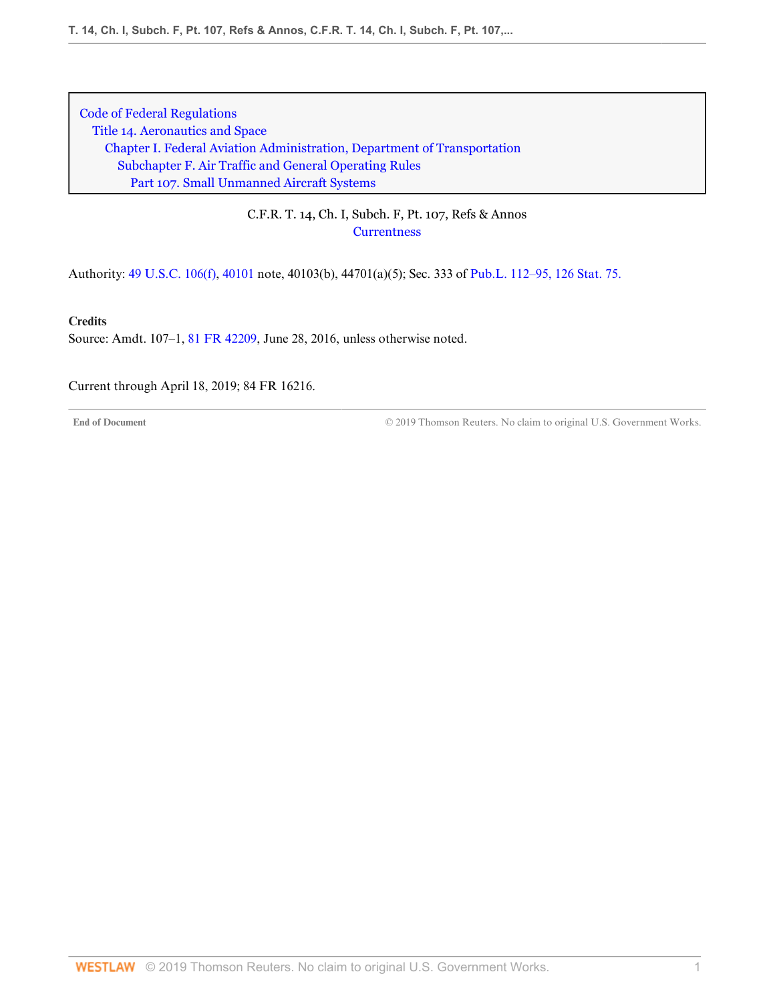# C.F.R. T. 14, Ch. I, Subch. F, Pt. 107, Refs & Annos **[Currentness](#page-0-0)**

Authority: [49 U.S.C. 106\(f\),](http://www.westlaw.com/Link/Document/FullText?findType=L&pubNum=1000546&cite=49USCAS106&originatingDoc=NCD1082603D2E11E6A91396A739D63AEE&refType=RB&originationContext=document&vr=3.0&rs=cblt1.0&transitionType=DocumentItem&contextData=(sc.DocLink)#co_pp_ae0d0000c5150) [40101](http://www.westlaw.com/Link/Document/FullText?findType=L&pubNum=1000546&cite=49USCAS40101&originatingDoc=NCD1082603D2E11E6A91396A739D63AEE&refType=LQ&originationContext=document&vr=3.0&rs=cblt1.0&transitionType=DocumentItem&contextData=(sc.DocLink)) note, 40103(b), 44701(a)(5); Sec. 333 of [Pub.L. 112–95, 126 Stat. 75.](http://www.westlaw.com/Link/Document/FullText?findType=l&pubNum=1077005&cite=UUID(I4283FE0058-5011E18DECB-7DFB573E8AC)&originatingDoc=NCD1082603D2E11E6A91396A739D63AEE&refType=SL&originationContext=document&vr=3.0&rs=cblt1.0&transitionType=DocumentItem&contextData=(sc.DocLink))

**Credits**

Source: Amdt. 107–1, [81 FR 42209,](http://www.westlaw.com/Link/Document/FullText?findType=l&pubNum=0001037&cite=UUID(I605EBCC03CFE11E684D3E3945C5BE131)&originatingDoc=NCD1082603D2E11E6A91396A739D63AEE&refType=CP&fi=co_pp_sp_1037_42209&originationContext=document&vr=3.0&rs=cblt1.0&transitionType=DocumentItem&contextData=(sc.DocLink)#co_pp_sp_1037_42209) June 28, 2016, unless otherwise noted.

<span id="page-0-0"></span>Current through April 18, 2019; 84 FR 16216.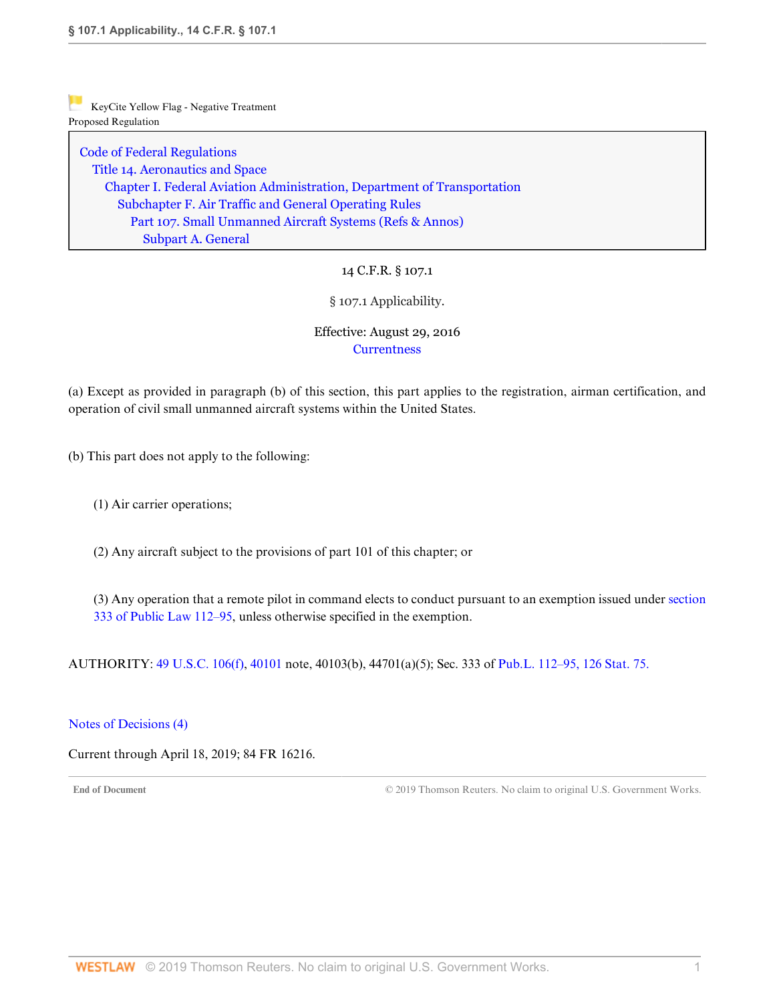[Code of Federal Regulations](http://www.westlaw.com/Browse/Home/Regulations/CodeofFederalRegulationsCFR?transitionType=DocumentItem&contextData=(sc.DocLink)&rs=clbt1.0&vr=3.0) [Title 14. Aeronautics and Space](http://www.westlaw.com/Browse/Home/Regulations/CodeofFederalRegulationsCFR?guid=NB364523085C811D99564CBDD35F58A0E&transitionType=DocumentItem&contextData=(sc.DocLink)&rs=clbt1.0&vr=3.0) [Chapter I. Federal Aviation Administration, Department of Transportation](http://www.westlaw.com/Browse/Home/Regulations/CodeofFederalRegulationsCFR?guid=NB391CAD085C811D99564CBDD35F58A0E&transitionType=DocumentItem&contextData=(sc.DocLink)&rs=clbt1.0&vr=3.0) [Subchapter F. Air Traffic and General Operating Rules](http://www.westlaw.com/Browse/Home/Regulations/CodeofFederalRegulationsCFR?guid=N0D8C9DE0967A11DF8D0C9F00FB5ED07A&transitionType=DocumentItem&contextData=(sc.DocLink)&rs=clbt1.0&vr=3.0) [Part 107. Small Unmanned Aircraft Systems](http://www.westlaw.com/Browse/Home/Regulations/CodeofFederalRegulationsCFR?guid=NCC8A89803D2E11E6A91396A739D63AEE&transitionType=DocumentItem&contextData=(sc.DocLink)&rs=clbt1.0&vr=3.0) [\(Refs & Annos\)](http://www.westlaw.com/Link/Document/FullText?findType=l&cite=lk(CFRT14CISUBCFPT107R)&originatingDoc=N44B62B603D3111E6BF5EAB68310EFF5E&refType=CM&sourceCite=14+C.F.R.+%c2%a7+107.1&originationContext=document&vr=3.0&rs=cblt1.0&transitionType=DocumentItem&contextData=(sc.DocLink)) [Subpart A. General](http://www.westlaw.com/Browse/Home/Regulations/CodeofFederalRegulationsCFR?guid=N7AC0ED003D2F11E68BD3C9863EF273DE&transitionType=DocumentItem&contextData=(sc.DocLink)&rs=clbt1.0&vr=3.0)

14 C.F.R. § 107.1

§ 107.1 Applicability.

Effective: August 29, 2016 **[Currentness](#page-1-0)** 

(a) Except as provided in paragraph (b) of this section, this part applies to the registration, airman certification, and operation of civil small unmanned aircraft systems within the United States.

(b) This part does not apply to the following:

(1) Air carrier operations;

(2) Any aircraft subject to the provisions of part 101 of this chapter; or

(3) Any operation that a remote pilot in command elects to conduct pursuant to an exemption issued under [section](http://www.westlaw.com/Link/Document/FullText?findType=l&pubNum=1077005&cite=UUID(I4283FE0058-5011E18DECB-7DFB573E8AC)&originatingDoc=N44B62B603D3111E6BF5EAB68310EFF5E&refType=SL&originationContext=document&vr=3.0&rs=cblt1.0&transitionType=DocumentItem&contextData=(sc.DocLink)) [333 of Public Law 112–95,](http://www.westlaw.com/Link/Document/FullText?findType=l&pubNum=1077005&cite=UUID(I4283FE0058-5011E18DECB-7DFB573E8AC)&originatingDoc=N44B62B603D3111E6BF5EAB68310EFF5E&refType=SL&originationContext=document&vr=3.0&rs=cblt1.0&transitionType=DocumentItem&contextData=(sc.DocLink)) unless otherwise specified in the exemption.

AUTHORITY: [49 U.S.C. 106\(f\),](http://www.westlaw.com/Link/Document/FullText?findType=L&pubNum=1000546&cite=49USCAS106&originatingDoc=N44B62B603D3111E6BF5EAB68310EFF5E&refType=RB&originationContext=document&vr=3.0&rs=cblt1.0&transitionType=DocumentItem&contextData=(sc.DocLink)#co_pp_ae0d0000c5150) [40101](http://www.westlaw.com/Link/Document/FullText?findType=L&pubNum=1000546&cite=49USCAS40101&originatingDoc=N44B62B603D3111E6BF5EAB68310EFF5E&refType=LQ&originationContext=document&vr=3.0&rs=cblt1.0&transitionType=DocumentItem&contextData=(sc.DocLink)) note, 40103(b), 44701(a)(5); Sec. 333 of [Pub.L. 112–95, 126 Stat. 75.](http://www.westlaw.com/Link/Document/FullText?findType=l&pubNum=1077005&cite=UUID(I4283FE0058-5011E18DECB-7DFB573E8AC)&originatingDoc=N44B62B603D3111E6BF5EAB68310EFF5E&refType=SL&originationContext=document&vr=3.0&rs=cblt1.0&transitionType=DocumentItem&contextData=(sc.DocLink))

### [Notes of Decisions \(4\)](http://www.westlaw.com/Link/RelatedInformation/NotesofDecisions?docGuid=N44B62B603D3111E6BF5EAB68310EFF5E&originationContext=document&vr=3.0&rs=cblt1.0&transitionType=NotesOfDecision&contextData=(sc.DocLink))

<span id="page-1-0"></span>Current through April 18, 2019; 84 FR 16216.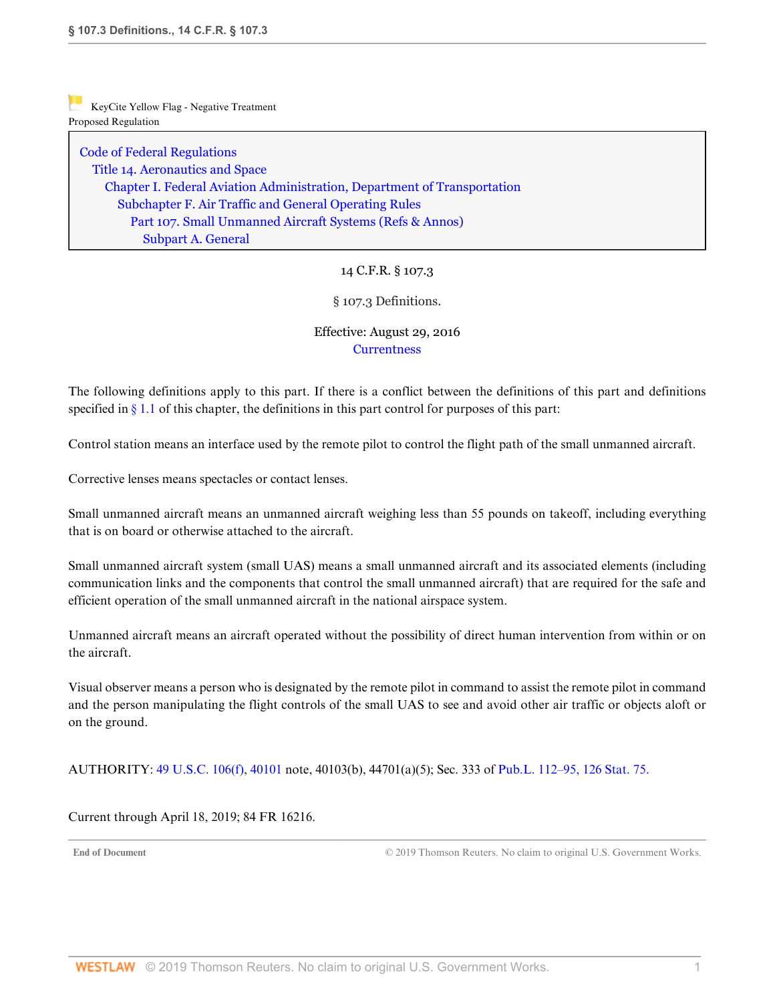[Code of Federal Regulations](http://www.westlaw.com/Browse/Home/Regulations/CodeofFederalRegulationsCFR?transitionType=DocumentItem&contextData=(sc.DocLink)&rs=clbt1.0&vr=3.0) [Title 14. Aeronautics and Space](http://www.westlaw.com/Browse/Home/Regulations/CodeofFederalRegulationsCFR?guid=NB364523085C811D99564CBDD35F58A0E&transitionType=DocumentItem&contextData=(sc.DocLink)&rs=clbt1.0&vr=3.0) [Chapter I. Federal Aviation Administration, Department of Transportation](http://www.westlaw.com/Browse/Home/Regulations/CodeofFederalRegulationsCFR?guid=NB391CAD085C811D99564CBDD35F58A0E&transitionType=DocumentItem&contextData=(sc.DocLink)&rs=clbt1.0&vr=3.0) [Subchapter F. Air Traffic and General Operating Rules](http://www.westlaw.com/Browse/Home/Regulations/CodeofFederalRegulationsCFR?guid=N0D8C9DE0967A11DF8D0C9F00FB5ED07A&transitionType=DocumentItem&contextData=(sc.DocLink)&rs=clbt1.0&vr=3.0) [Part 107. Small Unmanned Aircraft Systems](http://www.westlaw.com/Browse/Home/Regulations/CodeofFederalRegulationsCFR?guid=NCC8A89803D2E11E6A91396A739D63AEE&transitionType=DocumentItem&contextData=(sc.DocLink)&rs=clbt1.0&vr=3.0) [\(Refs & Annos\)](http://www.westlaw.com/Link/Document/FullText?findType=l&cite=lk(CFRT14CISUBCFPT107R)&originatingDoc=N441271503D3111E6BF5EAB68310EFF5E&refType=CM&sourceCite=14+C.F.R.+%c2%a7+107.3&originationContext=document&vr=3.0&rs=cblt1.0&transitionType=DocumentItem&contextData=(sc.DocLink)) [Subpart A. General](http://www.westlaw.com/Browse/Home/Regulations/CodeofFederalRegulationsCFR?guid=N7AC0ED003D2F11E68BD3C9863EF273DE&transitionType=DocumentItem&contextData=(sc.DocLink)&rs=clbt1.0&vr=3.0)

# 14 C.F.R. § 107.3

§ 107.3 Definitions.

### Effective: August 29, 2016 **[Currentness](#page-2-0)**

The following definitions apply to this part. If there is a conflict between the definitions of this part and definitions specified in  $\S 1.1$  of this chapter, the definitions in this part control for purposes of this part:

Control station means an interface used by the remote pilot to control the flight path of the small unmanned aircraft.

Corrective lenses means spectacles or contact lenses.

Small unmanned aircraft means an unmanned aircraft weighing less than 55 pounds on takeoff, including everything that is on board or otherwise attached to the aircraft.

Small unmanned aircraft system (small UAS) means a small unmanned aircraft and its associated elements (including communication links and the components that control the small unmanned aircraft) that are required for the safe and efficient operation of the small unmanned aircraft in the national airspace system.

Unmanned aircraft means an aircraft operated without the possibility of direct human intervention from within or on the aircraft.

Visual observer means a person who is designated by the remote pilot in command to assist the remote pilot in command and the person manipulating the flight controls of the small UAS to see and avoid other air traffic or objects aloft or on the ground.

AUTHORITY: [49 U.S.C. 106\(f\),](http://www.westlaw.com/Link/Document/FullText?findType=L&pubNum=1000546&cite=49USCAS106&originatingDoc=N441271503D3111E6BF5EAB68310EFF5E&refType=RB&originationContext=document&vr=3.0&rs=cblt1.0&transitionType=DocumentItem&contextData=(sc.DocLink)#co_pp_ae0d0000c5150) [40101](http://www.westlaw.com/Link/Document/FullText?findType=L&pubNum=1000546&cite=49USCAS40101&originatingDoc=N441271503D3111E6BF5EAB68310EFF5E&refType=LQ&originationContext=document&vr=3.0&rs=cblt1.0&transitionType=DocumentItem&contextData=(sc.DocLink)) note, 40103(b), 44701(a)(5); Sec. 333 of [Pub.L. 112–95, 126 Stat. 75.](http://www.westlaw.com/Link/Document/FullText?findType=l&pubNum=1077005&cite=UUID(I4283FE0058-5011E18DECB-7DFB573E8AC)&originatingDoc=N441271503D3111E6BF5EAB68310EFF5E&refType=SL&originationContext=document&vr=3.0&rs=cblt1.0&transitionType=DocumentItem&contextData=(sc.DocLink))

<span id="page-2-0"></span>Current through April 18, 2019; 84 FR 16216.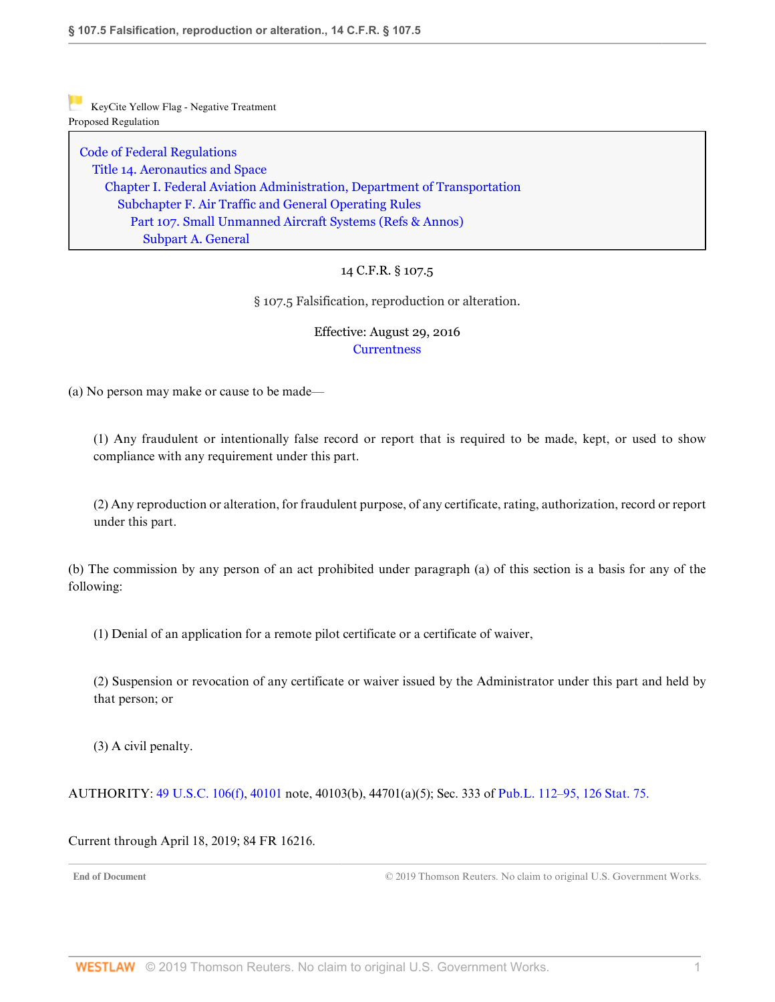[Code of Federal Regulations](http://www.westlaw.com/Browse/Home/Regulations/CodeofFederalRegulationsCFR?transitionType=DocumentItem&contextData=(sc.DocLink)&rs=clbt1.0&vr=3.0) [Title 14. Aeronautics and Space](http://www.westlaw.com/Browse/Home/Regulations/CodeofFederalRegulationsCFR?guid=NB364523085C811D99564CBDD35F58A0E&transitionType=DocumentItem&contextData=(sc.DocLink)&rs=clbt1.0&vr=3.0) [Chapter I. Federal Aviation Administration, Department of Transportation](http://www.westlaw.com/Browse/Home/Regulations/CodeofFederalRegulationsCFR?guid=NB391CAD085C811D99564CBDD35F58A0E&transitionType=DocumentItem&contextData=(sc.DocLink)&rs=clbt1.0&vr=3.0) [Subchapter F. Air Traffic and General Operating Rules](http://www.westlaw.com/Browse/Home/Regulations/CodeofFederalRegulationsCFR?guid=N0D8C9DE0967A11DF8D0C9F00FB5ED07A&transitionType=DocumentItem&contextData=(sc.DocLink)&rs=clbt1.0&vr=3.0) [Part 107. Small Unmanned Aircraft Systems](http://www.westlaw.com/Browse/Home/Regulations/CodeofFederalRegulationsCFR?guid=NCC8A89803D2E11E6A91396A739D63AEE&transitionType=DocumentItem&contextData=(sc.DocLink)&rs=clbt1.0&vr=3.0) [\(Refs & Annos\)](http://www.westlaw.com/Link/Document/FullText?findType=l&cite=lk(CFRT14CISUBCFPT107R)&originatingDoc=N4582F1403D3111E69D65EC9FC0DD0DC9&refType=CM&sourceCite=14+C.F.R.+%c2%a7+107.5&originationContext=document&vr=3.0&rs=cblt1.0&transitionType=DocumentItem&contextData=(sc.DocLink)) [Subpart A. General](http://www.westlaw.com/Browse/Home/Regulations/CodeofFederalRegulationsCFR?guid=N7AC0ED003D2F11E68BD3C9863EF273DE&transitionType=DocumentItem&contextData=(sc.DocLink)&rs=clbt1.0&vr=3.0)

# 14 C.F.R. § 107.5

§ 107.5 Falsification, reproduction or alteration.

## Effective: August 29, 2016 **[Currentness](#page-3-0)**

(a) No person may make or cause to be made—

(1) Any fraudulent or intentionally false record or report that is required to be made, kept, or used to show compliance with any requirement under this part.

(2) Any reproduction or alteration, for fraudulent purpose, of any certificate, rating, authorization, record or report under this part.

(b) The commission by any person of an act prohibited under paragraph (a) of this section is a basis for any of the following:

(1) Denial of an application for a remote pilot certificate or a certificate of waiver,

(2) Suspension or revocation of any certificate or waiver issued by the Administrator under this part and held by that person; or

(3) A civil penalty.

AUTHORITY: [49 U.S.C. 106\(f\),](http://www.westlaw.com/Link/Document/FullText?findType=L&pubNum=1000546&cite=49USCAS106&originatingDoc=N4582F1403D3111E69D65EC9FC0DD0DC9&refType=RB&originationContext=document&vr=3.0&rs=cblt1.0&transitionType=DocumentItem&contextData=(sc.DocLink)#co_pp_ae0d0000c5150) [40101](http://www.westlaw.com/Link/Document/FullText?findType=L&pubNum=1000546&cite=49USCAS40101&originatingDoc=N4582F1403D3111E69D65EC9FC0DD0DC9&refType=LQ&originationContext=document&vr=3.0&rs=cblt1.0&transitionType=DocumentItem&contextData=(sc.DocLink)) note, 40103(b), 44701(a)(5); Sec. 333 of [Pub.L. 112–95, 126 Stat. 75.](http://www.westlaw.com/Link/Document/FullText?findType=l&pubNum=1077005&cite=UUID(I4283FE0058-5011E18DECB-7DFB573E8AC)&originatingDoc=N4582F1403D3111E69D65EC9FC0DD0DC9&refType=SL&originationContext=document&vr=3.0&rs=cblt1.0&transitionType=DocumentItem&contextData=(sc.DocLink))

<span id="page-3-0"></span>Current through April 18, 2019; 84 FR 16216.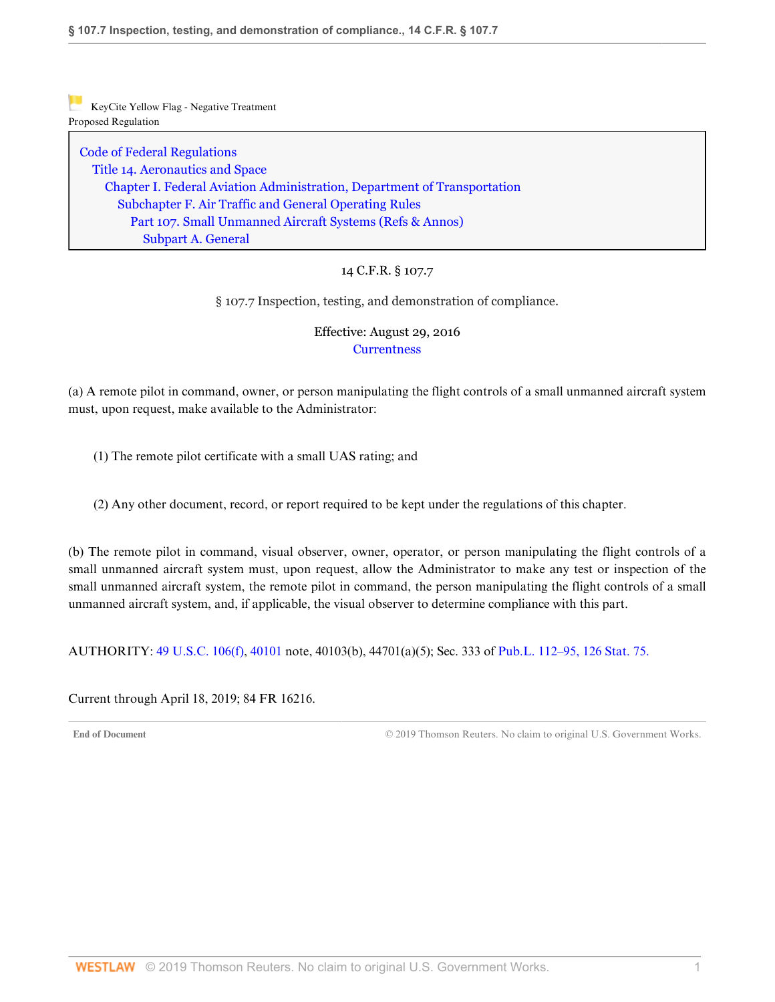[Code of Federal Regulations](http://www.westlaw.com/Browse/Home/Regulations/CodeofFederalRegulationsCFR?transitionType=DocumentItem&contextData=(sc.DocLink)&rs=clbt1.0&vr=3.0) [Title 14. Aeronautics and Space](http://www.westlaw.com/Browse/Home/Regulations/CodeofFederalRegulationsCFR?guid=NB364523085C811D99564CBDD35F58A0E&transitionType=DocumentItem&contextData=(sc.DocLink)&rs=clbt1.0&vr=3.0) [Chapter I. Federal Aviation Administration, Department of Transportation](http://www.westlaw.com/Browse/Home/Regulations/CodeofFederalRegulationsCFR?guid=NB391CAD085C811D99564CBDD35F58A0E&transitionType=DocumentItem&contextData=(sc.DocLink)&rs=clbt1.0&vr=3.0) [Subchapter F. Air Traffic and General Operating Rules](http://www.westlaw.com/Browse/Home/Regulations/CodeofFederalRegulationsCFR?guid=N0D8C9DE0967A11DF8D0C9F00FB5ED07A&transitionType=DocumentItem&contextData=(sc.DocLink)&rs=clbt1.0&vr=3.0) [Part 107. Small Unmanned Aircraft Systems](http://www.westlaw.com/Browse/Home/Regulations/CodeofFederalRegulationsCFR?guid=NCC8A89803D2E11E6A91396A739D63AEE&transitionType=DocumentItem&contextData=(sc.DocLink)&rs=clbt1.0&vr=3.0) [\(Refs & Annos\)](http://www.westlaw.com/Link/Document/FullText?findType=l&cite=lk(CFRT14CISUBCFPT107R)&originatingDoc=N4636FF003D3111E685489DC8FA89CE59&refType=CM&sourceCite=14+C.F.R.+%c2%a7+107.7&originationContext=document&vr=3.0&rs=cblt1.0&transitionType=DocumentItem&contextData=(sc.DocLink)) [Subpart A. General](http://www.westlaw.com/Browse/Home/Regulations/CodeofFederalRegulationsCFR?guid=N7AC0ED003D2F11E68BD3C9863EF273DE&transitionType=DocumentItem&contextData=(sc.DocLink)&rs=clbt1.0&vr=3.0)

## 14 C.F.R. § 107.7

§ 107.7 Inspection, testing, and demonstration of compliance.

# Effective: August 29, 2016 **[Currentness](#page-4-0)**

(a) A remote pilot in command, owner, or person manipulating the flight controls of a small unmanned aircraft system must, upon request, make available to the Administrator:

(1) The remote pilot certificate with a small UAS rating; and

(2) Any other document, record, or report required to be kept under the regulations of this chapter.

(b) The remote pilot in command, visual observer, owner, operator, or person manipulating the flight controls of a small unmanned aircraft system must, upon request, allow the Administrator to make any test or inspection of the small unmanned aircraft system, the remote pilot in command, the person manipulating the flight controls of a small unmanned aircraft system, and, if applicable, the visual observer to determine compliance with this part.

AUTHORITY: [49 U.S.C. 106\(f\),](http://www.westlaw.com/Link/Document/FullText?findType=L&pubNum=1000546&cite=49USCAS106&originatingDoc=N4636FF003D3111E685489DC8FA89CE59&refType=RB&originationContext=document&vr=3.0&rs=cblt1.0&transitionType=DocumentItem&contextData=(sc.DocLink)#co_pp_ae0d0000c5150) [40101](http://www.westlaw.com/Link/Document/FullText?findType=L&pubNum=1000546&cite=49USCAS40101&originatingDoc=N4636FF003D3111E685489DC8FA89CE59&refType=LQ&originationContext=document&vr=3.0&rs=cblt1.0&transitionType=DocumentItem&contextData=(sc.DocLink)) note, 40103(b), 44701(a)(5); Sec. 333 of [Pub.L. 112–95, 126 Stat. 75.](http://www.westlaw.com/Link/Document/FullText?findType=l&pubNum=1077005&cite=UUID(I4283FE0058-5011E18DECB-7DFB573E8AC)&originatingDoc=N4636FF003D3111E685489DC8FA89CE59&refType=SL&originationContext=document&vr=3.0&rs=cblt1.0&transitionType=DocumentItem&contextData=(sc.DocLink))

<span id="page-4-0"></span>Current through April 18, 2019; 84 FR 16216.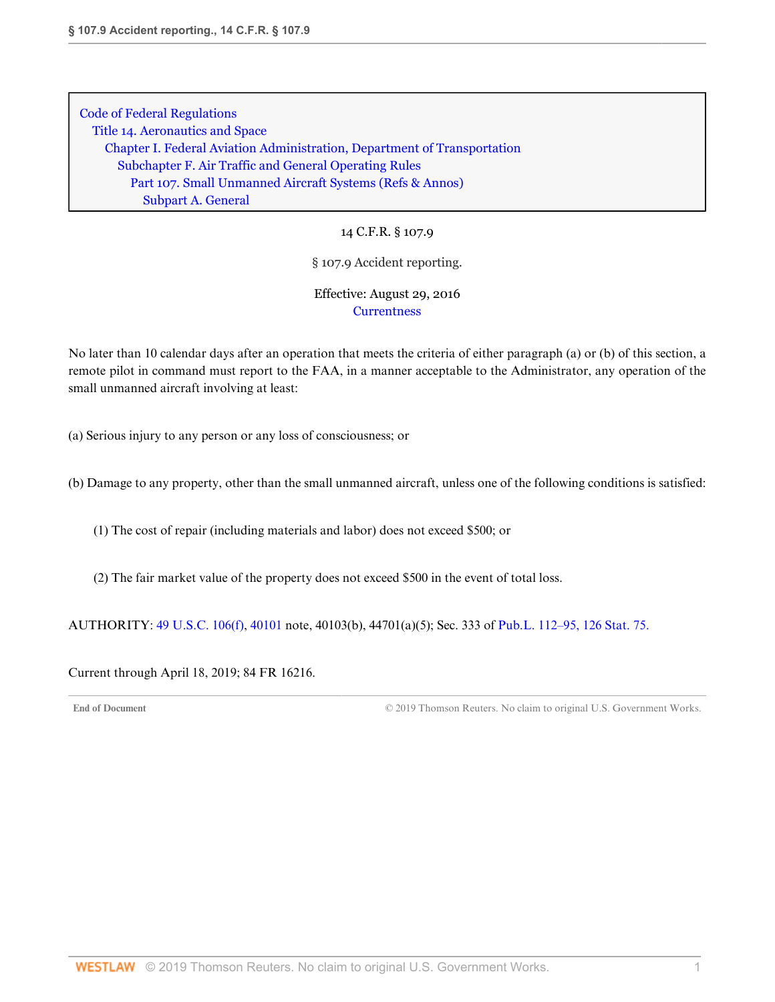14 C.F.R. § 107.9

#### § 107.9 Accident reporting.

## Effective: August 29, 2016 **[Currentness](#page-5-0)**

No later than 10 calendar days after an operation that meets the criteria of either paragraph (a) or (b) of this section, a remote pilot in command must report to the FAA, in a manner acceptable to the Administrator, any operation of the small unmanned aircraft involving at least:

(a) Serious injury to any person or any loss of consciousness; or

(b) Damage to any property, other than the small unmanned aircraft, unless one of the following conditions is satisfied:

(1) The cost of repair (including materials and labor) does not exceed \$500; or

(2) The fair market value of the property does not exceed \$500 in the event of total loss.

AUTHORITY: [49 U.S.C. 106\(f\),](http://www.westlaw.com/Link/Document/FullText?findType=L&pubNum=1000546&cite=49USCAS106&originatingDoc=N4353B5303D3111E69D65EC9FC0DD0DC9&refType=RB&originationContext=document&vr=3.0&rs=cblt1.0&transitionType=DocumentItem&contextData=(sc.DocLink)#co_pp_ae0d0000c5150) [40101](http://www.westlaw.com/Link/Document/FullText?findType=L&pubNum=1000546&cite=49USCAS40101&originatingDoc=N4353B5303D3111E69D65EC9FC0DD0DC9&refType=LQ&originationContext=document&vr=3.0&rs=cblt1.0&transitionType=DocumentItem&contextData=(sc.DocLink)) note, 40103(b), 44701(a)(5); Sec. 333 of [Pub.L. 112–95, 126 Stat. 75.](http://www.westlaw.com/Link/Document/FullText?findType=l&pubNum=1077005&cite=UUID(I4283FE0058-5011E18DECB-7DFB573E8AC)&originatingDoc=N4353B5303D3111E69D65EC9FC0DD0DC9&refType=SL&originationContext=document&vr=3.0&rs=cblt1.0&transitionType=DocumentItem&contextData=(sc.DocLink))

<span id="page-5-0"></span>Current through April 18, 2019; 84 FR 16216.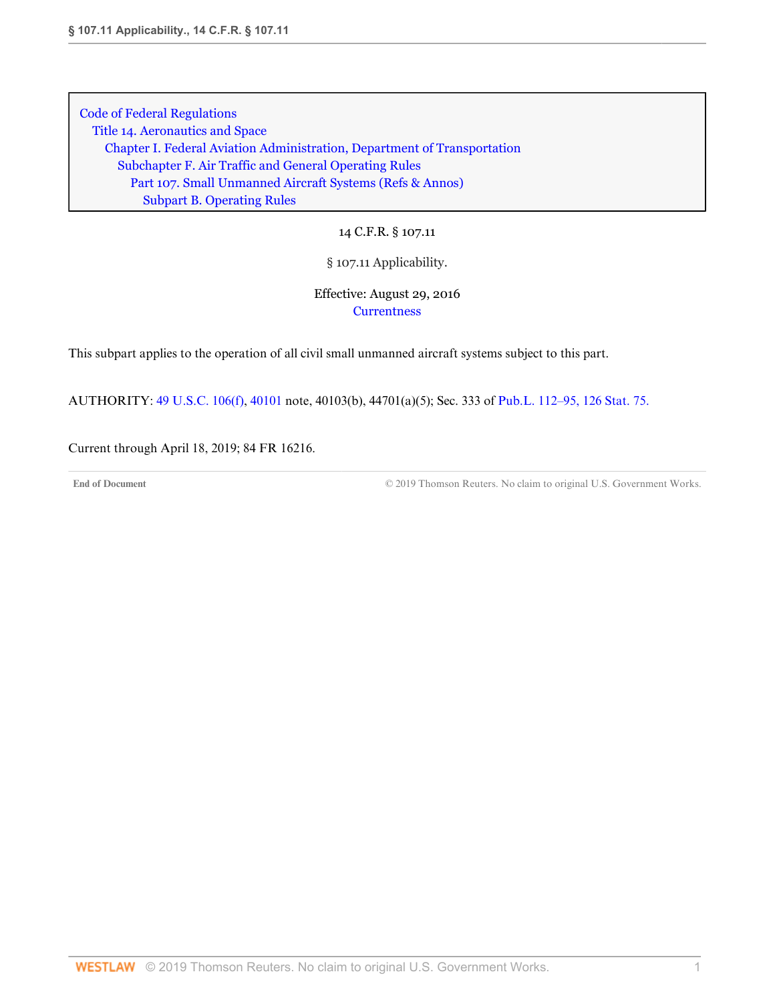14 C.F.R. § 107.11

## § 107.11 Applicability.

# Effective: August 29, 2016 **[Currentness](#page-6-0)**

This subpart applies to the operation of all civil small unmanned aircraft systems subject to this part.

AUTHORITY: [49 U.S.C. 106\(f\),](http://www.westlaw.com/Link/Document/FullText?findType=L&pubNum=1000546&cite=49USCAS106&originatingDoc=N233391203D3211E685489DC8FA89CE59&refType=RB&originationContext=document&vr=3.0&rs=cblt1.0&transitionType=DocumentItem&contextData=(sc.DocLink)#co_pp_ae0d0000c5150) [40101](http://www.westlaw.com/Link/Document/FullText?findType=L&pubNum=1000546&cite=49USCAS40101&originatingDoc=N233391203D3211E685489DC8FA89CE59&refType=LQ&originationContext=document&vr=3.0&rs=cblt1.0&transitionType=DocumentItem&contextData=(sc.DocLink)) note, 40103(b), 44701(a)(5); Sec. 333 of [Pub.L. 112–95, 126 Stat. 75.](http://www.westlaw.com/Link/Document/FullText?findType=l&pubNum=1077005&cite=UUID(I4283FE0058-5011E18DECB-7DFB573E8AC)&originatingDoc=N233391203D3211E685489DC8FA89CE59&refType=SL&originationContext=document&vr=3.0&rs=cblt1.0&transitionType=DocumentItem&contextData=(sc.DocLink))

<span id="page-6-0"></span>Current through April 18, 2019; 84 FR 16216.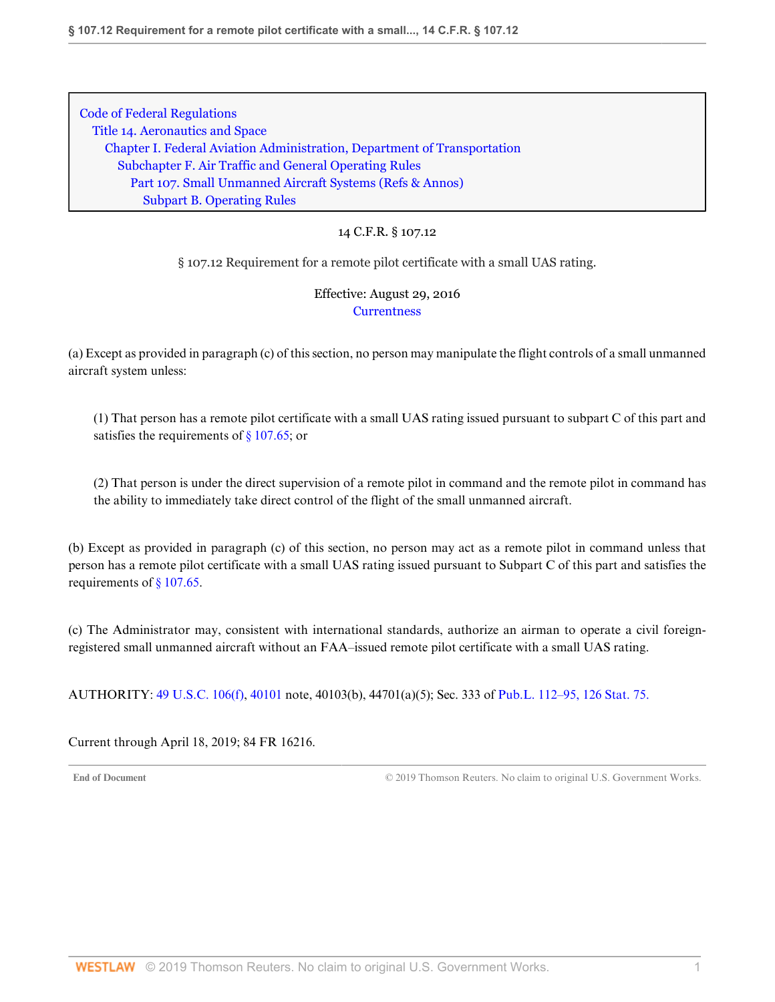### 14 C.F.R. § 107.12

§ 107.12 Requirement for a remote pilot certificate with a small UAS rating.

Effective: August 29, 2016 **[Currentness](#page-7-0)** 

(a) Except as provided in paragraph (c) of this section, no person may manipulate the flight controls of a small unmanned aircraft system unless:

(1) That person has a remote pilot certificate with a small UAS rating issued pursuant to subpart C of this part and satisfies the requirements of  $\S$  107.65; or

(2) That person is under the direct supervision of a remote pilot in command and the remote pilot in command has the ability to immediately take direct control of the flight of the small unmanned aircraft.

(b) Except as provided in paragraph (c) of this section, no person may act as a remote pilot in command unless that person has a remote pilot certificate with a small UAS rating issued pursuant to Subpart C of this part and satisfies the requirements of [§ 107.65](http://www.westlaw.com/Link/Document/FullText?findType=L&pubNum=1000547&cite=14CFRS107.65&originatingDoc=N2AFCF9A03D3211E6B0E897393DF36488&refType=VP&originationContext=document&vr=3.0&rs=cblt1.0&transitionType=DocumentItem&contextData=(sc.DocLink)).

(c) The Administrator may, consistent with international standards, authorize an airman to operate a civil foreignregistered small unmanned aircraft without an FAA–issued remote pilot certificate with a small UAS rating.

AUTHORITY: [49 U.S.C. 106\(f\),](http://www.westlaw.com/Link/Document/FullText?findType=L&pubNum=1000546&cite=49USCAS106&originatingDoc=N2AFCF9A03D3211E6B0E897393DF36488&refType=RB&originationContext=document&vr=3.0&rs=cblt1.0&transitionType=DocumentItem&contextData=(sc.DocLink)#co_pp_ae0d0000c5150) [40101](http://www.westlaw.com/Link/Document/FullText?findType=L&pubNum=1000546&cite=49USCAS40101&originatingDoc=N2AFCF9A03D3211E6B0E897393DF36488&refType=LQ&originationContext=document&vr=3.0&rs=cblt1.0&transitionType=DocumentItem&contextData=(sc.DocLink)) note, 40103(b), 44701(a)(5); Sec. 333 of [Pub.L. 112–95, 126 Stat. 75.](http://www.westlaw.com/Link/Document/FullText?findType=l&pubNum=1077005&cite=UUID(I4283FE0058-5011E18DECB-7DFB573E8AC)&originatingDoc=N2AFCF9A03D3211E6B0E897393DF36488&refType=SL&originationContext=document&vr=3.0&rs=cblt1.0&transitionType=DocumentItem&contextData=(sc.DocLink))

<span id="page-7-0"></span>Current through April 18, 2019; 84 FR 16216.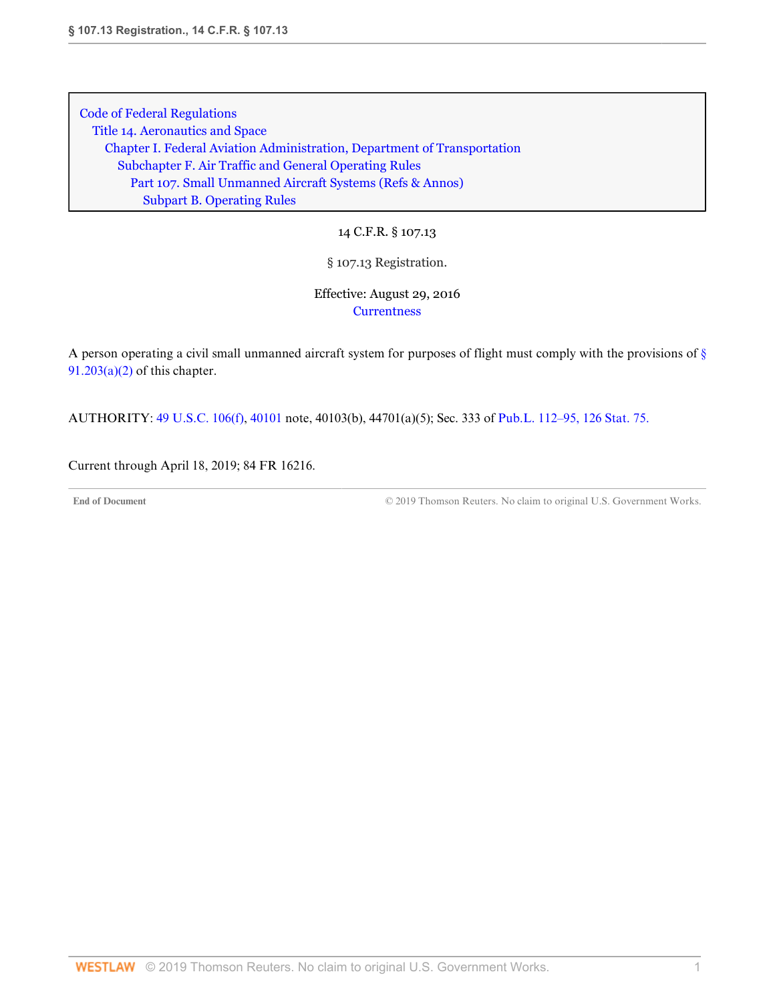14 C.F.R. § 107.13

## § 107.13 Registration.

Effective: August 29, 2016 **[Currentness](#page-8-0)** 

A person operating a civil small unmanned aircraft system for purposes of flight must comply with the provisions of [§](http://www.westlaw.com/Link/Document/FullText?findType=L&pubNum=1000547&cite=14CFRS91.203&originatingDoc=N27403FC03D3211E6A563D141CA0605C0&refType=VB&originationContext=document&vr=3.0&rs=cblt1.0&transitionType=DocumentItem&contextData=(sc.DocLink)#co_pp_d86d0000be040)  $91.203(a)(2)$  of this chapter.

AUTHORITY: [49 U.S.C. 106\(f\),](http://www.westlaw.com/Link/Document/FullText?findType=L&pubNum=1000546&cite=49USCAS106&originatingDoc=N27403FC03D3211E6A563D141CA0605C0&refType=RB&originationContext=document&vr=3.0&rs=cblt1.0&transitionType=DocumentItem&contextData=(sc.DocLink)#co_pp_ae0d0000c5150) [40101](http://www.westlaw.com/Link/Document/FullText?findType=L&pubNum=1000546&cite=49USCAS40101&originatingDoc=N27403FC03D3211E6A563D141CA0605C0&refType=LQ&originationContext=document&vr=3.0&rs=cblt1.0&transitionType=DocumentItem&contextData=(sc.DocLink)) note, 40103(b), 44701(a)(5); Sec. 333 of [Pub.L. 112–95, 126 Stat. 75.](http://www.westlaw.com/Link/Document/FullText?findType=l&pubNum=1077005&cite=UUID(I4283FE0058-5011E18DECB-7DFB573E8AC)&originatingDoc=N27403FC03D3211E6A563D141CA0605C0&refType=SL&originationContext=document&vr=3.0&rs=cblt1.0&transitionType=DocumentItem&contextData=(sc.DocLink))

<span id="page-8-0"></span>Current through April 18, 2019; 84 FR 16216.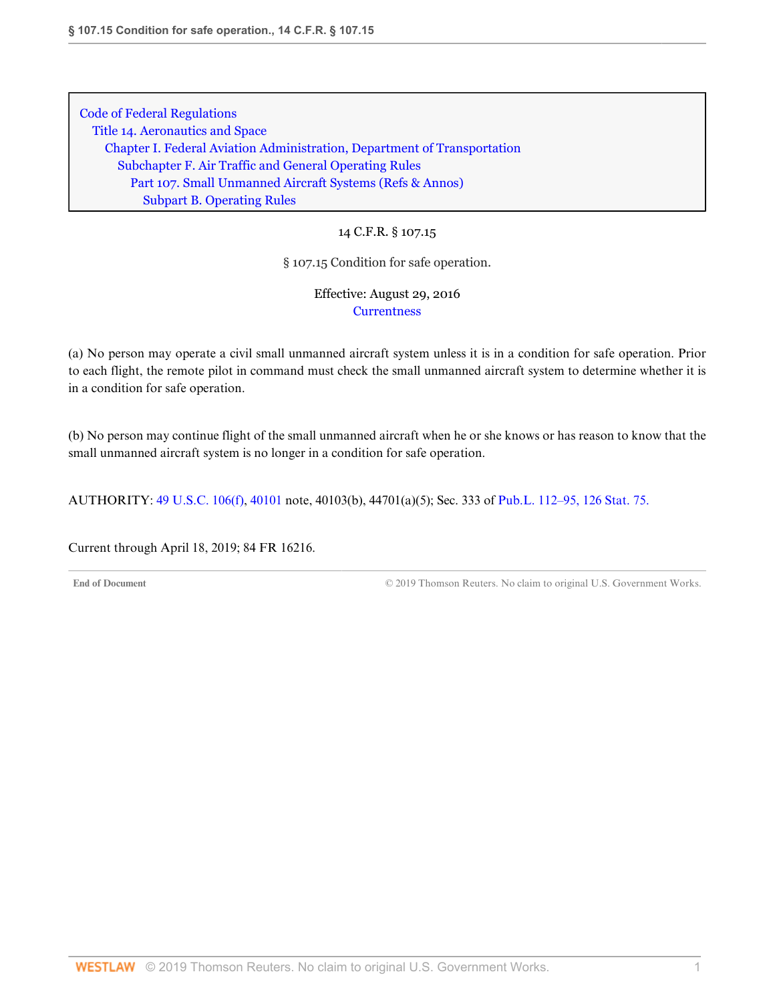14 C.F.R. § 107.15

§ 107.15 Condition for safe operation.

Effective: August 29, 2016 **[Currentness](#page-9-0)** 

(a) No person may operate a civil small unmanned aircraft system unless it is in a condition for safe operation. Prior to each flight, the remote pilot in command must check the small unmanned aircraft system to determine whether it is in a condition for safe operation.

(b) No person may continue flight of the small unmanned aircraft when he or she knows or has reason to know that the small unmanned aircraft system is no longer in a condition for safe operation.

AUTHORITY: [49 U.S.C. 106\(f\),](http://www.westlaw.com/Link/Document/FullText?findType=L&pubNum=1000546&cite=49USCAS106&originatingDoc=N2620ED103D3211E69D65EC9FC0DD0DC9&refType=RB&originationContext=document&vr=3.0&rs=cblt1.0&transitionType=DocumentItem&contextData=(sc.DocLink)#co_pp_ae0d0000c5150) [40101](http://www.westlaw.com/Link/Document/FullText?findType=L&pubNum=1000546&cite=49USCAS40101&originatingDoc=N2620ED103D3211E69D65EC9FC0DD0DC9&refType=LQ&originationContext=document&vr=3.0&rs=cblt1.0&transitionType=DocumentItem&contextData=(sc.DocLink)) note, 40103(b), 44701(a)(5); Sec. 333 of [Pub.L. 112–95, 126 Stat. 75.](http://www.westlaw.com/Link/Document/FullText?findType=l&pubNum=1077005&cite=UUID(I4283FE0058-5011E18DECB-7DFB573E8AC)&originatingDoc=N2620ED103D3211E69D65EC9FC0DD0DC9&refType=SL&originationContext=document&vr=3.0&rs=cblt1.0&transitionType=DocumentItem&contextData=(sc.DocLink))

<span id="page-9-0"></span>Current through April 18, 2019; 84 FR 16216.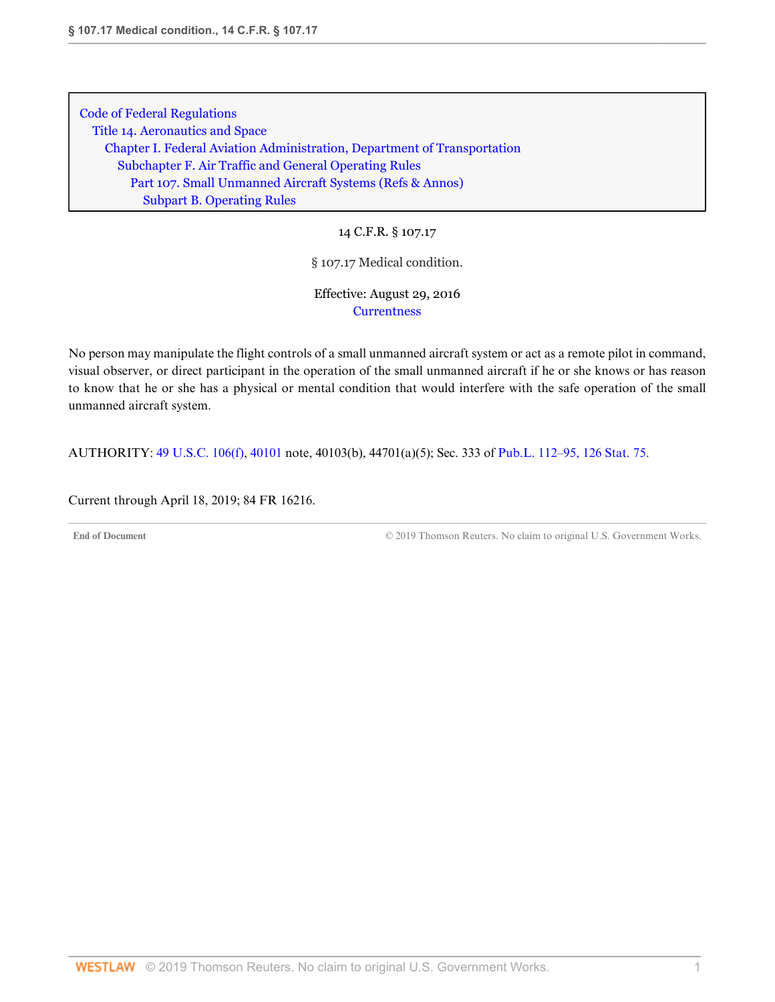14 C.F.R. § 107.17

§ 107.17 Medical condition.

Effective: August 29, 2016 **[Currentness](#page-10-0)** 

No person may manipulate the flight controls of a small unmanned aircraft system or act as a remote pilot in command, visual observer, or direct participant in the operation of the small unmanned aircraft if he or she knows or has reason to know that he or she has a physical or mental condition that would interfere with the safe operation of the small unmanned aircraft system.

AUTHORITY: [49 U.S.C. 106\(f\),](http://www.westlaw.com/Link/Document/FullText?findType=L&pubNum=1000546&cite=49USCAS106&originatingDoc=N29F240603D3211E6BF5EAB68310EFF5E&refType=RB&originationContext=document&vr=3.0&rs=cblt1.0&transitionType=DocumentItem&contextData=(sc.DocLink)#co_pp_ae0d0000c5150) [40101](http://www.westlaw.com/Link/Document/FullText?findType=L&pubNum=1000546&cite=49USCAS40101&originatingDoc=N29F240603D3211E6BF5EAB68310EFF5E&refType=LQ&originationContext=document&vr=3.0&rs=cblt1.0&transitionType=DocumentItem&contextData=(sc.DocLink)) note, 40103(b), 44701(a)(5); Sec. 333 of [Pub.L. 112–95, 126 Stat. 75.](http://www.westlaw.com/Link/Document/FullText?findType=l&pubNum=1077005&cite=UUID(I4283FE0058-5011E18DECB-7DFB573E8AC)&originatingDoc=N29F240603D3211E6BF5EAB68310EFF5E&refType=SL&originationContext=document&vr=3.0&rs=cblt1.0&transitionType=DocumentItem&contextData=(sc.DocLink))

<span id="page-10-0"></span>Current through April 18, 2019; 84 FR 16216.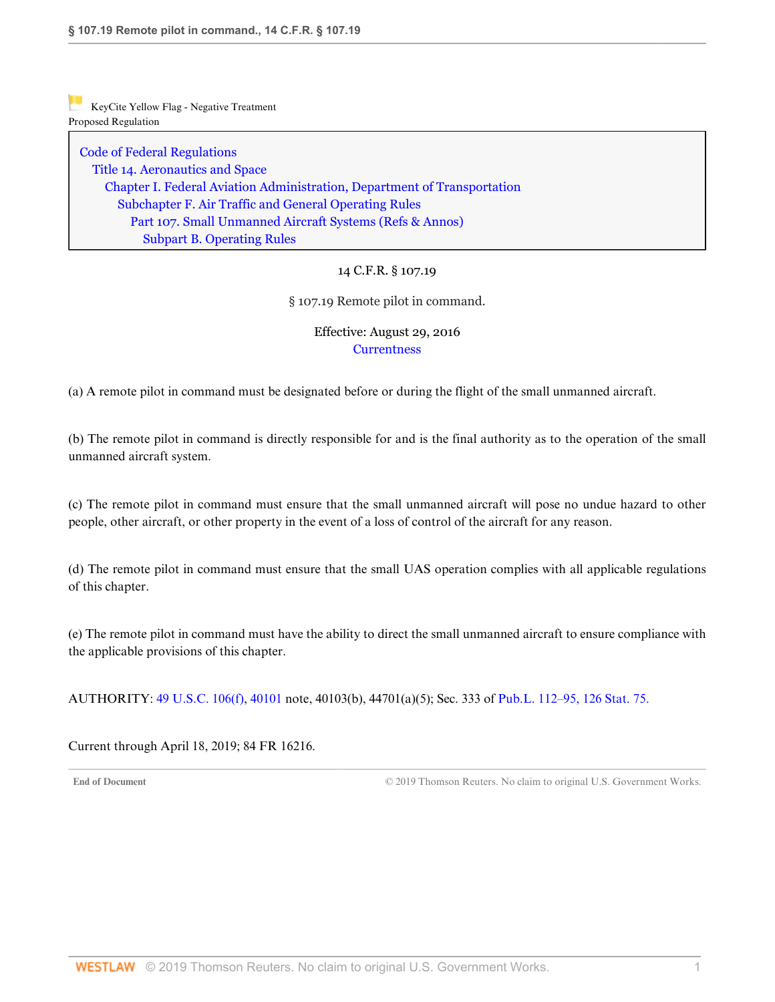[Code of Federal Regulations](http://www.westlaw.com/Browse/Home/Regulations/CodeofFederalRegulationsCFR?transitionType=DocumentItem&contextData=(sc.DocLink)&rs=clbt1.0&vr=3.0) [Title 14. Aeronautics and Space](http://www.westlaw.com/Browse/Home/Regulations/CodeofFederalRegulationsCFR?guid=NB364523085C811D99564CBDD35F58A0E&transitionType=DocumentItem&contextData=(sc.DocLink)&rs=clbt1.0&vr=3.0) [Chapter I. Federal Aviation Administration, Department of Transportation](http://www.westlaw.com/Browse/Home/Regulations/CodeofFederalRegulationsCFR?guid=NB391CAD085C811D99564CBDD35F58A0E&transitionType=DocumentItem&contextData=(sc.DocLink)&rs=clbt1.0&vr=3.0) [Subchapter F. Air Traffic and General Operating Rules](http://www.westlaw.com/Browse/Home/Regulations/CodeofFederalRegulationsCFR?guid=N0D8C9DE0967A11DF8D0C9F00FB5ED07A&transitionType=DocumentItem&contextData=(sc.DocLink)&rs=clbt1.0&vr=3.0) [Part 107. Small Unmanned Aircraft Systems](http://www.westlaw.com/Browse/Home/Regulations/CodeofFederalRegulationsCFR?guid=NCC8A89803D2E11E6A91396A739D63AEE&transitionType=DocumentItem&contextData=(sc.DocLink)&rs=clbt1.0&vr=3.0) [\(Refs & Annos\)](http://www.westlaw.com/Link/Document/FullText?findType=l&cite=lk(CFRT14CISUBCFPT107R)&originatingDoc=N2A34C7A03D3211E685489DC8FA89CE59&refType=CM&sourceCite=14+C.F.R.+%c2%a7+107.19&originationContext=document&vr=3.0&rs=cblt1.0&transitionType=DocumentItem&contextData=(sc.DocLink)) [Subpart B. Operating Rules](http://www.westlaw.com/Browse/Home/Regulations/CodeofFederalRegulationsCFR?guid=N7AD2C7503D2F11E68BD3C9863EF273DE&transitionType=DocumentItem&contextData=(sc.DocLink)&rs=clbt1.0&vr=3.0)

## 14 C.F.R. § 107.19

§ 107.19 Remote pilot in command.

## Effective: August 29, 2016 **[Currentness](#page-11-0)**

(a) A remote pilot in command must be designated before or during the flight of the small unmanned aircraft.

(b) The remote pilot in command is directly responsible for and is the final authority as to the operation of the small unmanned aircraft system.

(c) The remote pilot in command must ensure that the small unmanned aircraft will pose no undue hazard to other people, other aircraft, or other property in the event of a loss of control of the aircraft for any reason.

(d) The remote pilot in command must ensure that the small UAS operation complies with all applicable regulations of this chapter.

(e) The remote pilot in command must have the ability to direct the small unmanned aircraft to ensure compliance with the applicable provisions of this chapter.

AUTHORITY: [49 U.S.C. 106\(f\),](http://www.westlaw.com/Link/Document/FullText?findType=L&pubNum=1000546&cite=49USCAS106&originatingDoc=N2A34C7A03D3211E685489DC8FA89CE59&refType=RB&originationContext=document&vr=3.0&rs=cblt1.0&transitionType=DocumentItem&contextData=(sc.DocLink)#co_pp_ae0d0000c5150) [40101](http://www.westlaw.com/Link/Document/FullText?findType=L&pubNum=1000546&cite=49USCAS40101&originatingDoc=N2A34C7A03D3211E685489DC8FA89CE59&refType=LQ&originationContext=document&vr=3.0&rs=cblt1.0&transitionType=DocumentItem&contextData=(sc.DocLink)) note, 40103(b), 44701(a)(5); Sec. 333 of [Pub.L. 112–95, 126 Stat. 75.](http://www.westlaw.com/Link/Document/FullText?findType=l&pubNum=1077005&cite=UUID(I4283FE0058-5011E18DECB-7DFB573E8AC)&originatingDoc=N2A34C7A03D3211E685489DC8FA89CE59&refType=SL&originationContext=document&vr=3.0&rs=cblt1.0&transitionType=DocumentItem&contextData=(sc.DocLink))

<span id="page-11-0"></span>Current through April 18, 2019; 84 FR 16216.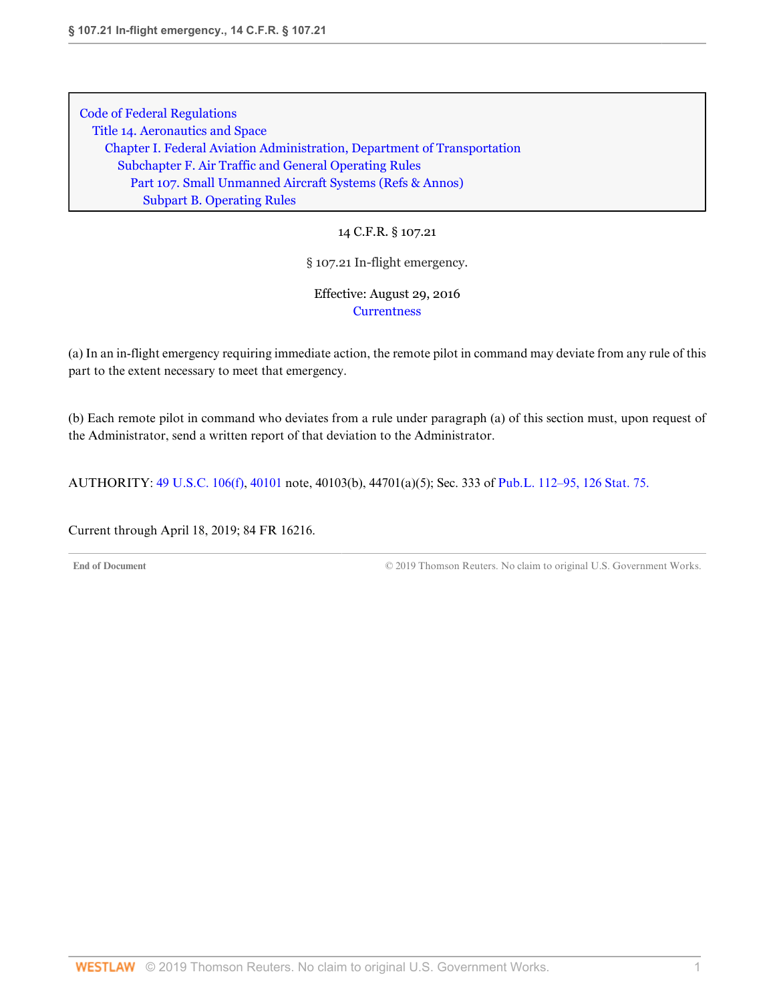14 C.F.R. § 107.21

## § 107.21 In-flight emergency.

Effective: August 29, 2016 **[Currentness](#page-12-0)** 

(a) In an in-flight emergency requiring immediate action, the remote pilot in command may deviate from any rule of this part to the extent necessary to meet that emergency.

(b) Each remote pilot in command who deviates from a rule under paragraph (a) of this section must, upon request of the Administrator, send a written report of that deviation to the Administrator.

AUTHORITY: [49 U.S.C. 106\(f\),](http://www.westlaw.com/Link/Document/FullText?findType=L&pubNum=1000546&cite=49USCAS106&originatingDoc=N2966C9403D3211E6BF5EAB68310EFF5E&refType=RB&originationContext=document&vr=3.0&rs=cblt1.0&transitionType=DocumentItem&contextData=(sc.DocLink)#co_pp_ae0d0000c5150) [40101](http://www.westlaw.com/Link/Document/FullText?findType=L&pubNum=1000546&cite=49USCAS40101&originatingDoc=N2966C9403D3211E6BF5EAB68310EFF5E&refType=LQ&originationContext=document&vr=3.0&rs=cblt1.0&transitionType=DocumentItem&contextData=(sc.DocLink)) note, 40103(b), 44701(a)(5); Sec. 333 of [Pub.L. 112–95, 126 Stat. 75.](http://www.westlaw.com/Link/Document/FullText?findType=l&pubNum=1077005&cite=UUID(I4283FE0058-5011E18DECB-7DFB573E8AC)&originatingDoc=N2966C9403D3211E6BF5EAB68310EFF5E&refType=SL&originationContext=document&vr=3.0&rs=cblt1.0&transitionType=DocumentItem&contextData=(sc.DocLink))

<span id="page-12-0"></span>Current through April 18, 2019; 84 FR 16216.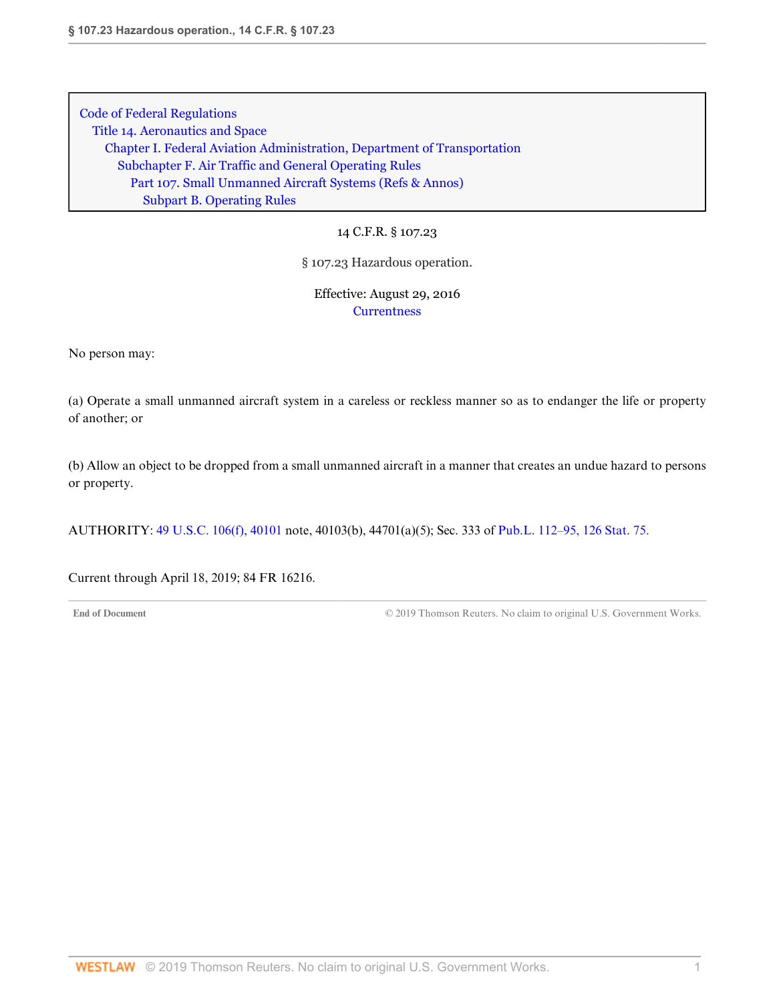14 C.F.R. § 107.23

§ 107.23 Hazardous operation.

Effective: August 29, 2016 **[Currentness](#page-13-0)** 

No person may:

(a) Operate a small unmanned aircraft system in a careless or reckless manner so as to endanger the life or property of another; or

(b) Allow an object to be dropped from a small unmanned aircraft in a manner that creates an undue hazard to persons or property.

AUTHORITY: [49 U.S.C. 106\(f\),](http://www.westlaw.com/Link/Document/FullText?findType=L&pubNum=1000546&cite=49USCAS106&originatingDoc=N2A213FA03D3211E685489DC8FA89CE59&refType=RB&originationContext=document&vr=3.0&rs=cblt1.0&transitionType=DocumentItem&contextData=(sc.DocLink)#co_pp_ae0d0000c5150) [40101](http://www.westlaw.com/Link/Document/FullText?findType=L&pubNum=1000546&cite=49USCAS40101&originatingDoc=N2A213FA03D3211E685489DC8FA89CE59&refType=LQ&originationContext=document&vr=3.0&rs=cblt1.0&transitionType=DocumentItem&contextData=(sc.DocLink)) note, 40103(b), 44701(a)(5); Sec. 333 of [Pub.L. 112–95, 126 Stat. 75.](http://www.westlaw.com/Link/Document/FullText?findType=l&pubNum=1077005&cite=UUID(I4283FE0058-5011E18DECB-7DFB573E8AC)&originatingDoc=N2A213FA03D3211E685489DC8FA89CE59&refType=SL&originationContext=document&vr=3.0&rs=cblt1.0&transitionType=DocumentItem&contextData=(sc.DocLink))

<span id="page-13-0"></span>Current through April 18, 2019; 84 FR 16216.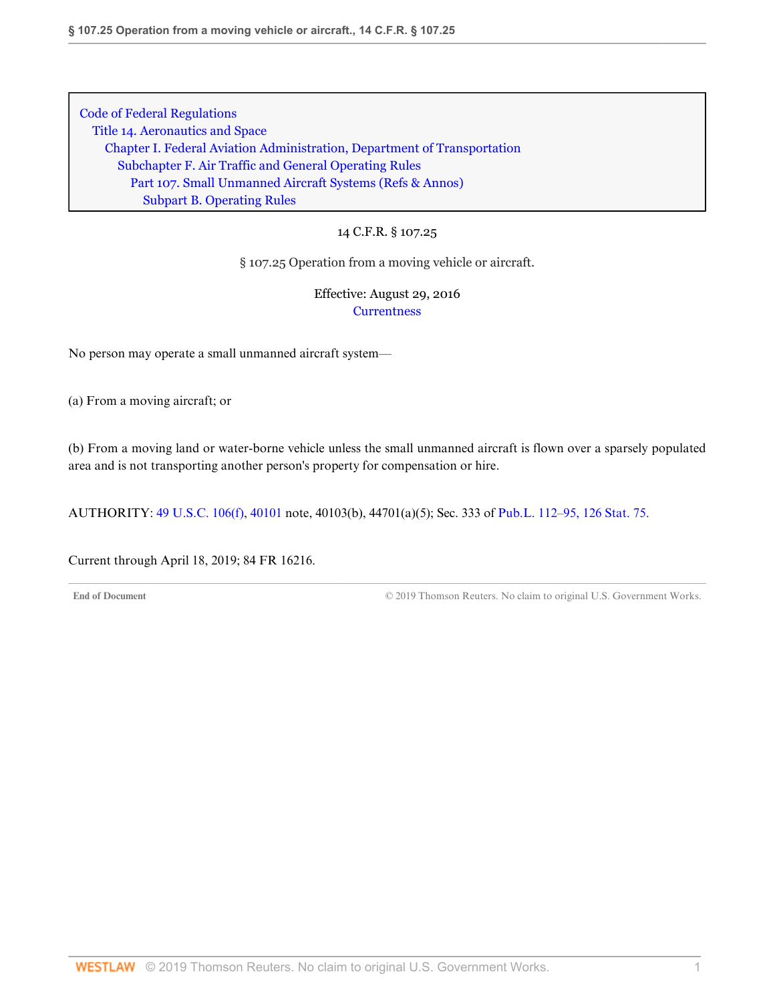### 14 C.F.R. § 107.25

§ 107.25 Operation from a moving vehicle or aircraft.

Effective: August 29, 2016 **[Currentness](#page-14-0)** 

No person may operate a small unmanned aircraft system—

(a) From a moving aircraft; or

(b) From a moving land or water-borne vehicle unless the small unmanned aircraft is flown over a sparsely populated area and is not transporting another person's property for compensation or hire.

AUTHORITY: [49 U.S.C. 106\(f\),](http://www.westlaw.com/Link/Document/FullText?findType=L&pubNum=1000546&cite=49USCAS106&originatingDoc=N2A9ADC703D3211E6BF5EAB68310EFF5E&refType=RB&originationContext=document&vr=3.0&rs=cblt1.0&transitionType=DocumentItem&contextData=(sc.DocLink)#co_pp_ae0d0000c5150) [40101](http://www.westlaw.com/Link/Document/FullText?findType=L&pubNum=1000546&cite=49USCAS40101&originatingDoc=N2A9ADC703D3211E6BF5EAB68310EFF5E&refType=LQ&originationContext=document&vr=3.0&rs=cblt1.0&transitionType=DocumentItem&contextData=(sc.DocLink)) note, 40103(b), 44701(a)(5); Sec. 333 of [Pub.L. 112–95, 126 Stat. 75.](http://www.westlaw.com/Link/Document/FullText?findType=l&pubNum=1077005&cite=UUID(I4283FE0058-5011E18DECB-7DFB573E8AC)&originatingDoc=N2A9ADC703D3211E6BF5EAB68310EFF5E&refType=SL&originationContext=document&vr=3.0&rs=cblt1.0&transitionType=DocumentItem&contextData=(sc.DocLink))

<span id="page-14-0"></span>Current through April 18, 2019; 84 FR 16216.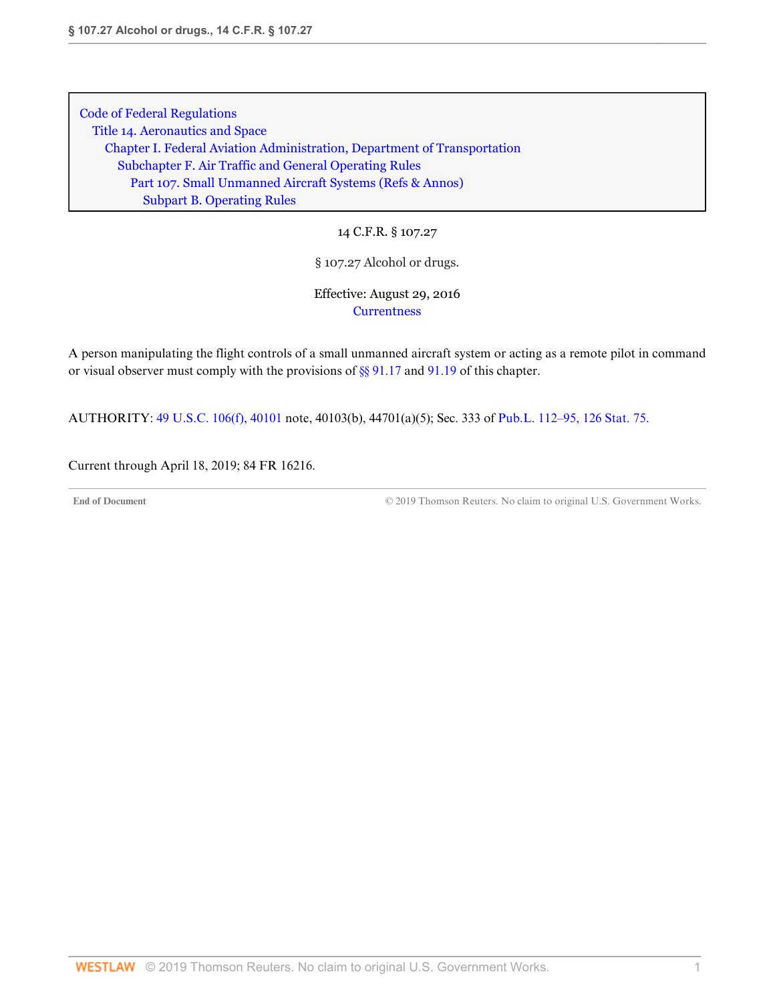14 C.F.R. § 107.27

§ 107.27 Alcohol or drugs.

Effective: August 29, 2016 **[Currentness](#page-15-0)** 

A person manipulating the flight controls of a small unmanned aircraft system or acting as a remote pilot in command or visual observer must comply with the provisions of [§§ 91.17](http://www.westlaw.com/Link/Document/FullText?findType=L&pubNum=1000547&cite=14CFRS91.17&originatingDoc=N25616DA03D3211E685489DC8FA89CE59&refType=VP&originationContext=document&vr=3.0&rs=cblt1.0&transitionType=DocumentItem&contextData=(sc.DocLink)) and [91.19](http://www.westlaw.com/Link/Document/FullText?findType=L&pubNum=1000547&cite=14CFRS91.19&originatingDoc=N25616DA03D3211E685489DC8FA89CE59&refType=VP&originationContext=document&vr=3.0&rs=cblt1.0&transitionType=DocumentItem&contextData=(sc.DocLink)) of this chapter.

AUTHORITY: [49 U.S.C. 106\(f\),](http://www.westlaw.com/Link/Document/FullText?findType=L&pubNum=1000546&cite=49USCAS106&originatingDoc=N25616DA03D3211E685489DC8FA89CE59&refType=RB&originationContext=document&vr=3.0&rs=cblt1.0&transitionType=DocumentItem&contextData=(sc.DocLink)#co_pp_ae0d0000c5150) [40101](http://www.westlaw.com/Link/Document/FullText?findType=L&pubNum=1000546&cite=49USCAS40101&originatingDoc=N25616DA03D3211E685489DC8FA89CE59&refType=LQ&originationContext=document&vr=3.0&rs=cblt1.0&transitionType=DocumentItem&contextData=(sc.DocLink)) note, 40103(b), 44701(a)(5); Sec. 333 of [Pub.L. 112–95, 126 Stat. 75.](http://www.westlaw.com/Link/Document/FullText?findType=l&pubNum=1077005&cite=UUID(I4283FE0058-5011E18DECB-7DFB573E8AC)&originatingDoc=N25616DA03D3211E685489DC8FA89CE59&refType=SL&originationContext=document&vr=3.0&rs=cblt1.0&transitionType=DocumentItem&contextData=(sc.DocLink))

<span id="page-15-0"></span>Current through April 18, 2019; 84 FR 16216.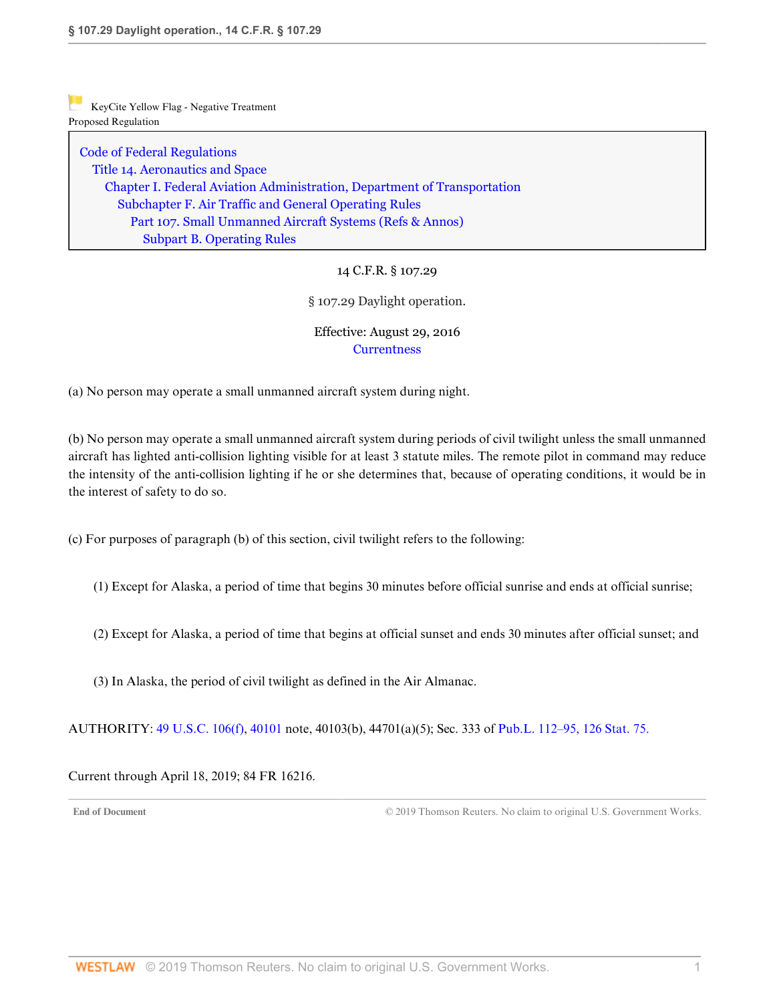[Code of Federal Regulations](http://www.westlaw.com/Browse/Home/Regulations/CodeofFederalRegulationsCFR?transitionType=DocumentItem&contextData=(sc.DocLink)&rs=clbt1.0&vr=3.0) [Title 14. Aeronautics and Space](http://www.westlaw.com/Browse/Home/Regulations/CodeofFederalRegulationsCFR?guid=NB364523085C811D99564CBDD35F58A0E&transitionType=DocumentItem&contextData=(sc.DocLink)&rs=clbt1.0&vr=3.0) [Chapter I. Federal Aviation Administration, Department of Transportation](http://www.westlaw.com/Browse/Home/Regulations/CodeofFederalRegulationsCFR?guid=NB391CAD085C811D99564CBDD35F58A0E&transitionType=DocumentItem&contextData=(sc.DocLink)&rs=clbt1.0&vr=3.0) [Subchapter F. Air Traffic and General Operating Rules](http://www.westlaw.com/Browse/Home/Regulations/CodeofFederalRegulationsCFR?guid=N0D8C9DE0967A11DF8D0C9F00FB5ED07A&transitionType=DocumentItem&contextData=(sc.DocLink)&rs=clbt1.0&vr=3.0) [Part 107. Small Unmanned Aircraft Systems](http://www.westlaw.com/Browse/Home/Regulations/CodeofFederalRegulationsCFR?guid=NCC8A89803D2E11E6A91396A739D63AEE&transitionType=DocumentItem&contextData=(sc.DocLink)&rs=clbt1.0&vr=3.0) [\(Refs & Annos\)](http://www.westlaw.com/Link/Document/FullText?findType=l&cite=lk(CFRT14CISUBCFPT107R)&originatingDoc=N27DD91303D3211E69D65EC9FC0DD0DC9&refType=CM&sourceCite=14+C.F.R.+%c2%a7+107.29&originationContext=document&vr=3.0&rs=cblt1.0&transitionType=DocumentItem&contextData=(sc.DocLink)) [Subpart B. Operating Rules](http://www.westlaw.com/Browse/Home/Regulations/CodeofFederalRegulationsCFR?guid=N7AD2C7503D2F11E68BD3C9863EF273DE&transitionType=DocumentItem&contextData=(sc.DocLink)&rs=clbt1.0&vr=3.0)

# 14 C.F.R. § 107.29

### § 107.29 Daylight operation.

# Effective: August 29, 2016 **[Currentness](#page-16-0)**

(a) No person may operate a small unmanned aircraft system during night.

(b) No person may operate a small unmanned aircraft system during periods of civil twilight unless the small unmanned aircraft has lighted anti-collision lighting visible for at least 3 statute miles. The remote pilot in command may reduce the intensity of the anti-collision lighting if he or she determines that, because of operating conditions, it would be in the interest of safety to do so.

(c) For purposes of paragraph (b) of this section, civil twilight refers to the following:

- (1) Except for Alaska, a period of time that begins 30 minutes before official sunrise and ends at official sunrise;
- (2) Except for Alaska, a period of time that begins at official sunset and ends 30 minutes after official sunset; and
- (3) In Alaska, the period of civil twilight as defined in the Air Almanac.

AUTHORITY: [49 U.S.C. 106\(f\),](http://www.westlaw.com/Link/Document/FullText?findType=L&pubNum=1000546&cite=49USCAS106&originatingDoc=N27DD91303D3211E69D65EC9FC0DD0DC9&refType=RB&originationContext=document&vr=3.0&rs=cblt1.0&transitionType=DocumentItem&contextData=(sc.DocLink)#co_pp_ae0d0000c5150) [40101](http://www.westlaw.com/Link/Document/FullText?findType=L&pubNum=1000546&cite=49USCAS40101&originatingDoc=N27DD91303D3211E69D65EC9FC0DD0DC9&refType=LQ&originationContext=document&vr=3.0&rs=cblt1.0&transitionType=DocumentItem&contextData=(sc.DocLink)) note, 40103(b), 44701(a)(5); Sec. 333 of [Pub.L. 112–95, 126 Stat. 75.](http://www.westlaw.com/Link/Document/FullText?findType=l&pubNum=1077005&cite=UUID(I4283FE0058-5011E18DECB-7DFB573E8AC)&originatingDoc=N27DD91303D3211E69D65EC9FC0DD0DC9&refType=SL&originationContext=document&vr=3.0&rs=cblt1.0&transitionType=DocumentItem&contextData=(sc.DocLink))

<span id="page-16-0"></span>Current through April 18, 2019; 84 FR 16216.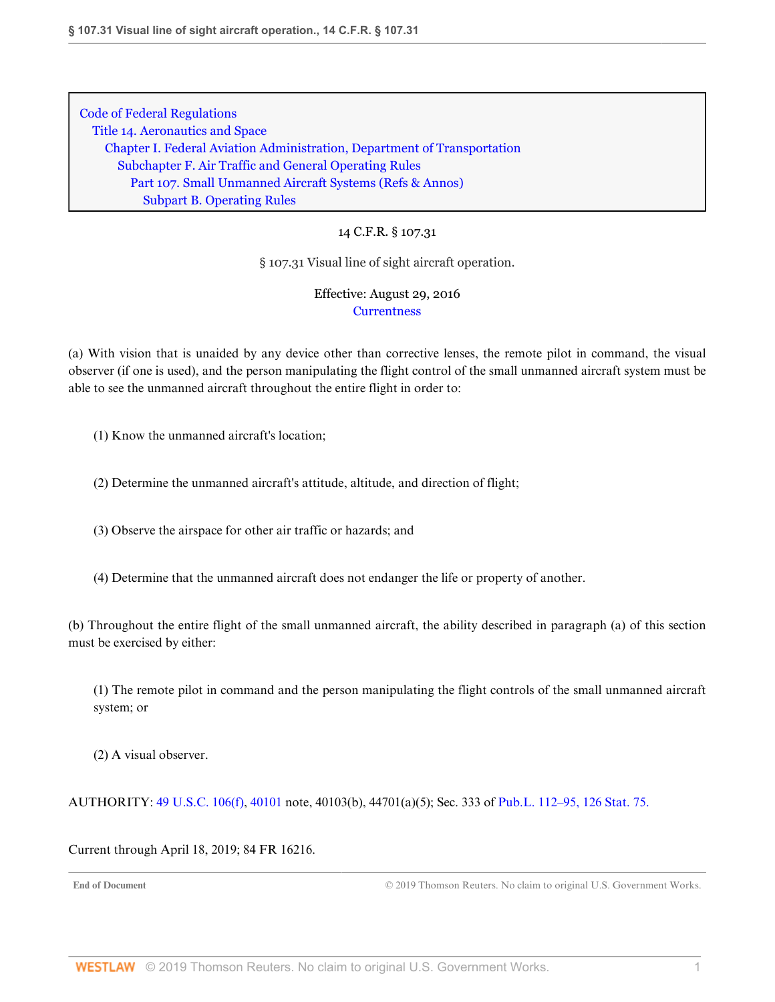# 14 C.F.R. § 107.31

### § 107.31 Visual line of sight aircraft operation.

Effective: August 29, 2016 **[Currentness](#page-17-0)** 

(a) With vision that is unaided by any device other than corrective lenses, the remote pilot in command, the visual observer (if one is used), and the person manipulating the flight control of the small unmanned aircraft system must be able to see the unmanned aircraft throughout the entire flight in order to:

(1) Know the unmanned aircraft's location;

(2) Determine the unmanned aircraft's attitude, altitude, and direction of flight;

(3) Observe the airspace for other air traffic or hazards; and

(4) Determine that the unmanned aircraft does not endanger the life or property of another.

(b) Throughout the entire flight of the small unmanned aircraft, the ability described in paragraph (a) of this section must be exercised by either:

(1) The remote pilot in command and the person manipulating the flight controls of the small unmanned aircraft system; or

(2) A visual observer.

AUTHORITY: [49 U.S.C. 106\(f\),](http://www.westlaw.com/Link/Document/FullText?findType=L&pubNum=1000546&cite=49USCAS106&originatingDoc=N26988E103D3211E6A563D141CA0605C0&refType=RB&originationContext=document&vr=3.0&rs=cblt1.0&transitionType=DocumentItem&contextData=(sc.DocLink)#co_pp_ae0d0000c5150) [40101](http://www.westlaw.com/Link/Document/FullText?findType=L&pubNum=1000546&cite=49USCAS40101&originatingDoc=N26988E103D3211E6A563D141CA0605C0&refType=LQ&originationContext=document&vr=3.0&rs=cblt1.0&transitionType=DocumentItem&contextData=(sc.DocLink)) note, 40103(b), 44701(a)(5); Sec. 333 of [Pub.L. 112–95, 126 Stat. 75.](http://www.westlaw.com/Link/Document/FullText?findType=l&pubNum=1077005&cite=UUID(I4283FE0058-5011E18DECB-7DFB573E8AC)&originatingDoc=N26988E103D3211E6A563D141CA0605C0&refType=SL&originationContext=document&vr=3.0&rs=cblt1.0&transitionType=DocumentItem&contextData=(sc.DocLink))

<span id="page-17-0"></span>Current through April 18, 2019; 84 FR 16216.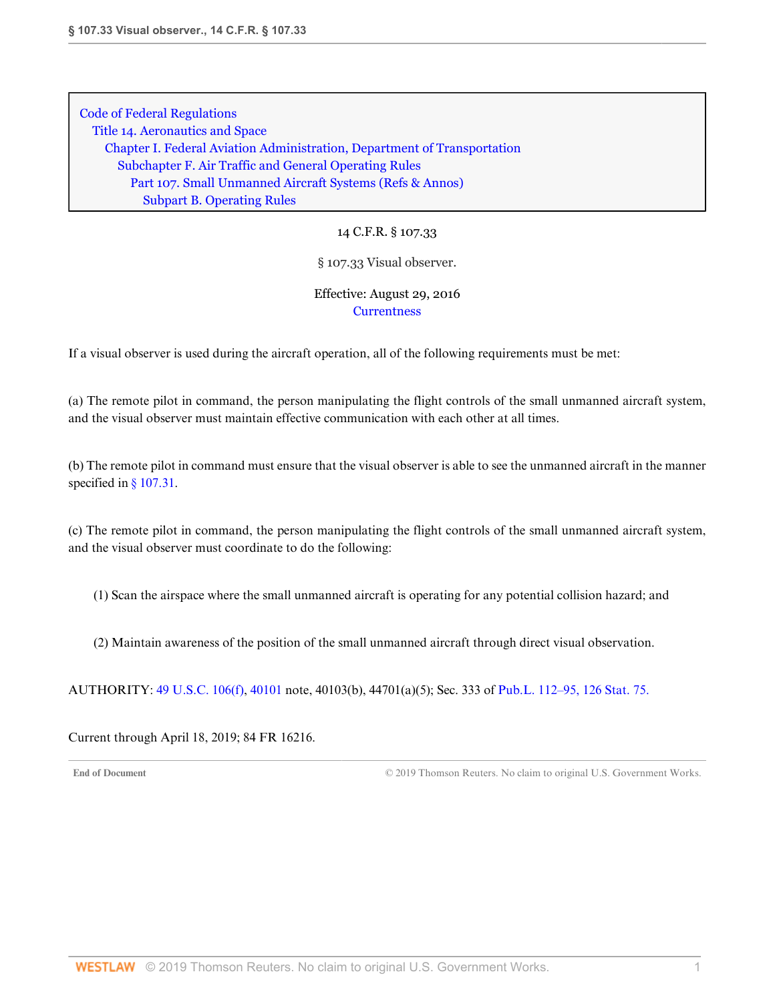14 C.F.R. § 107.33

### § 107.33 Visual observer.

## Effective: August 29, 2016 **[Currentness](#page-18-0)**

If a visual observer is used during the aircraft operation, all of the following requirements must be met:

(a) The remote pilot in command, the person manipulating the flight controls of the small unmanned aircraft system, and the visual observer must maintain effective communication with each other at all times.

(b) The remote pilot in command must ensure that the visual observer is able to see the unmanned aircraft in the manner specified in [§ 107.31](http://www.westlaw.com/Link/Document/FullText?findType=L&pubNum=1000547&cite=14CFRS107.31&originatingDoc=N299999103D3211E6BF5EAB68310EFF5E&refType=VP&originationContext=document&vr=3.0&rs=cblt1.0&transitionType=DocumentItem&contextData=(sc.DocLink)).

(c) The remote pilot in command, the person manipulating the flight controls of the small unmanned aircraft system, and the visual observer must coordinate to do the following:

(1) Scan the airspace where the small unmanned aircraft is operating for any potential collision hazard; and

(2) Maintain awareness of the position of the small unmanned aircraft through direct visual observation.

AUTHORITY: [49 U.S.C. 106\(f\),](http://www.westlaw.com/Link/Document/FullText?findType=L&pubNum=1000546&cite=49USCAS106&originatingDoc=N299999103D3211E6BF5EAB68310EFF5E&refType=RB&originationContext=document&vr=3.0&rs=cblt1.0&transitionType=DocumentItem&contextData=(sc.DocLink)#co_pp_ae0d0000c5150) [40101](http://www.westlaw.com/Link/Document/FullText?findType=L&pubNum=1000546&cite=49USCAS40101&originatingDoc=N299999103D3211E6BF5EAB68310EFF5E&refType=LQ&originationContext=document&vr=3.0&rs=cblt1.0&transitionType=DocumentItem&contextData=(sc.DocLink)) note, 40103(b), 44701(a)(5); Sec. 333 of [Pub.L. 112–95, 126 Stat. 75.](http://www.westlaw.com/Link/Document/FullText?findType=l&pubNum=1077005&cite=UUID(I4283FE0058-5011E18DECB-7DFB573E8AC)&originatingDoc=N299999103D3211E6BF5EAB68310EFF5E&refType=SL&originationContext=document&vr=3.0&rs=cblt1.0&transitionType=DocumentItem&contextData=(sc.DocLink))

<span id="page-18-0"></span>Current through April 18, 2019; 84 FR 16216.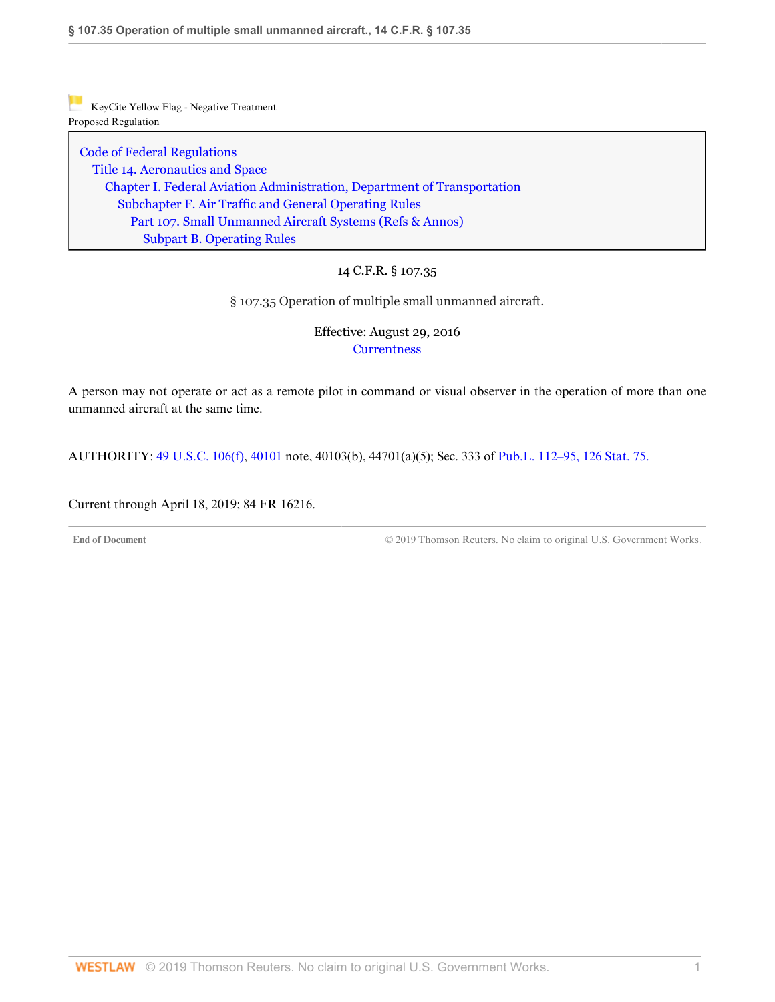[Code of Federal Regulations](http://www.westlaw.com/Browse/Home/Regulations/CodeofFederalRegulationsCFR?transitionType=DocumentItem&contextData=(sc.DocLink)&rs=clbt1.0&vr=3.0) [Title 14. Aeronautics and Space](http://www.westlaw.com/Browse/Home/Regulations/CodeofFederalRegulationsCFR?guid=NB364523085C811D99564CBDD35F58A0E&transitionType=DocumentItem&contextData=(sc.DocLink)&rs=clbt1.0&vr=3.0) [Chapter I. Federal Aviation Administration, Department of Transportation](http://www.westlaw.com/Browse/Home/Regulations/CodeofFederalRegulationsCFR?guid=NB391CAD085C811D99564CBDD35F58A0E&transitionType=DocumentItem&contextData=(sc.DocLink)&rs=clbt1.0&vr=3.0) [Subchapter F. Air Traffic and General Operating Rules](http://www.westlaw.com/Browse/Home/Regulations/CodeofFederalRegulationsCFR?guid=N0D8C9DE0967A11DF8D0C9F00FB5ED07A&transitionType=DocumentItem&contextData=(sc.DocLink)&rs=clbt1.0&vr=3.0) [Part 107. Small Unmanned Aircraft Systems](http://www.westlaw.com/Browse/Home/Regulations/CodeofFederalRegulationsCFR?guid=NCC8A89803D2E11E6A91396A739D63AEE&transitionType=DocumentItem&contextData=(sc.DocLink)&rs=clbt1.0&vr=3.0) [\(Refs & Annos\)](http://www.westlaw.com/Link/Document/FullText?findType=l&cite=lk(CFRT14CISUBCFPT107R)&originatingDoc=N28535D703D3211E6B0E897393DF36488&refType=CM&sourceCite=14+C.F.R.+%c2%a7+107.35&originationContext=document&vr=3.0&rs=cblt1.0&transitionType=DocumentItem&contextData=(sc.DocLink)) [Subpart B. Operating Rules](http://www.westlaw.com/Browse/Home/Regulations/CodeofFederalRegulationsCFR?guid=N7AD2C7503D2F11E68BD3C9863EF273DE&transitionType=DocumentItem&contextData=(sc.DocLink)&rs=clbt1.0&vr=3.0)

# 14 C.F.R. § 107.35

§ 107.35 Operation of multiple small unmanned aircraft.

## Effective: August 29, 2016 **[Currentness](#page-19-0)**

A person may not operate or act as a remote pilot in command or visual observer in the operation of more than one unmanned aircraft at the same time.

AUTHORITY: [49 U.S.C. 106\(f\),](http://www.westlaw.com/Link/Document/FullText?findType=L&pubNum=1000546&cite=49USCAS106&originatingDoc=N28535D703D3211E6B0E897393DF36488&refType=RB&originationContext=document&vr=3.0&rs=cblt1.0&transitionType=DocumentItem&contextData=(sc.DocLink)#co_pp_ae0d0000c5150) [40101](http://www.westlaw.com/Link/Document/FullText?findType=L&pubNum=1000546&cite=49USCAS40101&originatingDoc=N28535D703D3211E6B0E897393DF36488&refType=LQ&originationContext=document&vr=3.0&rs=cblt1.0&transitionType=DocumentItem&contextData=(sc.DocLink)) note, 40103(b), 44701(a)(5); Sec. 333 of [Pub.L. 112–95, 126 Stat. 75.](http://www.westlaw.com/Link/Document/FullText?findType=l&pubNum=1077005&cite=UUID(I4283FE0058-5011E18DECB-7DFB573E8AC)&originatingDoc=N28535D703D3211E6B0E897393DF36488&refType=SL&originationContext=document&vr=3.0&rs=cblt1.0&transitionType=DocumentItem&contextData=(sc.DocLink))

<span id="page-19-0"></span>Current through April 18, 2019; 84 FR 16216.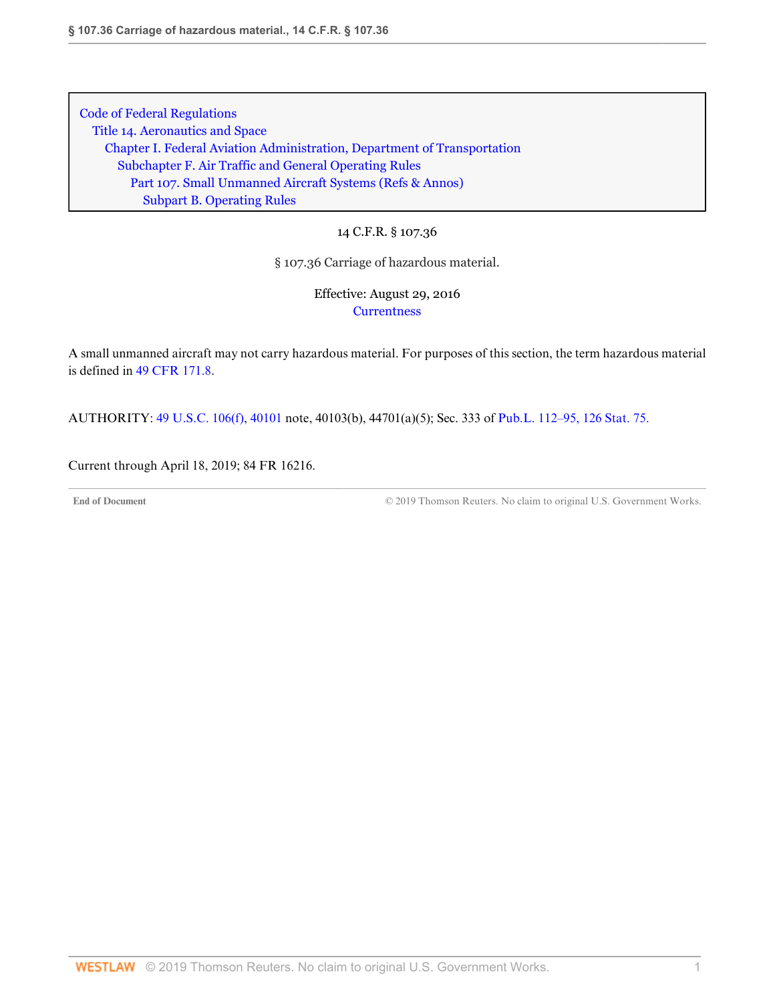14 C.F.R. § 107.36

§ 107.36 Carriage of hazardous material.

Effective: August 29, 2016 **[Currentness](#page-20-0)** 

A small unmanned aircraft may not carry hazardous material. For purposes of this section, the term hazardous material is defined in [49 CFR 171.8.](http://www.westlaw.com/Link/Document/FullText?findType=L&pubNum=1000547&cite=49CFRS171.8&originatingDoc=N2900B4703D3211E6B0E897393DF36488&refType=VP&originationContext=document&vr=3.0&rs=cblt1.0&transitionType=DocumentItem&contextData=(sc.DocLink))

AUTHORITY: [49 U.S.C. 106\(f\),](http://www.westlaw.com/Link/Document/FullText?findType=L&pubNum=1000546&cite=49USCAS106&originatingDoc=N2900B4703D3211E6B0E897393DF36488&refType=RB&originationContext=document&vr=3.0&rs=cblt1.0&transitionType=DocumentItem&contextData=(sc.DocLink)#co_pp_ae0d0000c5150) [40101](http://www.westlaw.com/Link/Document/FullText?findType=L&pubNum=1000546&cite=49USCAS40101&originatingDoc=N2900B4703D3211E6B0E897393DF36488&refType=LQ&originationContext=document&vr=3.0&rs=cblt1.0&transitionType=DocumentItem&contextData=(sc.DocLink)) note, 40103(b), 44701(a)(5); Sec. 333 of [Pub.L. 112–95, 126 Stat. 75.](http://www.westlaw.com/Link/Document/FullText?findType=l&pubNum=1077005&cite=UUID(I4283FE0058-5011E18DECB-7DFB573E8AC)&originatingDoc=N2900B4703D3211E6B0E897393DF36488&refType=SL&originationContext=document&vr=3.0&rs=cblt1.0&transitionType=DocumentItem&contextData=(sc.DocLink))

<span id="page-20-0"></span>Current through April 18, 2019; 84 FR 16216.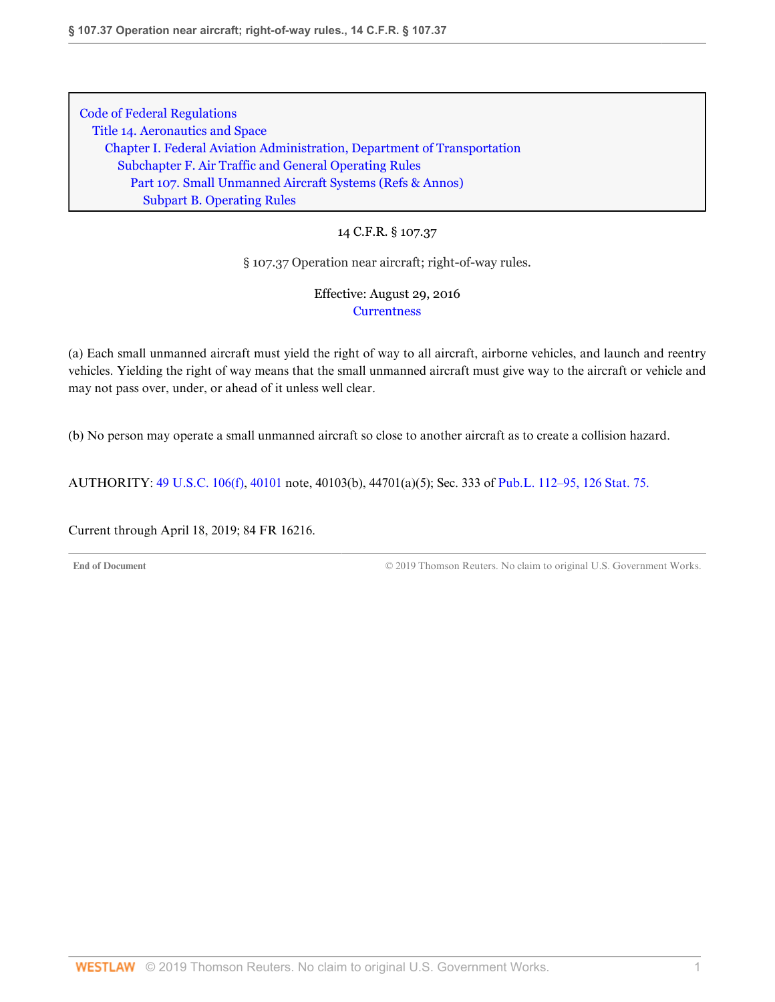14 C.F.R. § 107.37

§ 107.37 Operation near aircraft; right-of-way rules.

Effective: August 29, 2016 **[Currentness](#page-21-0)** 

(a) Each small unmanned aircraft must yield the right of way to all aircraft, airborne vehicles, and launch and reentry vehicles. Yielding the right of way means that the small unmanned aircraft must give way to the aircraft or vehicle and may not pass over, under, or ahead of it unless well clear.

(b) No person may operate a small unmanned aircraft so close to another aircraft as to create a collision hazard.

AUTHORITY: [49 U.S.C. 106\(f\),](http://www.westlaw.com/Link/Document/FullText?findType=L&pubNum=1000546&cite=49USCAS106&originatingDoc=N24A12AE03D3211E685489DC8FA89CE59&refType=RB&originationContext=document&vr=3.0&rs=cblt1.0&transitionType=DocumentItem&contextData=(sc.DocLink)#co_pp_ae0d0000c5150) [40101](http://www.westlaw.com/Link/Document/FullText?findType=L&pubNum=1000546&cite=49USCAS40101&originatingDoc=N24A12AE03D3211E685489DC8FA89CE59&refType=LQ&originationContext=document&vr=3.0&rs=cblt1.0&transitionType=DocumentItem&contextData=(sc.DocLink)) note, 40103(b), 44701(a)(5); Sec. 333 of [Pub.L. 112–95, 126 Stat. 75.](http://www.westlaw.com/Link/Document/FullText?findType=l&pubNum=1077005&cite=UUID(I4283FE0058-5011E18DECB-7DFB573E8AC)&originatingDoc=N24A12AE03D3211E685489DC8FA89CE59&refType=SL&originationContext=document&vr=3.0&rs=cblt1.0&transitionType=DocumentItem&contextData=(sc.DocLink))

<span id="page-21-0"></span>Current through April 18, 2019; 84 FR 16216.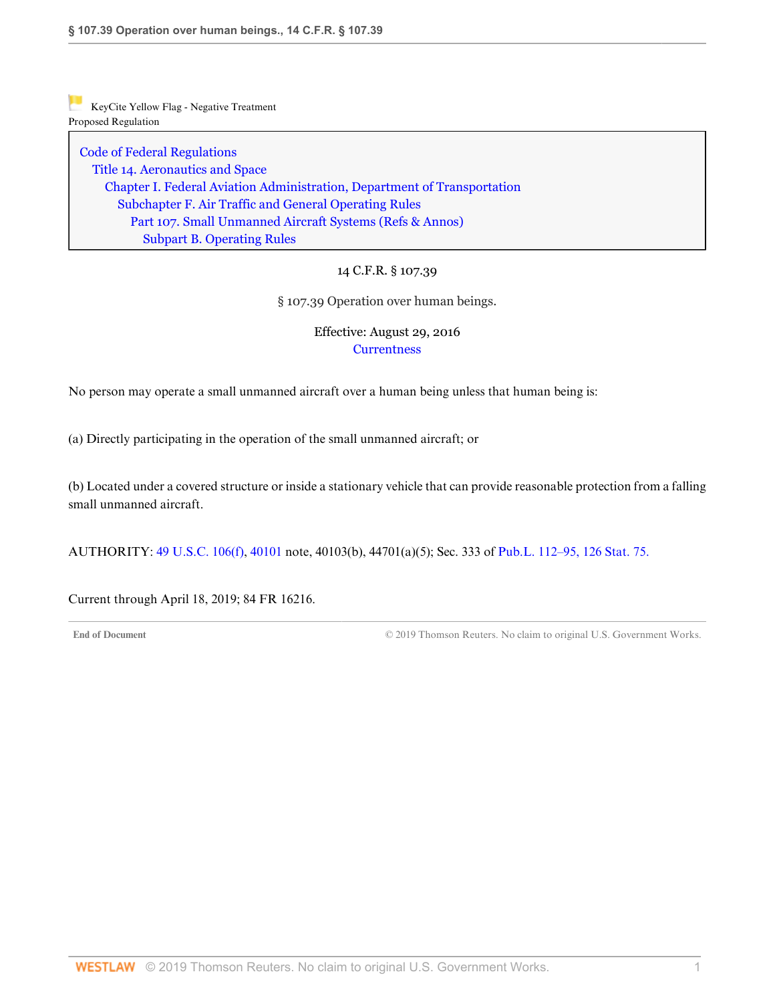[Code of Federal Regulations](http://www.westlaw.com/Browse/Home/Regulations/CodeofFederalRegulationsCFR?transitionType=DocumentItem&contextData=(sc.DocLink)&rs=clbt1.0&vr=3.0) [Title 14. Aeronautics and Space](http://www.westlaw.com/Browse/Home/Regulations/CodeofFederalRegulationsCFR?guid=NB364523085C811D99564CBDD35F58A0E&transitionType=DocumentItem&contextData=(sc.DocLink)&rs=clbt1.0&vr=3.0) [Chapter I. Federal Aviation Administration, Department of Transportation](http://www.westlaw.com/Browse/Home/Regulations/CodeofFederalRegulationsCFR?guid=NB391CAD085C811D99564CBDD35F58A0E&transitionType=DocumentItem&contextData=(sc.DocLink)&rs=clbt1.0&vr=3.0) [Subchapter F. Air Traffic and General Operating Rules](http://www.westlaw.com/Browse/Home/Regulations/CodeofFederalRegulationsCFR?guid=N0D8C9DE0967A11DF8D0C9F00FB5ED07A&transitionType=DocumentItem&contextData=(sc.DocLink)&rs=clbt1.0&vr=3.0) [Part 107. Small Unmanned Aircraft Systems](http://www.westlaw.com/Browse/Home/Regulations/CodeofFederalRegulationsCFR?guid=NCC8A89803D2E11E6A91396A739D63AEE&transitionType=DocumentItem&contextData=(sc.DocLink)&rs=clbt1.0&vr=3.0) [\(Refs & Annos\)](http://www.westlaw.com/Link/Document/FullText?findType=l&cite=lk(CFRT14CISUBCFPT107R)&originatingDoc=N28D86BF03D3211E685489DC8FA89CE59&refType=CM&sourceCite=14+C.F.R.+%c2%a7+107.39&originationContext=document&vr=3.0&rs=cblt1.0&transitionType=DocumentItem&contextData=(sc.DocLink)) [Subpart B. Operating Rules](http://www.westlaw.com/Browse/Home/Regulations/CodeofFederalRegulationsCFR?guid=N7AD2C7503D2F11E68BD3C9863EF273DE&transitionType=DocumentItem&contextData=(sc.DocLink)&rs=clbt1.0&vr=3.0)

## 14 C.F.R. § 107.39

§ 107.39 Operation over human beings.

## Effective: August 29, 2016 **[Currentness](#page-22-0)**

No person may operate a small unmanned aircraft over a human being unless that human being is:

(a) Directly participating in the operation of the small unmanned aircraft; or

(b) Located under a covered structure or inside a stationary vehicle that can provide reasonable protection from a falling small unmanned aircraft.

AUTHORITY: [49 U.S.C. 106\(f\),](http://www.westlaw.com/Link/Document/FullText?findType=L&pubNum=1000546&cite=49USCAS106&originatingDoc=N28D86BF03D3211E685489DC8FA89CE59&refType=RB&originationContext=document&vr=3.0&rs=cblt1.0&transitionType=DocumentItem&contextData=(sc.DocLink)#co_pp_ae0d0000c5150) [40101](http://www.westlaw.com/Link/Document/FullText?findType=L&pubNum=1000546&cite=49USCAS40101&originatingDoc=N28D86BF03D3211E685489DC8FA89CE59&refType=LQ&originationContext=document&vr=3.0&rs=cblt1.0&transitionType=DocumentItem&contextData=(sc.DocLink)) note, 40103(b), 44701(a)(5); Sec. 333 of [Pub.L. 112–95, 126 Stat. 75.](http://www.westlaw.com/Link/Document/FullText?findType=l&pubNum=1077005&cite=UUID(I4283FE0058-5011E18DECB-7DFB573E8AC)&originatingDoc=N28D86BF03D3211E685489DC8FA89CE59&refType=SL&originationContext=document&vr=3.0&rs=cblt1.0&transitionType=DocumentItem&contextData=(sc.DocLink))

<span id="page-22-0"></span>Current through April 18, 2019; 84 FR 16216.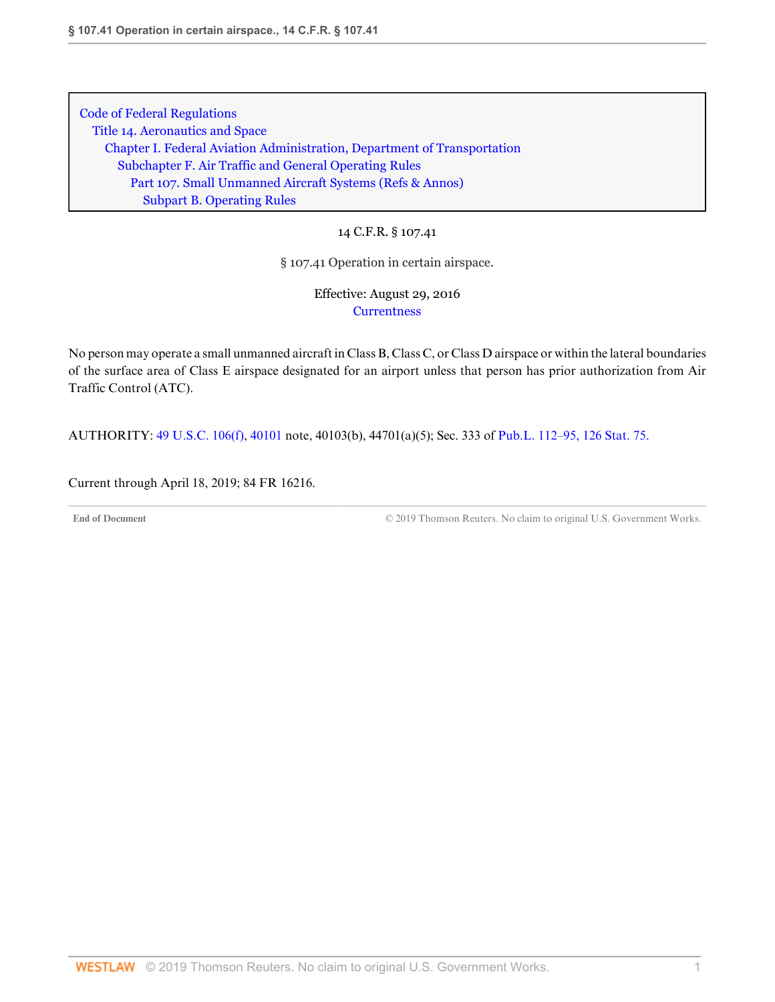14 C.F.R. § 107.41

§ 107.41 Operation in certain airspace.

Effective: August 29, 2016 **[Currentness](#page-23-0)** 

No person may operate a small unmanned aircraft in Class B, Class C, or Class D airspace or within the lateral boundaries of the surface area of Class E airspace designated for an airport unless that person has prior authorization from Air Traffic Control (ATC).

AUTHORITY: [49 U.S.C. 106\(f\),](http://www.westlaw.com/Link/Document/FullText?findType=L&pubNum=1000546&cite=49USCAS106&originatingDoc=N2A77C4103D3211E6BF5EAB68310EFF5E&refType=RB&originationContext=document&vr=3.0&rs=cblt1.0&transitionType=DocumentItem&contextData=(sc.DocLink)#co_pp_ae0d0000c5150) [40101](http://www.westlaw.com/Link/Document/FullText?findType=L&pubNum=1000546&cite=49USCAS40101&originatingDoc=N2A77C4103D3211E6BF5EAB68310EFF5E&refType=LQ&originationContext=document&vr=3.0&rs=cblt1.0&transitionType=DocumentItem&contextData=(sc.DocLink)) note, 40103(b), 44701(a)(5); Sec. 333 of [Pub.L. 112–95, 126 Stat. 75.](http://www.westlaw.com/Link/Document/FullText?findType=l&pubNum=1077005&cite=UUID(I4283FE0058-5011E18DECB-7DFB573E8AC)&originatingDoc=N2A77C4103D3211E6BF5EAB68310EFF5E&refType=SL&originationContext=document&vr=3.0&rs=cblt1.0&transitionType=DocumentItem&contextData=(sc.DocLink))

<span id="page-23-0"></span>Current through April 18, 2019; 84 FR 16216.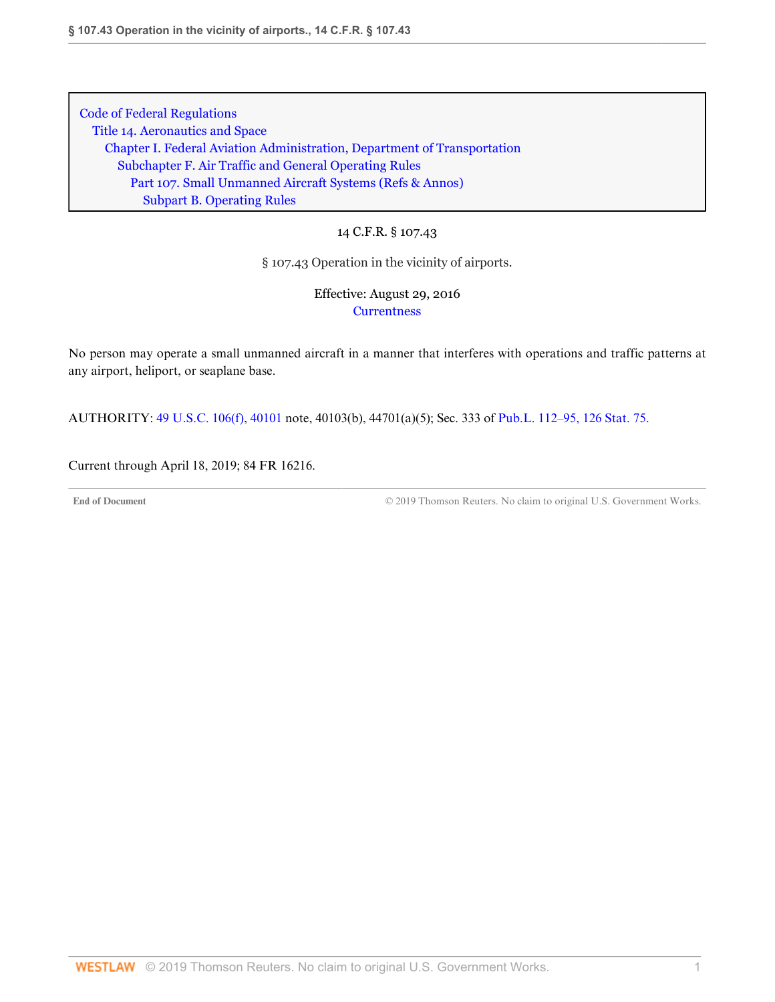# 14 C.F.R. § 107.43

### § 107.43 Operation in the vicinity of airports.

# Effective: August 29, 2016 **[Currentness](#page-24-0)**

No person may operate a small unmanned aircraft in a manner that interferes with operations and traffic patterns at any airport, heliport, or seaplane base.

AUTHORITY: [49 U.S.C. 106\(f\),](http://www.westlaw.com/Link/Document/FullText?findType=L&pubNum=1000546&cite=49USCAS106&originatingDoc=N23B480F03D3211E6BF5EAB68310EFF5E&refType=RB&originationContext=document&vr=3.0&rs=cblt1.0&transitionType=DocumentItem&contextData=(sc.DocLink)#co_pp_ae0d0000c5150) [40101](http://www.westlaw.com/Link/Document/FullText?findType=L&pubNum=1000546&cite=49USCAS40101&originatingDoc=N23B480F03D3211E6BF5EAB68310EFF5E&refType=LQ&originationContext=document&vr=3.0&rs=cblt1.0&transitionType=DocumentItem&contextData=(sc.DocLink)) note, 40103(b), 44701(a)(5); Sec. 333 of [Pub.L. 112–95, 126 Stat. 75.](http://www.westlaw.com/Link/Document/FullText?findType=l&pubNum=1077005&cite=UUID(I4283FE0058-5011E18DECB-7DFB573E8AC)&originatingDoc=N23B480F03D3211E6BF5EAB68310EFF5E&refType=SL&originationContext=document&vr=3.0&rs=cblt1.0&transitionType=DocumentItem&contextData=(sc.DocLink))

<span id="page-24-0"></span>Current through April 18, 2019; 84 FR 16216.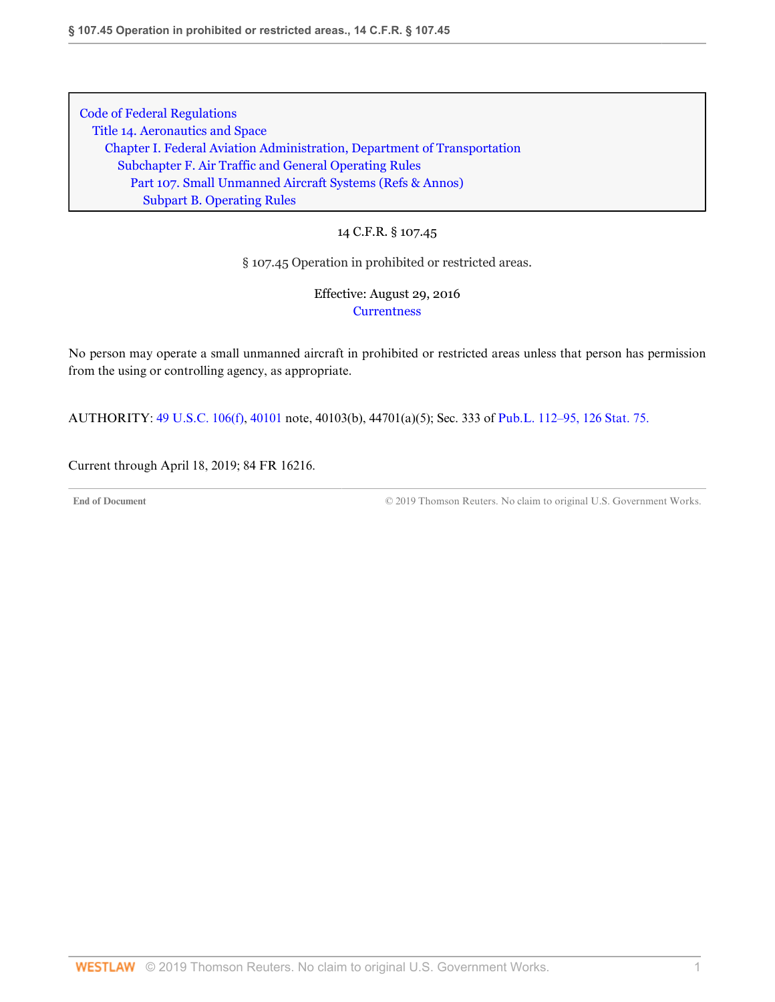### 14 C.F.R. § 107.45

#### § 107.45 Operation in prohibited or restricted areas.

# Effective: August 29, 2016 **[Currentness](#page-25-0)**

No person may operate a small unmanned aircraft in prohibited or restricted areas unless that person has permission from the using or controlling agency, as appropriate.

AUTHORITY: [49 U.S.C. 106\(f\),](http://www.westlaw.com/Link/Document/FullText?findType=L&pubNum=1000546&cite=49USCAS106&originatingDoc=N280EDA603D3211E685489DC8FA89CE59&refType=RB&originationContext=document&vr=3.0&rs=cblt1.0&transitionType=DocumentItem&contextData=(sc.DocLink)#co_pp_ae0d0000c5150) [40101](http://www.westlaw.com/Link/Document/FullText?findType=L&pubNum=1000546&cite=49USCAS40101&originatingDoc=N280EDA603D3211E685489DC8FA89CE59&refType=LQ&originationContext=document&vr=3.0&rs=cblt1.0&transitionType=DocumentItem&contextData=(sc.DocLink)) note, 40103(b), 44701(a)(5); Sec. 333 of [Pub.L. 112–95, 126 Stat. 75.](http://www.westlaw.com/Link/Document/FullText?findType=l&pubNum=1077005&cite=UUID(I4283FE0058-5011E18DECB-7DFB573E8AC)&originatingDoc=N280EDA603D3211E685489DC8FA89CE59&refType=SL&originationContext=document&vr=3.0&rs=cblt1.0&transitionType=DocumentItem&contextData=(sc.DocLink))

<span id="page-25-0"></span>Current through April 18, 2019; 84 FR 16216.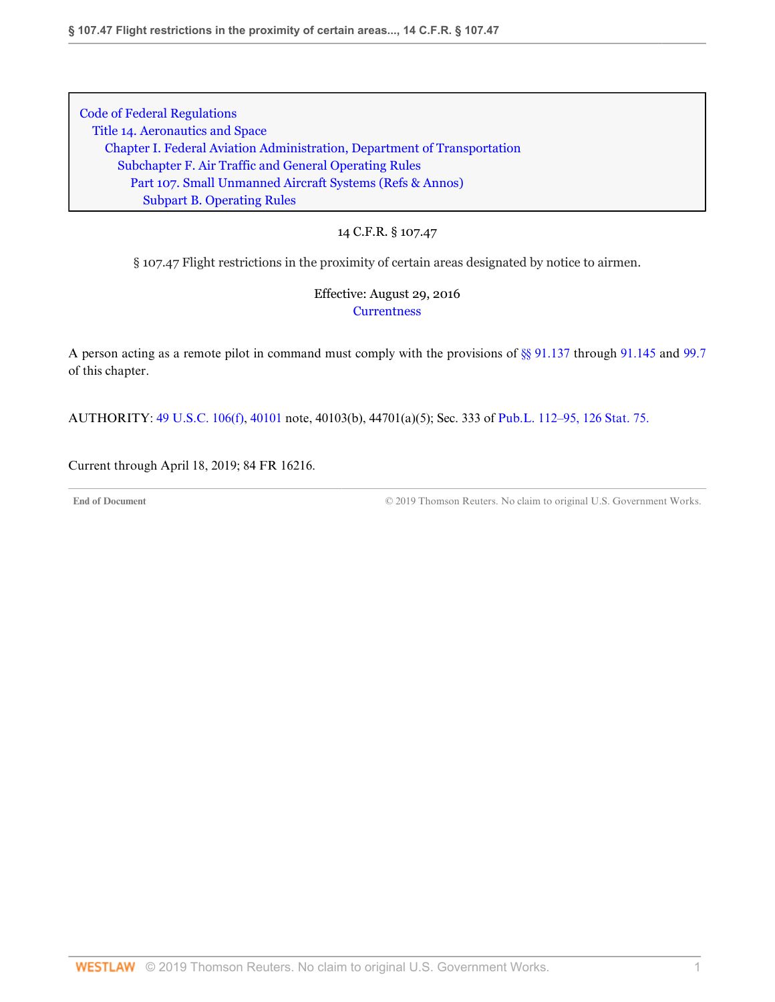14 C.F.R. § 107.47

§ 107.47 Flight restrictions in the proximity of certain areas designated by notice to airmen.

Effective: August 29, 2016 **[Currentness](#page-26-0)** 

A person acting as a remote pilot in command must comply with the provisions of [§§ 91.137](http://www.westlaw.com/Link/Document/FullText?findType=L&pubNum=1000547&cite=14CFRS91.137&originatingDoc=N29BE86303D3211E6BF5EAB68310EFF5E&refType=VP&originationContext=document&vr=3.0&rs=cblt1.0&transitionType=DocumentItem&contextData=(sc.DocLink)) through [91.145](http://www.westlaw.com/Link/Document/FullText?findType=L&pubNum=1000547&cite=14CFRS91.145&originatingDoc=N29BE86303D3211E6BF5EAB68310EFF5E&refType=VP&originationContext=document&vr=3.0&rs=cblt1.0&transitionType=DocumentItem&contextData=(sc.DocLink)) and [99.7](http://www.westlaw.com/Link/Document/FullText?findType=L&pubNum=1000547&cite=14CFRS99.7&originatingDoc=N29BE86303D3211E6BF5EAB68310EFF5E&refType=VP&originationContext=document&vr=3.0&rs=cblt1.0&transitionType=DocumentItem&contextData=(sc.DocLink)) of this chapter.

AUTHORITY: [49 U.S.C. 106\(f\),](http://www.westlaw.com/Link/Document/FullText?findType=L&pubNum=1000546&cite=49USCAS106&originatingDoc=N29BE86303D3211E6BF5EAB68310EFF5E&refType=RB&originationContext=document&vr=3.0&rs=cblt1.0&transitionType=DocumentItem&contextData=(sc.DocLink)#co_pp_ae0d0000c5150) [40101](http://www.westlaw.com/Link/Document/FullText?findType=L&pubNum=1000546&cite=49USCAS40101&originatingDoc=N29BE86303D3211E6BF5EAB68310EFF5E&refType=LQ&originationContext=document&vr=3.0&rs=cblt1.0&transitionType=DocumentItem&contextData=(sc.DocLink)) note, 40103(b), 44701(a)(5); Sec. 333 of [Pub.L. 112–95, 126 Stat. 75.](http://www.westlaw.com/Link/Document/FullText?findType=l&pubNum=1077005&cite=UUID(I4283FE0058-5011E18DECB-7DFB573E8AC)&originatingDoc=N29BE86303D3211E6BF5EAB68310EFF5E&refType=SL&originationContext=document&vr=3.0&rs=cblt1.0&transitionType=DocumentItem&contextData=(sc.DocLink))

<span id="page-26-0"></span>Current through April 18, 2019; 84 FR 16216.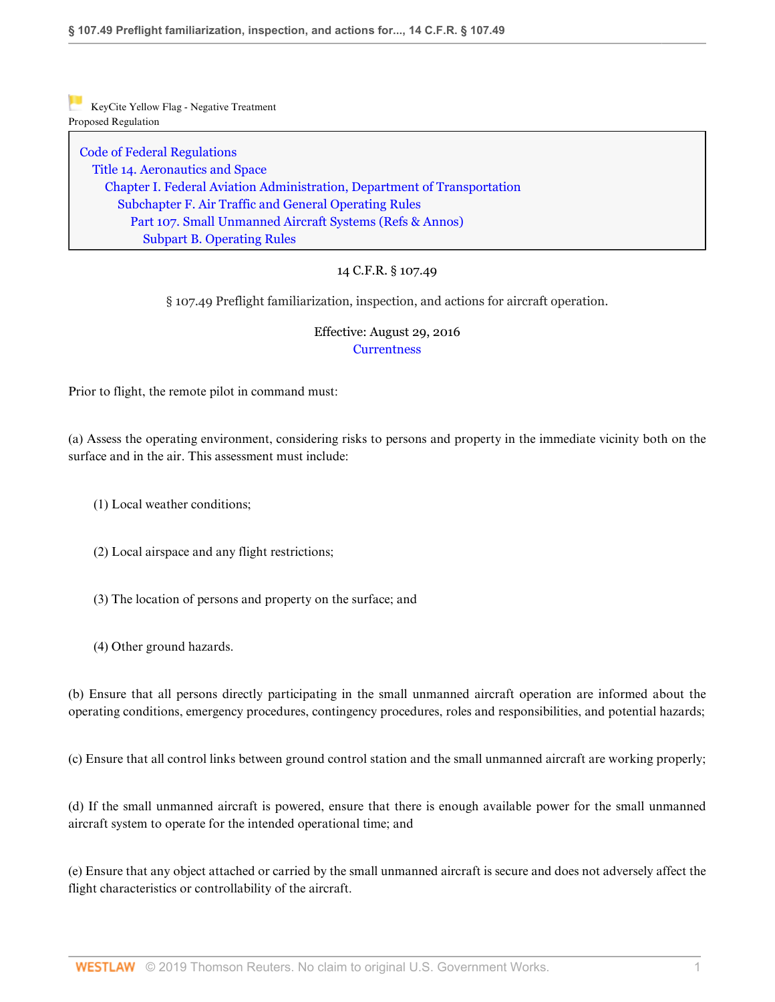[Code of Federal Regulations](http://www.westlaw.com/Browse/Home/Regulations/CodeofFederalRegulationsCFR?transitionType=DocumentItem&contextData=(sc.DocLink)&rs=clbt1.0&vr=3.0) [Title 14. Aeronautics and Space](http://www.westlaw.com/Browse/Home/Regulations/CodeofFederalRegulationsCFR?guid=NB364523085C811D99564CBDD35F58A0E&transitionType=DocumentItem&contextData=(sc.DocLink)&rs=clbt1.0&vr=3.0) [Chapter I. Federal Aviation Administration, Department of Transportation](http://www.westlaw.com/Browse/Home/Regulations/CodeofFederalRegulationsCFR?guid=NB391CAD085C811D99564CBDD35F58A0E&transitionType=DocumentItem&contextData=(sc.DocLink)&rs=clbt1.0&vr=3.0) [Subchapter F. Air Traffic and General Operating Rules](http://www.westlaw.com/Browse/Home/Regulations/CodeofFederalRegulationsCFR?guid=N0D8C9DE0967A11DF8D0C9F00FB5ED07A&transitionType=DocumentItem&contextData=(sc.DocLink)&rs=clbt1.0&vr=3.0) [Part 107. Small Unmanned Aircraft Systems](http://www.westlaw.com/Browse/Home/Regulations/CodeofFederalRegulationsCFR?guid=NCC8A89803D2E11E6A91396A739D63AEE&transitionType=DocumentItem&contextData=(sc.DocLink)&rs=clbt1.0&vr=3.0) [\(Refs & Annos\)](http://www.westlaw.com/Link/Document/FullText?findType=l&cite=lk(CFRT14CISUBCFPT107R)&originatingDoc=N287564603D3211E69D65EC9FC0DD0DC9&refType=CM&sourceCite=14+C.F.R.+%c2%a7+107.49&originationContext=document&vr=3.0&rs=cblt1.0&transitionType=DocumentItem&contextData=(sc.DocLink)) [Subpart B. Operating Rules](http://www.westlaw.com/Browse/Home/Regulations/CodeofFederalRegulationsCFR?guid=N7AD2C7503D2F11E68BD3C9863EF273DE&transitionType=DocumentItem&contextData=(sc.DocLink)&rs=clbt1.0&vr=3.0)

## 14 C.F.R. § 107.49

§ 107.49 Preflight familiarization, inspection, and actions for aircraft operation.

## Effective: August 29, 2016 **[Currentness](#page-28-0)**

Prior to flight, the remote pilot in command must:

(a) Assess the operating environment, considering risks to persons and property in the immediate vicinity both on the surface and in the air. This assessment must include:

- (1) Local weather conditions;
- (2) Local airspace and any flight restrictions;
- (3) The location of persons and property on the surface; and
- (4) Other ground hazards.

(b) Ensure that all persons directly participating in the small unmanned aircraft operation are informed about the operating conditions, emergency procedures, contingency procedures, roles and responsibilities, and potential hazards;

(c) Ensure that all control links between ground control station and the small unmanned aircraft are working properly;

(d) If the small unmanned aircraft is powered, ensure that there is enough available power for the small unmanned aircraft system to operate for the intended operational time; and

(e) Ensure that any object attached or carried by the small unmanned aircraft is secure and does not adversely affect the flight characteristics or controllability of the aircraft.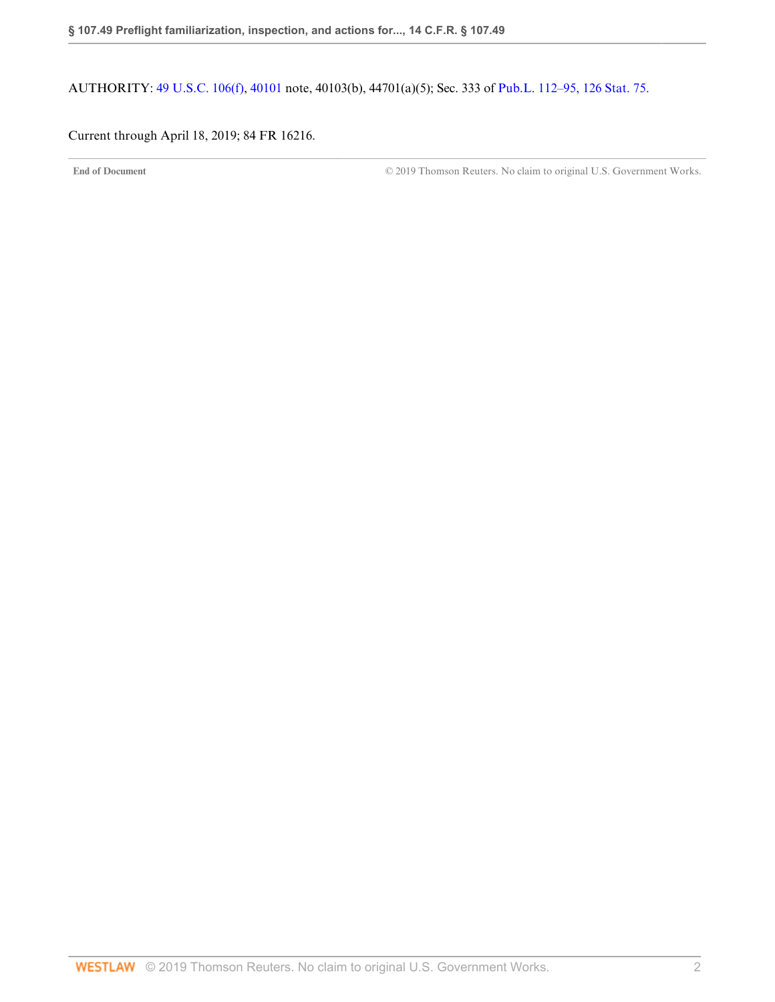AUTHORITY: [49 U.S.C. 106\(f\),](http://www.westlaw.com/Link/Document/FullText?findType=L&pubNum=1000546&cite=49USCAS106&originatingDoc=N287564603D3211E69D65EC9FC0DD0DC9&refType=RB&originationContext=document&vr=3.0&rs=cblt1.0&transitionType=DocumentItem&contextData=(sc.DocLink)#co_pp_ae0d0000c5150) [40101](http://www.westlaw.com/Link/Document/FullText?findType=L&pubNum=1000546&cite=49USCAS40101&originatingDoc=N287564603D3211E69D65EC9FC0DD0DC9&refType=LQ&originationContext=document&vr=3.0&rs=cblt1.0&transitionType=DocumentItem&contextData=(sc.DocLink)) note, 40103(b), 44701(a)(5); Sec. 333 of [Pub.L. 112–95, 126 Stat. 75.](http://www.westlaw.com/Link/Document/FullText?findType=l&pubNum=1077005&cite=UUID(I4283FE0058-5011E18DECB-7DFB573E8AC)&originatingDoc=N287564603D3211E69D65EC9FC0DD0DC9&refType=SL&originationContext=document&vr=3.0&rs=cblt1.0&transitionType=DocumentItem&contextData=(sc.DocLink))

## <span id="page-28-0"></span>Current through April 18, 2019; 84 FR 16216.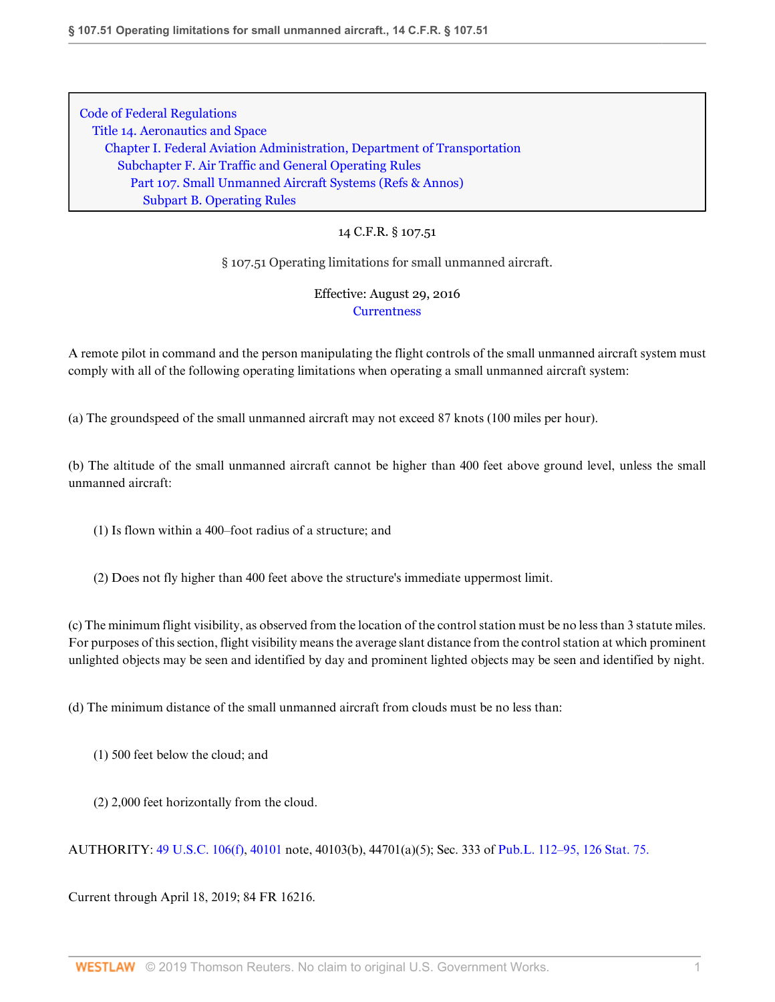# 14 C.F.R. § 107.51

§ 107.51 Operating limitations for small unmanned aircraft.

# Effective: August 29, 2016 **[Currentness](#page-29-0)**

A remote pilot in command and the person manipulating the flight controls of the small unmanned aircraft system must comply with all of the following operating limitations when operating a small unmanned aircraft system:

(a) The groundspeed of the small unmanned aircraft may not exceed 87 knots (100 miles per hour).

(b) The altitude of the small unmanned aircraft cannot be higher than 400 feet above ground level, unless the small unmanned aircraft:

(1) Is flown within a 400–foot radius of a structure; and

(2) Does not fly higher than 400 feet above the structure's immediate uppermost limit.

(c) The minimum flight visibility, as observed from the location of the control station must be no less than 3 statute miles. For purposes of this section, flight visibility means the average slant distance from the control station at which prominent unlighted objects may be seen and identified by day and prominent lighted objects may be seen and identified by night.

(d) The minimum distance of the small unmanned aircraft from clouds must be no less than:

- (1) 500 feet below the cloud; and
- (2) 2,000 feet horizontally from the cloud.

AUTHORITY: [49 U.S.C. 106\(f\),](http://www.westlaw.com/Link/Document/FullText?findType=L&pubNum=1000546&cite=49USCAS106&originatingDoc=N2ABD0A703D3211E69D65EC9FC0DD0DC9&refType=RB&originationContext=document&vr=3.0&rs=cblt1.0&transitionType=DocumentItem&contextData=(sc.DocLink)#co_pp_ae0d0000c5150) [40101](http://www.westlaw.com/Link/Document/FullText?findType=L&pubNum=1000546&cite=49USCAS40101&originatingDoc=N2ABD0A703D3211E69D65EC9FC0DD0DC9&refType=LQ&originationContext=document&vr=3.0&rs=cblt1.0&transitionType=DocumentItem&contextData=(sc.DocLink)) note, 40103(b), 44701(a)(5); Sec. 333 of [Pub.L. 112–95, 126 Stat. 75.](http://www.westlaw.com/Link/Document/FullText?findType=l&pubNum=1077005&cite=UUID(I4283FE0058-5011E18DECB-7DFB573E8AC)&originatingDoc=N2ABD0A703D3211E69D65EC9FC0DD0DC9&refType=SL&originationContext=document&vr=3.0&rs=cblt1.0&transitionType=DocumentItem&contextData=(sc.DocLink))

<span id="page-29-0"></span>Current through April 18, 2019; 84 FR 16216.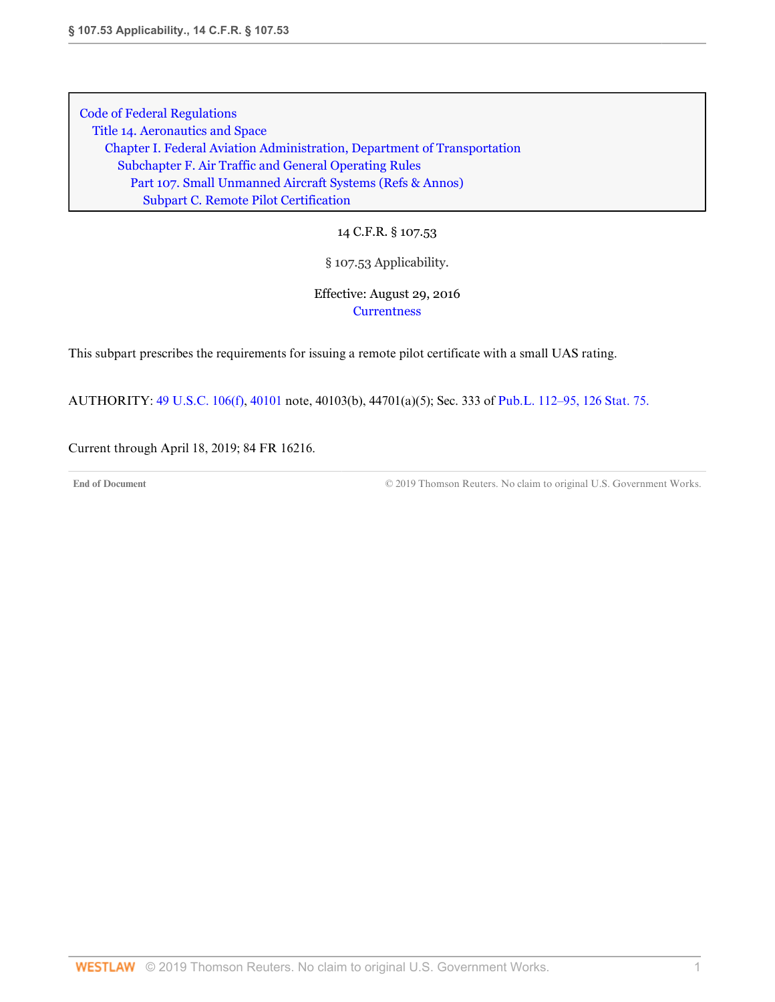14 C.F.R. § 107.53

# § 107.53 Applicability.

# Effective: August 29, 2016 **[Currentness](#page-31-0)**

This subpart prescribes the requirements for issuing a remote pilot certificate with a small UAS rating.

AUTHORITY: [49 U.S.C. 106\(f\),](http://www.westlaw.com/Link/Document/FullText?findType=L&pubNum=1000546&cite=49USCAS106&originatingDoc=ND56143E03D9D11E6ACAF9E5216076AB4&refType=RB&originationContext=document&vr=3.0&rs=cblt1.0&transitionType=DocumentItem&contextData=(sc.DocLink)#co_pp_ae0d0000c5150) [40101](http://www.westlaw.com/Link/Document/FullText?findType=L&pubNum=1000546&cite=49USCAS40101&originatingDoc=ND56143E03D9D11E6ACAF9E5216076AB4&refType=LQ&originationContext=document&vr=3.0&rs=cblt1.0&transitionType=DocumentItem&contextData=(sc.DocLink)) note, 40103(b), 44701(a)(5); Sec. 333 of [Pub.L. 112–95, 126 Stat. 75.](http://www.westlaw.com/Link/Document/FullText?findType=l&pubNum=1077005&cite=UUID(I4283FE0058-5011E18DECB-7DFB573E8AC)&originatingDoc=ND56143E03D9D11E6ACAF9E5216076AB4&refType=SL&originationContext=document&vr=3.0&rs=cblt1.0&transitionType=DocumentItem&contextData=(sc.DocLink))

<span id="page-31-0"></span>Current through April 18, 2019; 84 FR 16216.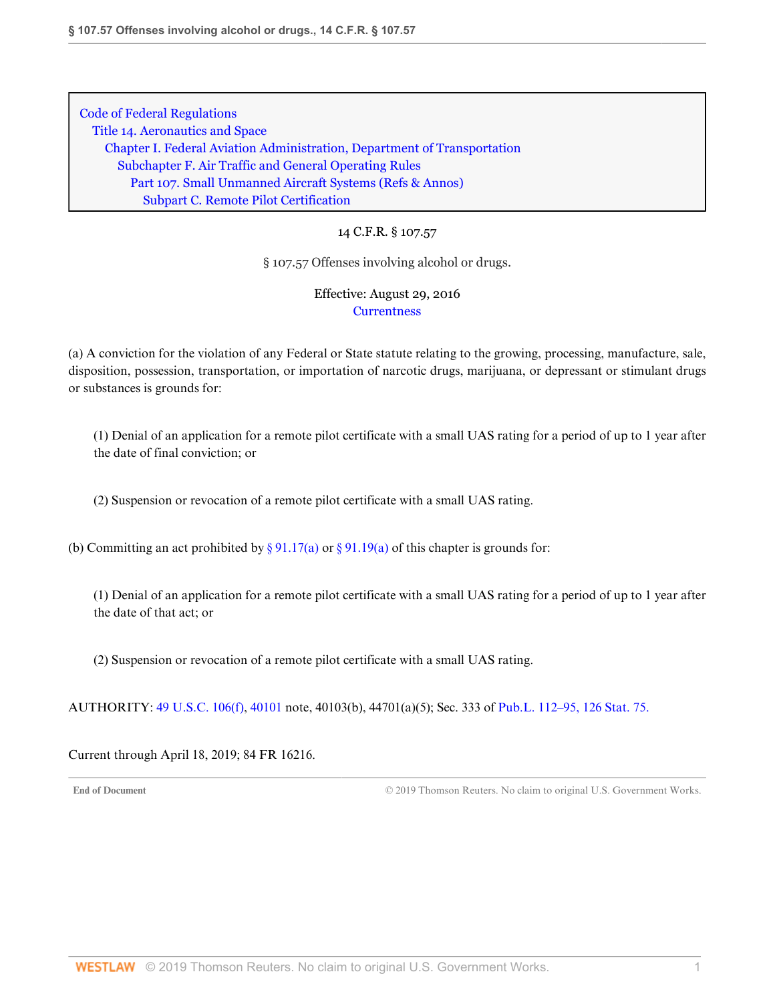#### 14 C.F.R. § 107.57

#### § 107.57 Offenses involving alcohol or drugs.

## Effective: August 29, 2016 **[Currentness](#page-32-0)**

(a) A conviction for the violation of any Federal or State statute relating to the growing, processing, manufacture, sale, disposition, possession, transportation, or importation of narcotic drugs, marijuana, or depressant or stimulant drugs or substances is grounds for:

(1) Denial of an application for a remote pilot certificate with a small UAS rating for a period of up to 1 year after the date of final conviction; or

(2) Suspension or revocation of a remote pilot certificate with a small UAS rating.

(b) Committing an act prohibited by [§ 91.17\(a\)](http://www.westlaw.com/Link/Document/FullText?findType=L&pubNum=1000547&cite=14CFRS91.17&originatingDoc=ND4641F303D9D11E6BDB8F71DBFB0E872&refType=VB&originationContext=document&vr=3.0&rs=cblt1.0&transitionType=DocumentItem&contextData=(sc.DocLink)#co_pp_8b3b0000958a4) or [§ 91.19\(a\)](http://www.westlaw.com/Link/Document/FullText?findType=L&pubNum=1000547&cite=14CFRS91.19&originatingDoc=ND4641F303D9D11E6BDB8F71DBFB0E872&refType=VB&originationContext=document&vr=3.0&rs=cblt1.0&transitionType=DocumentItem&contextData=(sc.DocLink)#co_pp_8b3b0000958a4) of this chapter is grounds for:

(1) Denial of an application for a remote pilot certificate with a small UAS rating for a period of up to 1 year after the date of that act; or

(2) Suspension or revocation of a remote pilot certificate with a small UAS rating.

AUTHORITY: [49 U.S.C. 106\(f\),](http://www.westlaw.com/Link/Document/FullText?findType=L&pubNum=1000546&cite=49USCAS106&originatingDoc=ND4641F303D9D11E6BDB8F71DBFB0E872&refType=RB&originationContext=document&vr=3.0&rs=cblt1.0&transitionType=DocumentItem&contextData=(sc.DocLink)#co_pp_ae0d0000c5150) [40101](http://www.westlaw.com/Link/Document/FullText?findType=L&pubNum=1000546&cite=49USCAS40101&originatingDoc=ND4641F303D9D11E6BDB8F71DBFB0E872&refType=LQ&originationContext=document&vr=3.0&rs=cblt1.0&transitionType=DocumentItem&contextData=(sc.DocLink)) note, 40103(b), 44701(a)(5); Sec. 333 of [Pub.L. 112–95, 126 Stat. 75.](http://www.westlaw.com/Link/Document/FullText?findType=l&pubNum=1077005&cite=UUID(I4283FE0058-5011E18DECB-7DFB573E8AC)&originatingDoc=ND4641F303D9D11E6BDB8F71DBFB0E872&refType=SL&originationContext=document&vr=3.0&rs=cblt1.0&transitionType=DocumentItem&contextData=(sc.DocLink))

#### <span id="page-32-0"></span>Current through April 18, 2019; 84 FR 16216.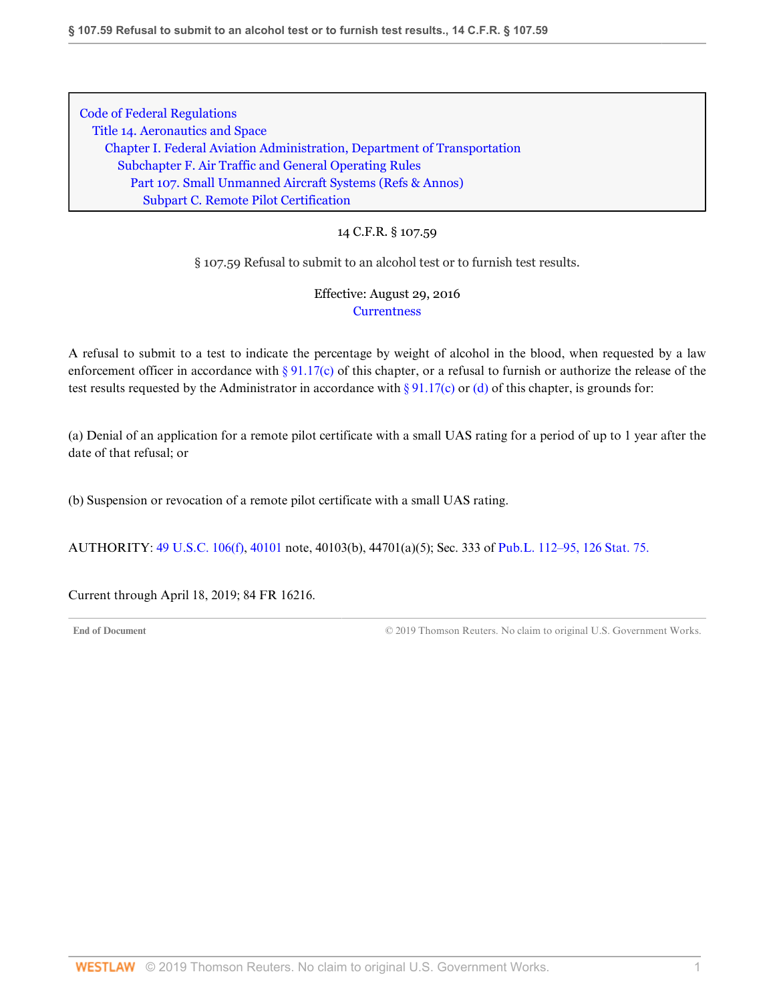# 14 C.F.R. § 107.59

§ 107.59 Refusal to submit to an alcohol test or to furnish test results.

# Effective: August 29, 2016 **[Currentness](#page-33-0)**

A refusal to submit to a test to indicate the percentage by weight of alcohol in the blood, when requested by a law enforcement officer in accordance with [§ 91.17\(c\)](http://www.westlaw.com/Link/Document/FullText?findType=L&pubNum=1000547&cite=14CFRS91.17&originatingDoc=ND6776ED03D9D11E69A7981745F9F9D8A&refType=VB&originationContext=document&vr=3.0&rs=cblt1.0&transitionType=DocumentItem&contextData=(sc.DocLink)#co_pp_4b24000003ba5) of this chapter, or a refusal to furnish or authorize the release of the test results requested by the Administrator in accordance with  $\S 91.17(c)$  or [\(d\)](http://www.westlaw.com/Link/Document/FullText?findType=L&pubNum=1000547&cite=14CFRS91.17&originatingDoc=ND6776ED03D9D11E69A7981745F9F9D8A&refType=VB&originationContext=document&vr=3.0&rs=cblt1.0&transitionType=DocumentItem&contextData=(sc.DocLink)#co_pp_5ba1000067d06) of this chapter, is grounds for:

(a) Denial of an application for a remote pilot certificate with a small UAS rating for a period of up to 1 year after the date of that refusal; or

(b) Suspension or revocation of a remote pilot certificate with a small UAS rating.

AUTHORITY: [49 U.S.C. 106\(f\),](http://www.westlaw.com/Link/Document/FullText?findType=L&pubNum=1000546&cite=49USCAS106&originatingDoc=ND6776ED03D9D11E69A7981745F9F9D8A&refType=RB&originationContext=document&vr=3.0&rs=cblt1.0&transitionType=DocumentItem&contextData=(sc.DocLink)#co_pp_ae0d0000c5150) [40101](http://www.westlaw.com/Link/Document/FullText?findType=L&pubNum=1000546&cite=49USCAS40101&originatingDoc=ND6776ED03D9D11E69A7981745F9F9D8A&refType=LQ&originationContext=document&vr=3.0&rs=cblt1.0&transitionType=DocumentItem&contextData=(sc.DocLink)) note, 40103(b), 44701(a)(5); Sec. 333 of [Pub.L. 112–95, 126 Stat. 75.](http://www.westlaw.com/Link/Document/FullText?findType=l&pubNum=1077005&cite=UUID(I4283FE0058-5011E18DECB-7DFB573E8AC)&originatingDoc=ND6776ED03D9D11E69A7981745F9F9D8A&refType=SL&originationContext=document&vr=3.0&rs=cblt1.0&transitionType=DocumentItem&contextData=(sc.DocLink))

<span id="page-33-0"></span>Current through April 18, 2019; 84 FR 16216.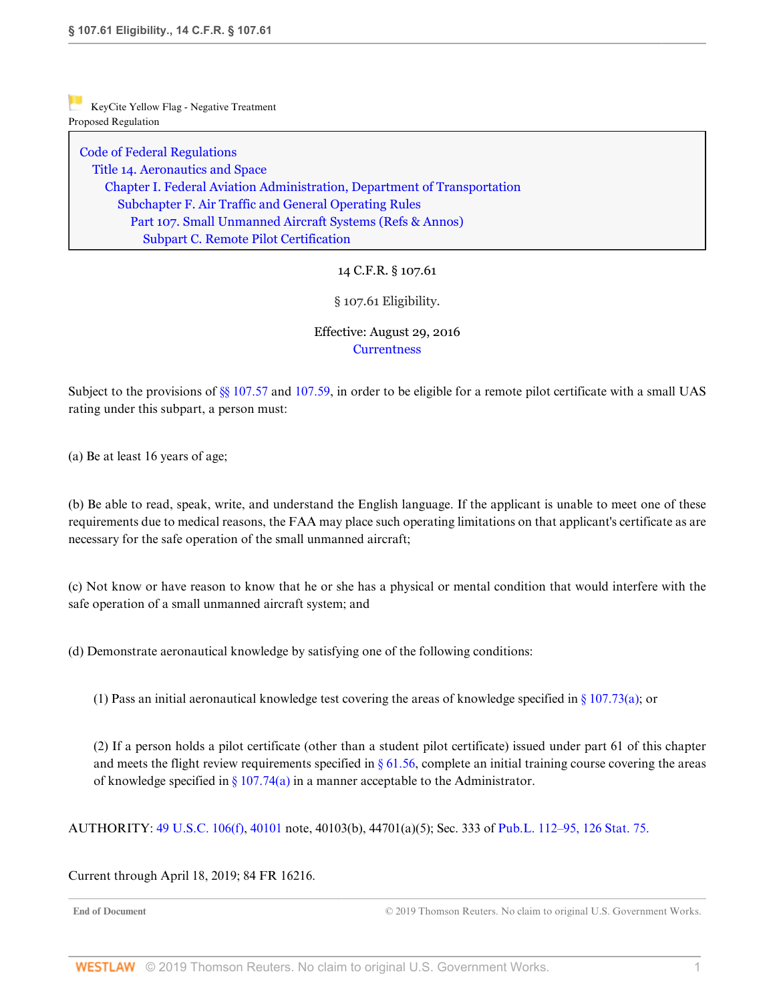[Code of Federal Regulations](http://www.westlaw.com/Browse/Home/Regulations/CodeofFederalRegulationsCFR?transitionType=DocumentItem&contextData=(sc.DocLink)&rs=clbt1.0&vr=3.0) [Title 14. Aeronautics and Space](http://www.westlaw.com/Browse/Home/Regulations/CodeofFederalRegulationsCFR?guid=NB364523085C811D99564CBDD35F58A0E&transitionType=DocumentItem&contextData=(sc.DocLink)&rs=clbt1.0&vr=3.0) [Chapter I. Federal Aviation Administration, Department of Transportation](http://www.westlaw.com/Browse/Home/Regulations/CodeofFederalRegulationsCFR?guid=NB391CAD085C811D99564CBDD35F58A0E&transitionType=DocumentItem&contextData=(sc.DocLink)&rs=clbt1.0&vr=3.0) [Subchapter F. Air Traffic and General Operating Rules](http://www.westlaw.com/Browse/Home/Regulations/CodeofFederalRegulationsCFR?guid=N0D8C9DE0967A11DF8D0C9F00FB5ED07A&transitionType=DocumentItem&contextData=(sc.DocLink)&rs=clbt1.0&vr=3.0) [Part 107. Small Unmanned Aircraft Systems](http://www.westlaw.com/Browse/Home/Regulations/CodeofFederalRegulationsCFR?guid=NCC8A89803D2E11E6A91396A739D63AEE&transitionType=DocumentItem&contextData=(sc.DocLink)&rs=clbt1.0&vr=3.0) [\(Refs & Annos\)](http://www.westlaw.com/Link/Document/FullText?findType=l&cite=lk(CFRT14CISUBCFPT107R)&originatingDoc=ND6B53B203D9D11E6BDB8F71DBFB0E872&refType=CM&sourceCite=14+C.F.R.+%c2%a7+107.61&originationContext=document&vr=3.0&rs=cblt1.0&transitionType=DocumentItem&contextData=(sc.DocLink)) [Subpart C. Remote Pilot Certification](http://www.westlaw.com/Browse/Home/Regulations/CodeofFederalRegulationsCFR?guid=N519461103D9C11E68BD3C9863EF273DE&transitionType=DocumentItem&contextData=(sc.DocLink)&rs=clbt1.0&vr=3.0)

# 14 C.F.R. § 107.61

§ 107.61 Eligibility.

## Effective: August 29, 2016 **[Currentness](#page-34-0)**

Subject to the provisions of [§§ 107.57](http://www.westlaw.com/Link/Document/FullText?findType=L&pubNum=1000547&cite=14CFRS107.57&originatingDoc=ND6B53B203D9D11E6BDB8F71DBFB0E872&refType=VP&originationContext=document&vr=3.0&rs=cblt1.0&transitionType=DocumentItem&contextData=(sc.DocLink)) and [107.59,](http://www.westlaw.com/Link/Document/FullText?findType=L&pubNum=1000547&cite=14CFRS107.59&originatingDoc=ND6B53B203D9D11E6BDB8F71DBFB0E872&refType=VP&originationContext=document&vr=3.0&rs=cblt1.0&transitionType=DocumentItem&contextData=(sc.DocLink)) in order to be eligible for a remote pilot certificate with a small UAS rating under this subpart, a person must:

(a) Be at least 16 years of age;

(b) Be able to read, speak, write, and understand the English language. If the applicant is unable to meet one of these requirements due to medical reasons, the FAA may place such operating limitations on that applicant's certificate as are necessary for the safe operation of the small unmanned aircraft;

(c) Not know or have reason to know that he or she has a physical or mental condition that would interfere with the safe operation of a small unmanned aircraft system; and

(d) Demonstrate aeronautical knowledge by satisfying one of the following conditions:

(1) Pass an initial aeronautical knowledge test covering the areas of knowledge specified in  $\S 107.73(a)$ ; or

(2) If a person holds a pilot certificate (other than a student pilot certificate) issued under part 61 of this chapter and meets the flight review requirements specified in  $\S 61.56$ , complete an initial training course covering the areas of knowledge specified in  $\S 107.74(a)$  in a manner acceptable to the Administrator.

AUTHORITY: [49 U.S.C. 106\(f\),](http://www.westlaw.com/Link/Document/FullText?findType=L&pubNum=1000546&cite=49USCAS106&originatingDoc=ND6B53B203D9D11E6BDB8F71DBFB0E872&refType=RB&originationContext=document&vr=3.0&rs=cblt1.0&transitionType=DocumentItem&contextData=(sc.DocLink)#co_pp_ae0d0000c5150) [40101](http://www.westlaw.com/Link/Document/FullText?findType=L&pubNum=1000546&cite=49USCAS40101&originatingDoc=ND6B53B203D9D11E6BDB8F71DBFB0E872&refType=LQ&originationContext=document&vr=3.0&rs=cblt1.0&transitionType=DocumentItem&contextData=(sc.DocLink)) note, 40103(b), 44701(a)(5); Sec. 333 of [Pub.L. 112–95, 126 Stat. 75.](http://www.westlaw.com/Link/Document/FullText?findType=l&pubNum=1077005&cite=UUID(I4283FE0058-5011E18DECB-7DFB573E8AC)&originatingDoc=ND6B53B203D9D11E6BDB8F71DBFB0E872&refType=SL&originationContext=document&vr=3.0&rs=cblt1.0&transitionType=DocumentItem&contextData=(sc.DocLink))

<span id="page-34-0"></span>Current through April 18, 2019; 84 FR 16216.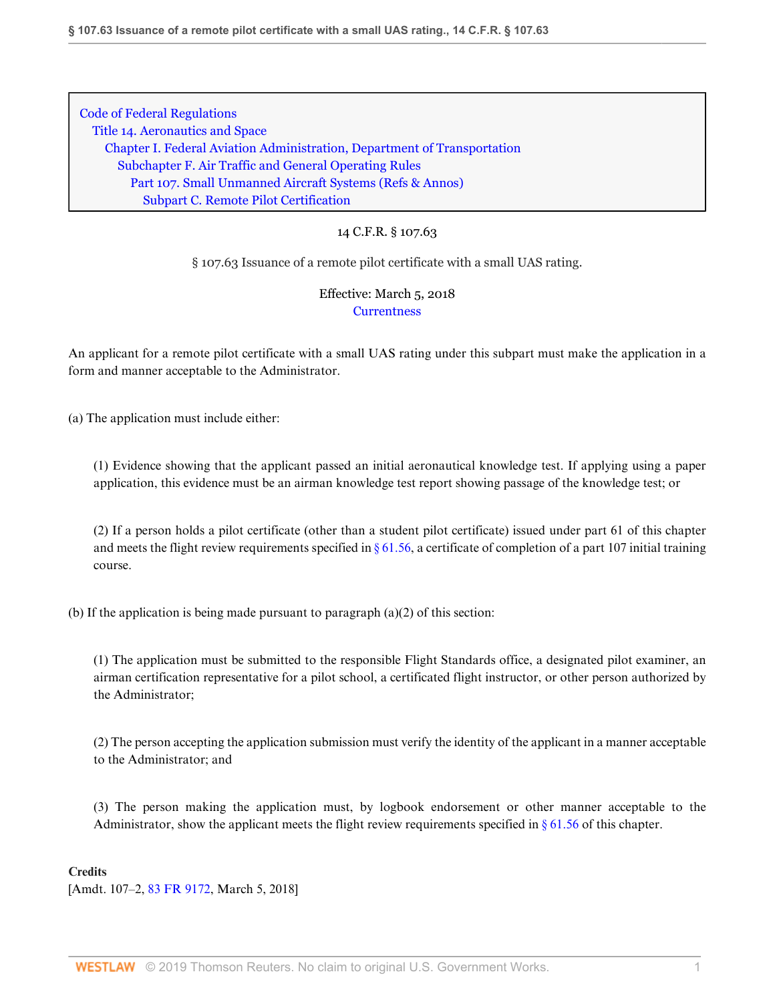# 14 C.F.R. § 107.63

§ 107.63 Issuance of a remote pilot certificate with a small UAS rating.

# Effective: March 5, 2018 **[Currentness](#page-36-0)**

An applicant for a remote pilot certificate with a small UAS rating under this subpart must make the application in a form and manner acceptable to the Administrator.

(a) The application must include either:

(1) Evidence showing that the applicant passed an initial aeronautical knowledge test. If applying using a paper application, this evidence must be an airman knowledge test report showing passage of the knowledge test; or

(2) If a person holds a pilot certificate (other than a student pilot certificate) issued under part 61 of this chapter and meets the flight review requirements specified in  $\S 61.56$ , a certificate of completion of a part 107 initial training course.

(b) If the application is being made pursuant to paragraph (a)(2) of this section:

(1) The application must be submitted to the responsible Flight Standards office, a designated pilot examiner, an airman certification representative for a pilot school, a certificated flight instructor, or other person authorized by the Administrator;

(2) The person accepting the application submission must verify the identity of the applicant in a manner acceptable to the Administrator; and

(3) The person making the application must, by logbook endorsement or other manner acceptable to the Administrator, show the applicant meets the flight review requirements specified in  $\S 61.56$  of this chapter.

### **Credits**

[Amdt. 107–2, [83 FR 9172](http://www.westlaw.com/Link/Document/FullText?findType=l&pubNum=0001037&cite=UUID(I74FFD740204B11E89CDEB4495A025A52)&originatingDoc=NB9645DC0208211E8B38BAE1ECE49AB5F&refType=CP&fi=co_pp_sp_1037_9172&originationContext=document&vr=3.0&rs=cblt1.0&transitionType=DocumentItem&contextData=(sc.DocLink)#co_pp_sp_1037_9172), March 5, 2018]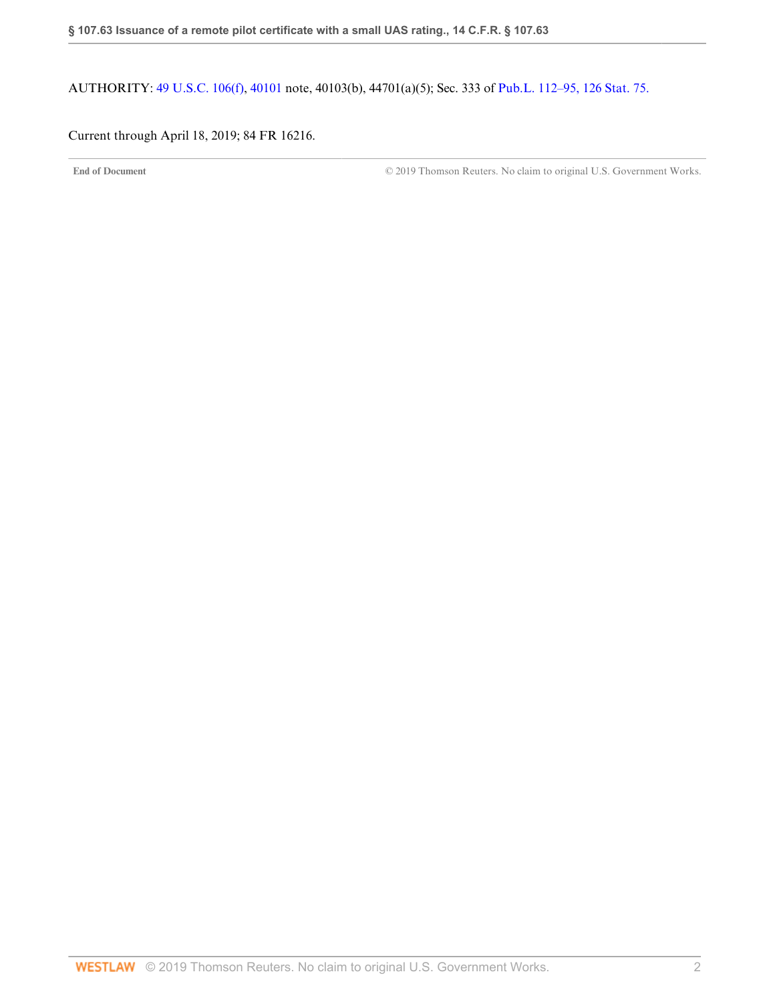AUTHORITY: [49 U.S.C. 106\(f\),](http://www.westlaw.com/Link/Document/FullText?findType=L&pubNum=1000546&cite=49USCAS106&originatingDoc=NB9645DC0208211E8B38BAE1ECE49AB5F&refType=RB&originationContext=document&vr=3.0&rs=cblt1.0&transitionType=DocumentItem&contextData=(sc.DocLink)#co_pp_ae0d0000c5150) [40101](http://www.westlaw.com/Link/Document/FullText?findType=L&pubNum=1000546&cite=49USCAS40101&originatingDoc=NB9645DC0208211E8B38BAE1ECE49AB5F&refType=LQ&originationContext=document&vr=3.0&rs=cblt1.0&transitionType=DocumentItem&contextData=(sc.DocLink)) note, 40103(b), 44701(a)(5); Sec. 333 of [Pub.L. 112–95, 126 Stat. 75.](http://www.westlaw.com/Link/Document/FullText?findType=l&pubNum=1077005&cite=UUID(I4283FE0058-5011E18DECB-7DFB573E8AC)&originatingDoc=NB9645DC0208211E8B38BAE1ECE49AB5F&refType=SL&originationContext=document&vr=3.0&rs=cblt1.0&transitionType=DocumentItem&contextData=(sc.DocLink))

## <span id="page-36-0"></span>Current through April 18, 2019; 84 FR 16216.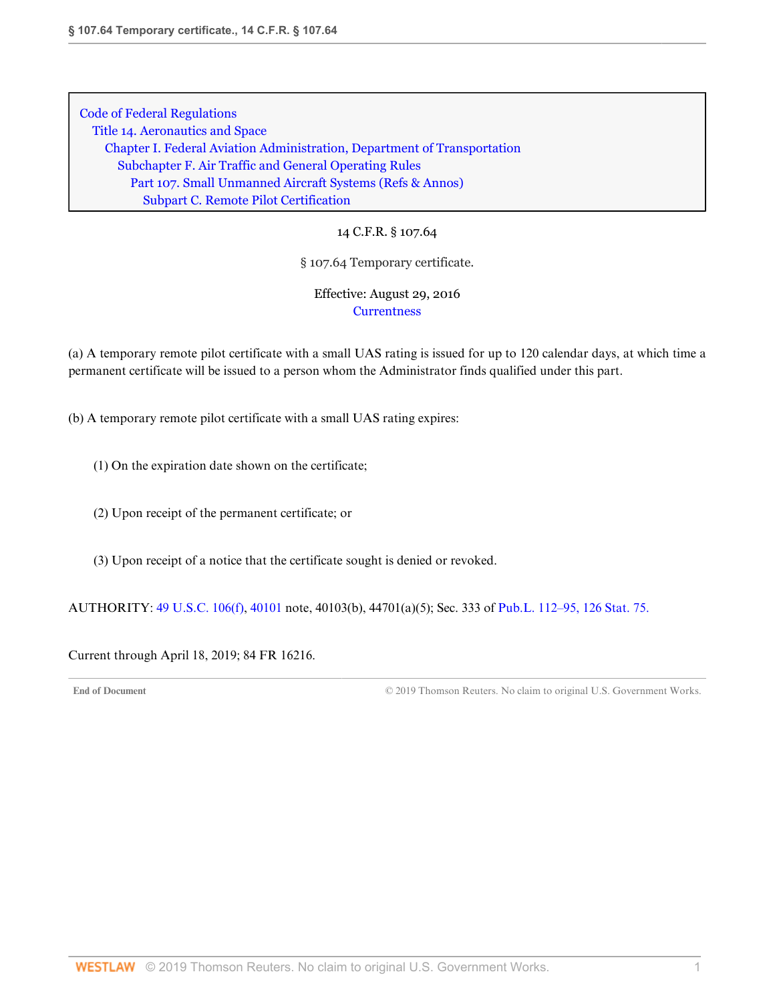14 C.F.R. § 107.64

§ 107.64 Temporary certificate.

Effective: August 29, 2016 **[Currentness](#page-37-0)** 

(a) A temporary remote pilot certificate with a small UAS rating is issued for up to 120 calendar days, at which time a permanent certificate will be issued to a person whom the Administrator finds qualified under this part.

(b) A temporary remote pilot certificate with a small UAS rating expires:

- (1) On the expiration date shown on the certificate;
- (2) Upon receipt of the permanent certificate; or
- (3) Upon receipt of a notice that the certificate sought is denied or revoked.

AUTHORITY: [49 U.S.C. 106\(f\),](http://www.westlaw.com/Link/Document/FullText?findType=L&pubNum=1000546&cite=49USCAS106&originatingDoc=ND39E85403D9D11E6A91396A739D63AEE&refType=RB&originationContext=document&vr=3.0&rs=cblt1.0&transitionType=DocumentItem&contextData=(sc.DocLink)#co_pp_ae0d0000c5150) [40101](http://www.westlaw.com/Link/Document/FullText?findType=L&pubNum=1000546&cite=49USCAS40101&originatingDoc=ND39E85403D9D11E6A91396A739D63AEE&refType=LQ&originationContext=document&vr=3.0&rs=cblt1.0&transitionType=DocumentItem&contextData=(sc.DocLink)) note, 40103(b), 44701(a)(5); Sec. 333 of [Pub.L. 112–95, 126 Stat. 75.](http://www.westlaw.com/Link/Document/FullText?findType=l&pubNum=1077005&cite=UUID(I4283FE0058-5011E18DECB-7DFB573E8AC)&originatingDoc=ND39E85403D9D11E6A91396A739D63AEE&refType=SL&originationContext=document&vr=3.0&rs=cblt1.0&transitionType=DocumentItem&contextData=(sc.DocLink))

<span id="page-37-0"></span>Current through April 18, 2019; 84 FR 16216.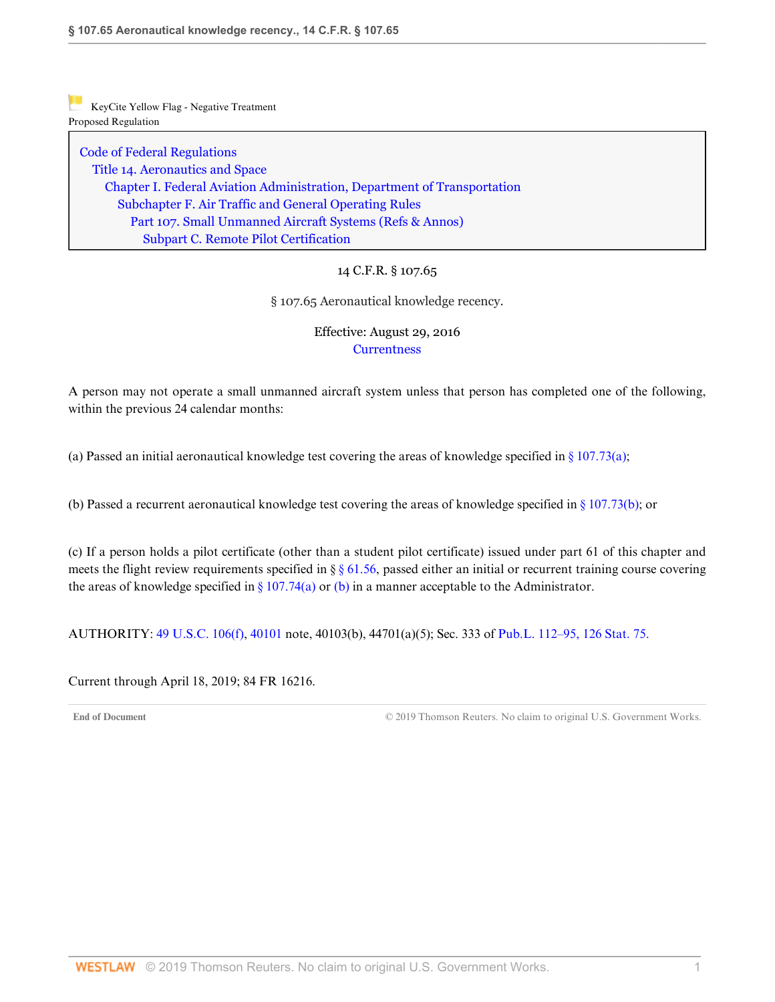[Code of Federal Regulations](http://www.westlaw.com/Browse/Home/Regulations/CodeofFederalRegulationsCFR?transitionType=DocumentItem&contextData=(sc.DocLink)&rs=clbt1.0&vr=3.0) [Title 14. Aeronautics and Space](http://www.westlaw.com/Browse/Home/Regulations/CodeofFederalRegulationsCFR?guid=NB364523085C811D99564CBDD35F58A0E&transitionType=DocumentItem&contextData=(sc.DocLink)&rs=clbt1.0&vr=3.0) [Chapter I. Federal Aviation Administration, Department of Transportation](http://www.westlaw.com/Browse/Home/Regulations/CodeofFederalRegulationsCFR?guid=NB391CAD085C811D99564CBDD35F58A0E&transitionType=DocumentItem&contextData=(sc.DocLink)&rs=clbt1.0&vr=3.0) [Subchapter F. Air Traffic and General Operating Rules](http://www.westlaw.com/Browse/Home/Regulations/CodeofFederalRegulationsCFR?guid=N0D8C9DE0967A11DF8D0C9F00FB5ED07A&transitionType=DocumentItem&contextData=(sc.DocLink)&rs=clbt1.0&vr=3.0) [Part 107. Small Unmanned Aircraft Systems](http://www.westlaw.com/Browse/Home/Regulations/CodeofFederalRegulationsCFR?guid=NCC8A89803D2E11E6A91396A739D63AEE&transitionType=DocumentItem&contextData=(sc.DocLink)&rs=clbt1.0&vr=3.0) [\(Refs & Annos\)](http://www.westlaw.com/Link/Document/FullText?findType=l&cite=lk(CFRT14CISUBCFPT107R)&originatingDoc=ND77333F03D9D11E69A7981745F9F9D8A&refType=CM&sourceCite=14+C.F.R.+%c2%a7+107.65&originationContext=document&vr=3.0&rs=cblt1.0&transitionType=DocumentItem&contextData=(sc.DocLink)) [Subpart C. Remote Pilot Certification](http://www.westlaw.com/Browse/Home/Regulations/CodeofFederalRegulationsCFR?guid=N519461103D9C11E68BD3C9863EF273DE&transitionType=DocumentItem&contextData=(sc.DocLink)&rs=clbt1.0&vr=3.0)

14 C.F.R. § 107.65

§ 107.65 Aeronautical knowledge recency.

## Effective: August 29, 2016 **[Currentness](#page-38-0)**

A person may not operate a small unmanned aircraft system unless that person has completed one of the following, within the previous 24 calendar months:

(a) Passed an initial aeronautical knowledge test covering the areas of knowledge specified in  $\S 107.73(a)$ ;

(b) Passed a recurrent aeronautical knowledge test covering the areas of knowledge specified in [§ 107.73\(b\);](http://www.westlaw.com/Link/Document/FullText?findType=L&pubNum=1000547&cite=14CFRS107.73&originatingDoc=ND77333F03D9D11E69A7981745F9F9D8A&refType=VB&originationContext=document&vr=3.0&rs=cblt1.0&transitionType=DocumentItem&contextData=(sc.DocLink)#co_pp_a83b000018c76) or

(c) If a person holds a pilot certificate (other than a student pilot certificate) issued under part 61 of this chapter and meets the flight review requirements specified in  $\S$   $\S$  61.56, passed either an initial or recurrent training course covering the areas of knowledge specified in [§ 107.74\(a\)](http://www.westlaw.com/Link/Document/FullText?findType=L&pubNum=1000547&cite=14CFRS107.74&originatingDoc=ND77333F03D9D11E69A7981745F9F9D8A&refType=VB&originationContext=document&vr=3.0&rs=cblt1.0&transitionType=DocumentItem&contextData=(sc.DocLink)#co_pp_8b3b0000958a4) or [\(b\)](http://www.westlaw.com/Link/Document/FullText?findType=L&pubNum=1000547&cite=14CFRS107.74&originatingDoc=ND77333F03D9D11E69A7981745F9F9D8A&refType=VB&originationContext=document&vr=3.0&rs=cblt1.0&transitionType=DocumentItem&contextData=(sc.DocLink)#co_pp_a83b000018c76) in a manner acceptable to the Administrator.

AUTHORITY: [49 U.S.C. 106\(f\),](http://www.westlaw.com/Link/Document/FullText?findType=L&pubNum=1000546&cite=49USCAS106&originatingDoc=ND77333F03D9D11E69A7981745F9F9D8A&refType=RB&originationContext=document&vr=3.0&rs=cblt1.0&transitionType=DocumentItem&contextData=(sc.DocLink)#co_pp_ae0d0000c5150) [40101](http://www.westlaw.com/Link/Document/FullText?findType=L&pubNum=1000546&cite=49USCAS40101&originatingDoc=ND77333F03D9D11E69A7981745F9F9D8A&refType=LQ&originationContext=document&vr=3.0&rs=cblt1.0&transitionType=DocumentItem&contextData=(sc.DocLink)) note, 40103(b), 44701(a)(5); Sec. 333 of [Pub.L. 112–95, 126 Stat. 75.](http://www.westlaw.com/Link/Document/FullText?findType=l&pubNum=1077005&cite=UUID(I4283FE0058-5011E18DECB-7DFB573E8AC)&originatingDoc=ND77333F03D9D11E69A7981745F9F9D8A&refType=SL&originationContext=document&vr=3.0&rs=cblt1.0&transitionType=DocumentItem&contextData=(sc.DocLink))

<span id="page-38-0"></span>Current through April 18, 2019; 84 FR 16216.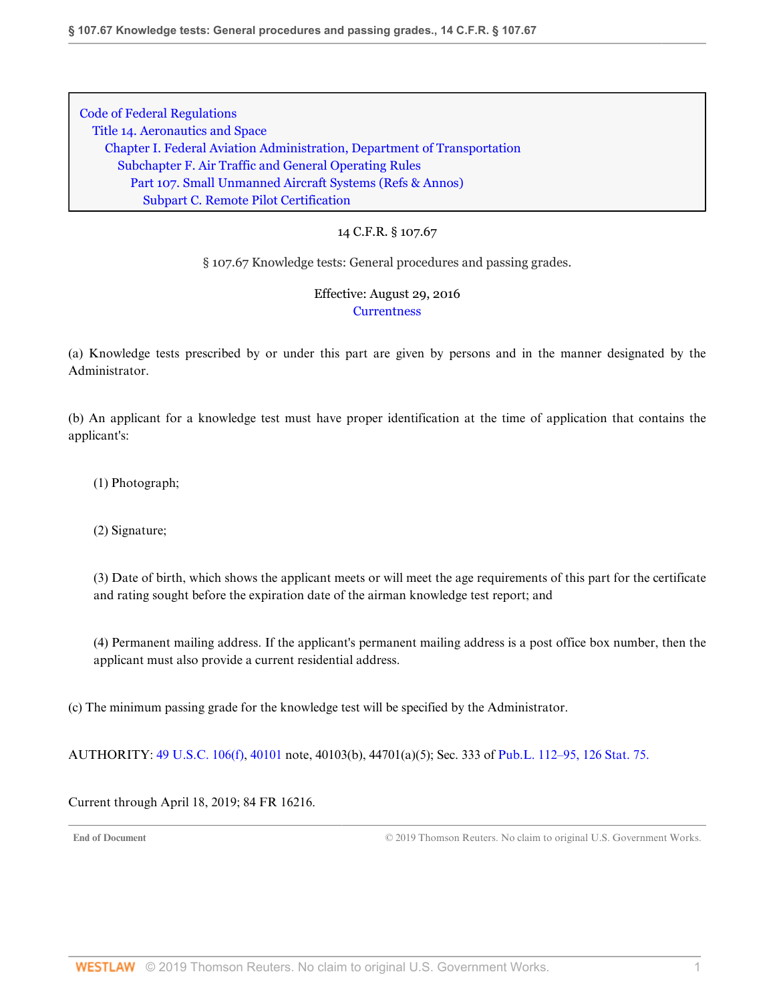### 14 C.F.R. § 107.67

#### § 107.67 Knowledge tests: General procedures and passing grades.

## Effective: August 29, 2016 **[Currentness](#page-39-0)**

(a) Knowledge tests prescribed by or under this part are given by persons and in the manner designated by the Administrator.

(b) An applicant for a knowledge test must have proper identification at the time of application that contains the applicant's:

(1) Photograph;

(2) Signature;

(3) Date of birth, which shows the applicant meets or will meet the age requirements of this part for the certificate and rating sought before the expiration date of the airman knowledge test report; and

(4) Permanent mailing address. If the applicant's permanent mailing address is a post office box number, then the applicant must also provide a current residential address.

(c) The minimum passing grade for the knowledge test will be specified by the Administrator.

AUTHORITY: [49 U.S.C. 106\(f\),](http://www.westlaw.com/Link/Document/FullText?findType=L&pubNum=1000546&cite=49USCAS106&originatingDoc=ND7467EA03D9D11E69147B51246646F09&refType=RB&originationContext=document&vr=3.0&rs=cblt1.0&transitionType=DocumentItem&contextData=(sc.DocLink)#co_pp_ae0d0000c5150) [40101](http://www.westlaw.com/Link/Document/FullText?findType=L&pubNum=1000546&cite=49USCAS40101&originatingDoc=ND7467EA03D9D11E69147B51246646F09&refType=LQ&originationContext=document&vr=3.0&rs=cblt1.0&transitionType=DocumentItem&contextData=(sc.DocLink)) note, 40103(b), 44701(a)(5); Sec. 333 of [Pub.L. 112–95, 126 Stat. 75.](http://www.westlaw.com/Link/Document/FullText?findType=l&pubNum=1077005&cite=UUID(I4283FE0058-5011E18DECB-7DFB573E8AC)&originatingDoc=ND7467EA03D9D11E69147B51246646F09&refType=SL&originationContext=document&vr=3.0&rs=cblt1.0&transitionType=DocumentItem&contextData=(sc.DocLink))

### <span id="page-39-0"></span>Current through April 18, 2019; 84 FR 16216.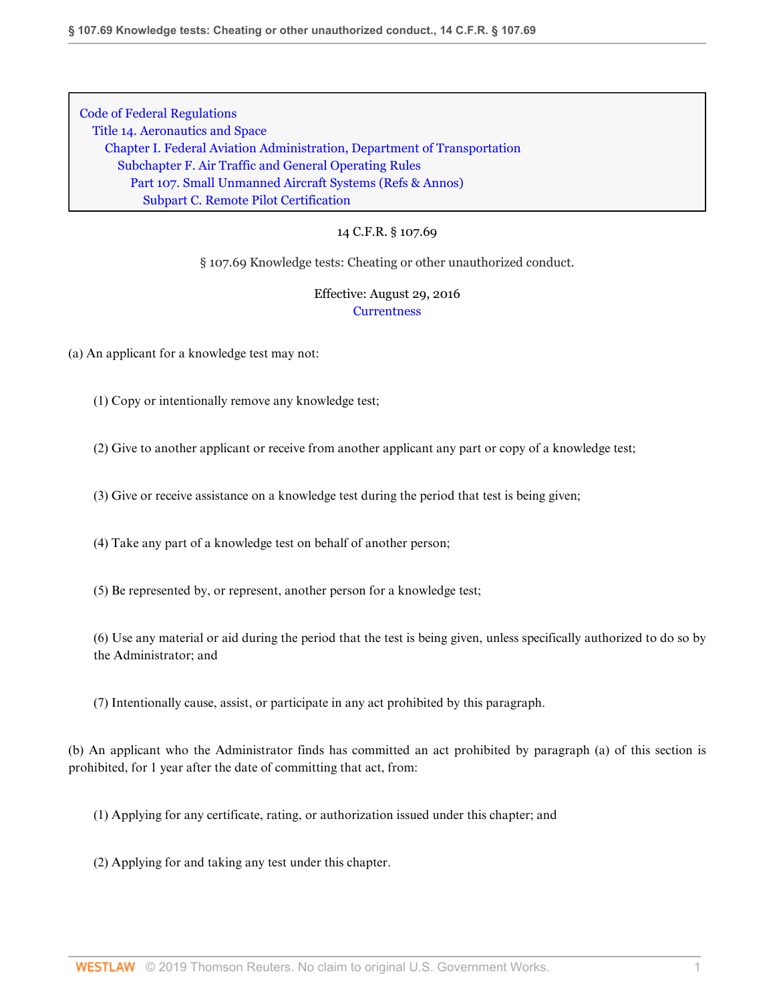### 14 C.F.R. § 107.69

§ 107.69 Knowledge tests: Cheating or other unauthorized conduct.

## Effective: August 29, 2016 **[Currentness](#page-41-0)**

(a) An applicant for a knowledge test may not:

(1) Copy or intentionally remove any knowledge test;

(2) Give to another applicant or receive from another applicant any part or copy of a knowledge test;

(3) Give or receive assistance on a knowledge test during the period that test is being given;

(4) Take any part of a knowledge test on behalf of another person;

(5) Be represented by, or represent, another person for a knowledge test;

(6) Use any material or aid during the period that the test is being given, unless specifically authorized to do so by the Administrator; and

(7) Intentionally cause, assist, or participate in any act prohibited by this paragraph.

(b) An applicant who the Administrator finds has committed an act prohibited by paragraph (a) of this section is prohibited, for 1 year after the date of committing that act, from:

(1) Applying for any certificate, rating, or authorization issued under this chapter; and

(2) Applying for and taking any test under this chapter.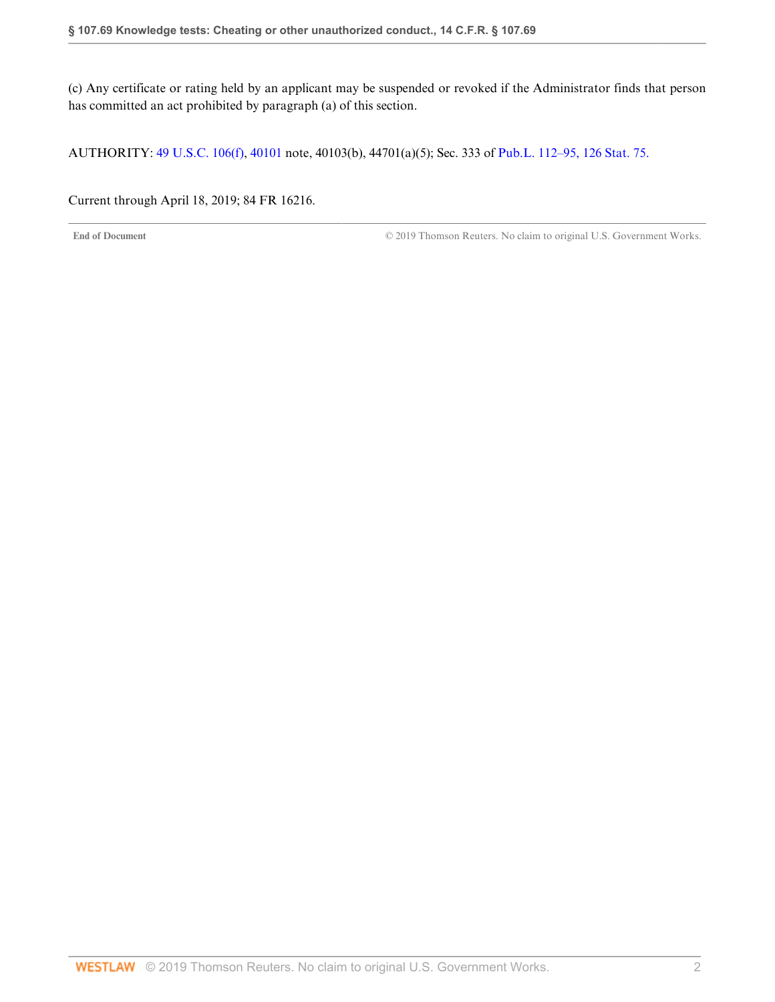(c) Any certificate or rating held by an applicant may be suspended or revoked if the Administrator finds that person has committed an act prohibited by paragraph (a) of this section.

AUTHORITY: [49 U.S.C. 106\(f\),](http://www.westlaw.com/Link/Document/FullText?findType=L&pubNum=1000546&cite=49USCAS106&originatingDoc=ND6F6FF103D9D11E69A7981745F9F9D8A&refType=RB&originationContext=document&vr=3.0&rs=cblt1.0&transitionType=DocumentItem&contextData=(sc.DocLink)#co_pp_ae0d0000c5150) [40101](http://www.westlaw.com/Link/Document/FullText?findType=L&pubNum=1000546&cite=49USCAS40101&originatingDoc=ND6F6FF103D9D11E69A7981745F9F9D8A&refType=LQ&originationContext=document&vr=3.0&rs=cblt1.0&transitionType=DocumentItem&contextData=(sc.DocLink)) note, 40103(b), 44701(a)(5); Sec. 333 of [Pub.L. 112–95, 126 Stat. 75.](http://www.westlaw.com/Link/Document/FullText?findType=l&pubNum=1077005&cite=UUID(I4283FE0058-5011E18DECB-7DFB573E8AC)&originatingDoc=ND6F6FF103D9D11E69A7981745F9F9D8A&refType=SL&originationContext=document&vr=3.0&rs=cblt1.0&transitionType=DocumentItem&contextData=(sc.DocLink))

<span id="page-41-0"></span>Current through April 18, 2019; 84 FR 16216.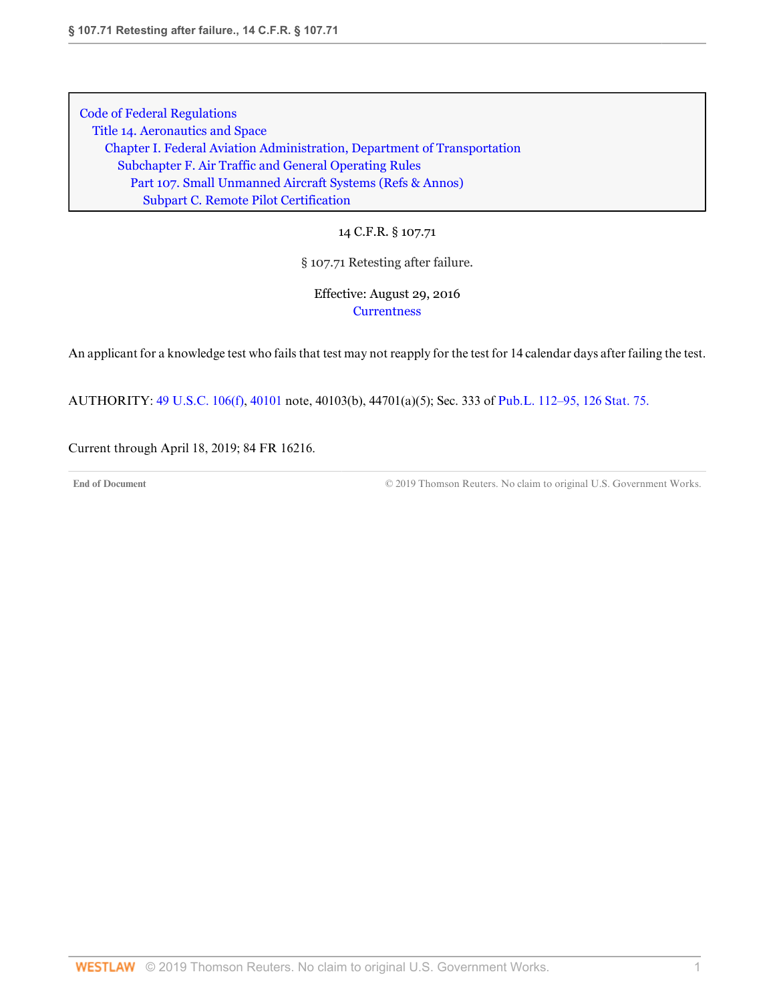14 C.F.R. § 107.71

§ 107.71 Retesting after failure.

Effective: August 29, 2016 **[Currentness](#page-42-0)** 

An applicant for a knowledge test who fails that test may not reapply for the test for 14 calendar days after failing the test.

AUTHORITY: [49 U.S.C. 106\(f\),](http://www.westlaw.com/Link/Document/FullText?findType=L&pubNum=1000546&cite=49USCAS106&originatingDoc=ND65715903D9D11E69A7981745F9F9D8A&refType=RB&originationContext=document&vr=3.0&rs=cblt1.0&transitionType=DocumentItem&contextData=(sc.DocLink)#co_pp_ae0d0000c5150) [40101](http://www.westlaw.com/Link/Document/FullText?findType=L&pubNum=1000546&cite=49USCAS40101&originatingDoc=ND65715903D9D11E69A7981745F9F9D8A&refType=LQ&originationContext=document&vr=3.0&rs=cblt1.0&transitionType=DocumentItem&contextData=(sc.DocLink)) note, 40103(b), 44701(a)(5); Sec. 333 of [Pub.L. 112–95, 126 Stat. 75.](http://www.westlaw.com/Link/Document/FullText?findType=l&pubNum=1077005&cite=UUID(I4283FE0058-5011E18DECB-7DFB573E8AC)&originatingDoc=ND65715903D9D11E69A7981745F9F9D8A&refType=SL&originationContext=document&vr=3.0&rs=cblt1.0&transitionType=DocumentItem&contextData=(sc.DocLink))

<span id="page-42-0"></span>Current through April 18, 2019; 84 FR 16216.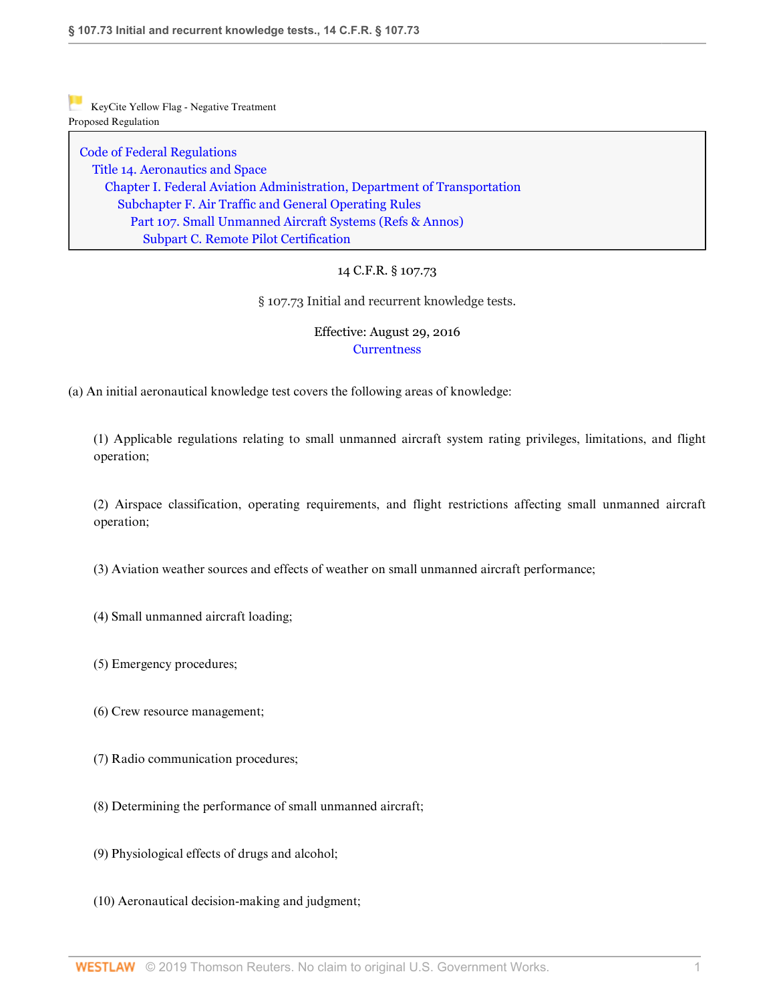[Code of Federal Regulations](http://www.westlaw.com/Browse/Home/Regulations/CodeofFederalRegulationsCFR?transitionType=DocumentItem&contextData=(sc.DocLink)&rs=clbt1.0&vr=3.0) [Title 14. Aeronautics and Space](http://www.westlaw.com/Browse/Home/Regulations/CodeofFederalRegulationsCFR?guid=NB364523085C811D99564CBDD35F58A0E&transitionType=DocumentItem&contextData=(sc.DocLink)&rs=clbt1.0&vr=3.0) [Chapter I. Federal Aviation Administration, Department of Transportation](http://www.westlaw.com/Browse/Home/Regulations/CodeofFederalRegulationsCFR?guid=NB391CAD085C811D99564CBDD35F58A0E&transitionType=DocumentItem&contextData=(sc.DocLink)&rs=clbt1.0&vr=3.0) [Subchapter F. Air Traffic and General Operating Rules](http://www.westlaw.com/Browse/Home/Regulations/CodeofFederalRegulationsCFR?guid=N0D8C9DE0967A11DF8D0C9F00FB5ED07A&transitionType=DocumentItem&contextData=(sc.DocLink)&rs=clbt1.0&vr=3.0) [Part 107. Small Unmanned Aircraft Systems](http://www.westlaw.com/Browse/Home/Regulations/CodeofFederalRegulationsCFR?guid=NCC8A89803D2E11E6A91396A739D63AEE&transitionType=DocumentItem&contextData=(sc.DocLink)&rs=clbt1.0&vr=3.0) [\(Refs & Annos\)](http://www.westlaw.com/Link/Document/FullText?findType=l&cite=lk(CFRT14CISUBCFPT107R)&originatingDoc=ND5C3D6403D9D11E69A7981745F9F9D8A&refType=CM&sourceCite=14+C.F.R.+%c2%a7+107.73&originationContext=document&vr=3.0&rs=cblt1.0&transitionType=DocumentItem&contextData=(sc.DocLink)) [Subpart C. Remote Pilot Certification](http://www.westlaw.com/Browse/Home/Regulations/CodeofFederalRegulationsCFR?guid=N519461103D9C11E68BD3C9863EF273DE&transitionType=DocumentItem&contextData=(sc.DocLink)&rs=clbt1.0&vr=3.0)

## 14 C.F.R. § 107.73

§ 107.73 Initial and recurrent knowledge tests.

## Effective: August 29, 2016 **[Currentness](#page-44-0)**

(a) An initial aeronautical knowledge test covers the following areas of knowledge:

(1) Applicable regulations relating to small unmanned aircraft system rating privileges, limitations, and flight operation;

(2) Airspace classification, operating requirements, and flight restrictions affecting small unmanned aircraft operation;

(3) Aviation weather sources and effects of weather on small unmanned aircraft performance;

(4) Small unmanned aircraft loading;

- (5) Emergency procedures;
- (6) Crew resource management;
- (7) Radio communication procedures;
- (8) Determining the performance of small unmanned aircraft;
- (9) Physiological effects of drugs and alcohol;
- (10) Aeronautical decision-making and judgment;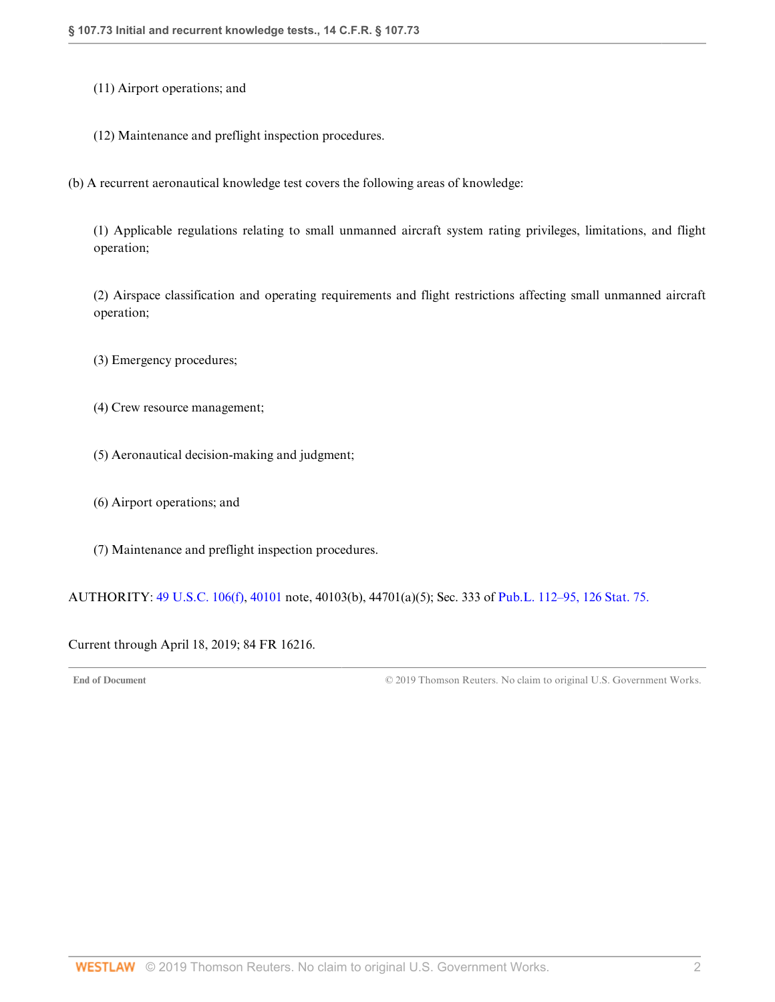(11) Airport operations; and

(12) Maintenance and preflight inspection procedures.

(b) A recurrent aeronautical knowledge test covers the following areas of knowledge:

(1) Applicable regulations relating to small unmanned aircraft system rating privileges, limitations, and flight operation;

(2) Airspace classification and operating requirements and flight restrictions affecting small unmanned aircraft operation;

(3) Emergency procedures;

(4) Crew resource management;

(5) Aeronautical decision-making and judgment;

(6) Airport operations; and

(7) Maintenance and preflight inspection procedures.

AUTHORITY: [49 U.S.C. 106\(f\),](http://www.westlaw.com/Link/Document/FullText?findType=L&pubNum=1000546&cite=49USCAS106&originatingDoc=ND5C3D6403D9D11E69A7981745F9F9D8A&refType=RB&originationContext=document&vr=3.0&rs=cblt1.0&transitionType=DocumentItem&contextData=(sc.DocLink)#co_pp_ae0d0000c5150) [40101](http://www.westlaw.com/Link/Document/FullText?findType=L&pubNum=1000546&cite=49USCAS40101&originatingDoc=ND5C3D6403D9D11E69A7981745F9F9D8A&refType=LQ&originationContext=document&vr=3.0&rs=cblt1.0&transitionType=DocumentItem&contextData=(sc.DocLink)) note, 40103(b), 44701(a)(5); Sec. 333 of [Pub.L. 112–95, 126 Stat. 75.](http://www.westlaw.com/Link/Document/FullText?findType=l&pubNum=1077005&cite=UUID(I4283FE0058-5011E18DECB-7DFB573E8AC)&originatingDoc=ND5C3D6403D9D11E69A7981745F9F9D8A&refType=SL&originationContext=document&vr=3.0&rs=cblt1.0&transitionType=DocumentItem&contextData=(sc.DocLink))

<span id="page-44-0"></span>Current through April 18, 2019; 84 FR 16216.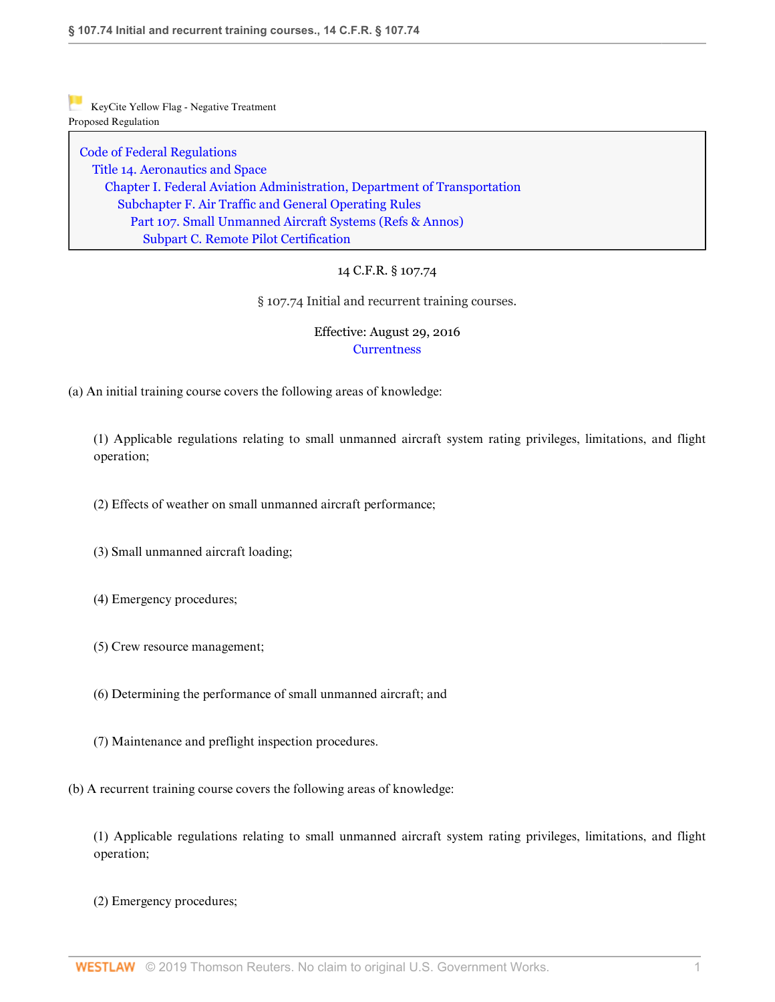[Code of Federal Regulations](http://www.westlaw.com/Browse/Home/Regulations/CodeofFederalRegulationsCFR?transitionType=DocumentItem&contextData=(sc.DocLink)&rs=clbt1.0&vr=3.0) [Title 14. Aeronautics and Space](http://www.westlaw.com/Browse/Home/Regulations/CodeofFederalRegulationsCFR?guid=NB364523085C811D99564CBDD35F58A0E&transitionType=DocumentItem&contextData=(sc.DocLink)&rs=clbt1.0&vr=3.0) [Chapter I. Federal Aviation Administration, Department of Transportation](http://www.westlaw.com/Browse/Home/Regulations/CodeofFederalRegulationsCFR?guid=NB391CAD085C811D99564CBDD35F58A0E&transitionType=DocumentItem&contextData=(sc.DocLink)&rs=clbt1.0&vr=3.0) [Subchapter F. Air Traffic and General Operating Rules](http://www.westlaw.com/Browse/Home/Regulations/CodeofFederalRegulationsCFR?guid=N0D8C9DE0967A11DF8D0C9F00FB5ED07A&transitionType=DocumentItem&contextData=(sc.DocLink)&rs=clbt1.0&vr=3.0) [Part 107. Small Unmanned Aircraft Systems](http://www.westlaw.com/Browse/Home/Regulations/CodeofFederalRegulationsCFR?guid=NCC8A89803D2E11E6A91396A739D63AEE&transitionType=DocumentItem&contextData=(sc.DocLink)&rs=clbt1.0&vr=3.0) [\(Refs & Annos\)](http://www.westlaw.com/Link/Document/FullText?findType=l&cite=lk(CFRT14CISUBCFPT107R)&originatingDoc=ND5E2F7003D9D11E6BDB8F71DBFB0E872&refType=CM&sourceCite=14+C.F.R.+%c2%a7+107.74&originationContext=document&vr=3.0&rs=cblt1.0&transitionType=DocumentItem&contextData=(sc.DocLink)) [Subpart C. Remote Pilot Certification](http://www.westlaw.com/Browse/Home/Regulations/CodeofFederalRegulationsCFR?guid=N519461103D9C11E68BD3C9863EF273DE&transitionType=DocumentItem&contextData=(sc.DocLink)&rs=clbt1.0&vr=3.0)

# 14 C.F.R. § 107.74

§ 107.74 Initial and recurrent training courses.

# Effective: August 29, 2016 **[Currentness](#page-46-0)**

(a) An initial training course covers the following areas of knowledge:

(1) Applicable regulations relating to small unmanned aircraft system rating privileges, limitations, and flight operation;

(2) Effects of weather on small unmanned aircraft performance;

- (3) Small unmanned aircraft loading;
- (4) Emergency procedures;
- (5) Crew resource management;
- (6) Determining the performance of small unmanned aircraft; and
- (7) Maintenance and preflight inspection procedures.
- (b) A recurrent training course covers the following areas of knowledge:

(1) Applicable regulations relating to small unmanned aircraft system rating privileges, limitations, and flight operation;

(2) Emergency procedures;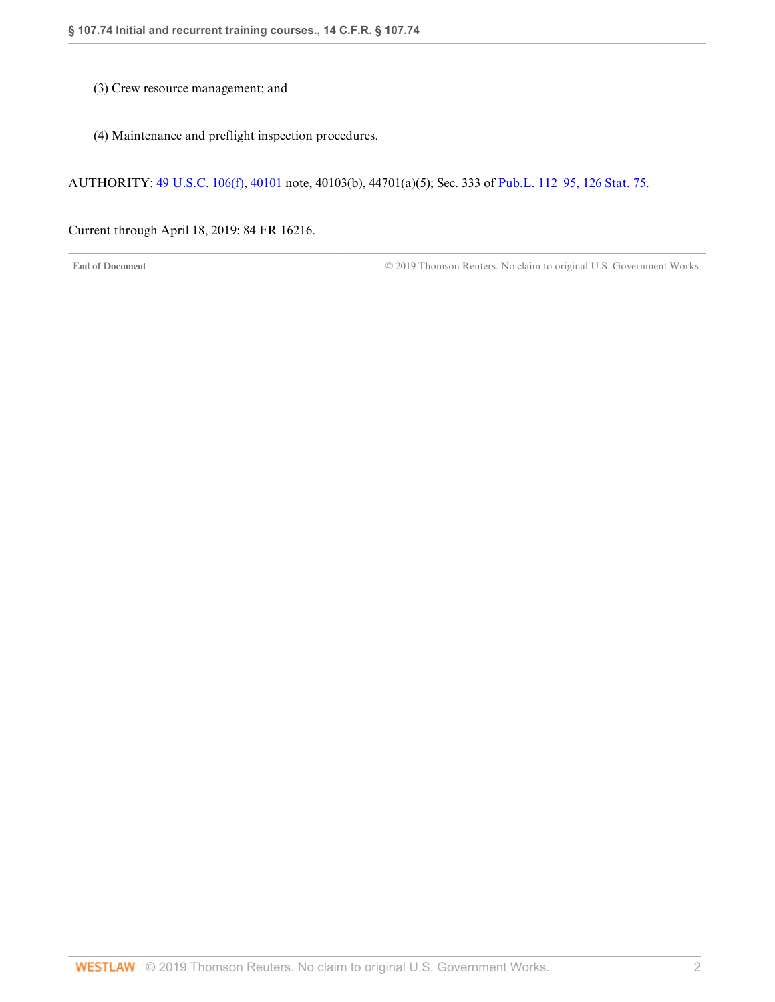- (3) Crew resource management; and
- (4) Maintenance and preflight inspection procedures.

AUTHORITY: [49 U.S.C. 106\(f\),](http://www.westlaw.com/Link/Document/FullText?findType=L&pubNum=1000546&cite=49USCAS106&originatingDoc=ND5E2F7003D9D11E6BDB8F71DBFB0E872&refType=RB&originationContext=document&vr=3.0&rs=cblt1.0&transitionType=DocumentItem&contextData=(sc.DocLink)#co_pp_ae0d0000c5150) [40101](http://www.westlaw.com/Link/Document/FullText?findType=L&pubNum=1000546&cite=49USCAS40101&originatingDoc=ND5E2F7003D9D11E6BDB8F71DBFB0E872&refType=LQ&originationContext=document&vr=3.0&rs=cblt1.0&transitionType=DocumentItem&contextData=(sc.DocLink)) note, 40103(b), 44701(a)(5); Sec. 333 of [Pub.L. 112–95, 126 Stat. 75.](http://www.westlaw.com/Link/Document/FullText?findType=l&pubNum=1077005&cite=UUID(I4283FE0058-5011E18DECB-7DFB573E8AC)&originatingDoc=ND5E2F7003D9D11E6BDB8F71DBFB0E872&refType=SL&originationContext=document&vr=3.0&rs=cblt1.0&transitionType=DocumentItem&contextData=(sc.DocLink))

<span id="page-46-0"></span>Current through April 18, 2019; 84 FR 16216.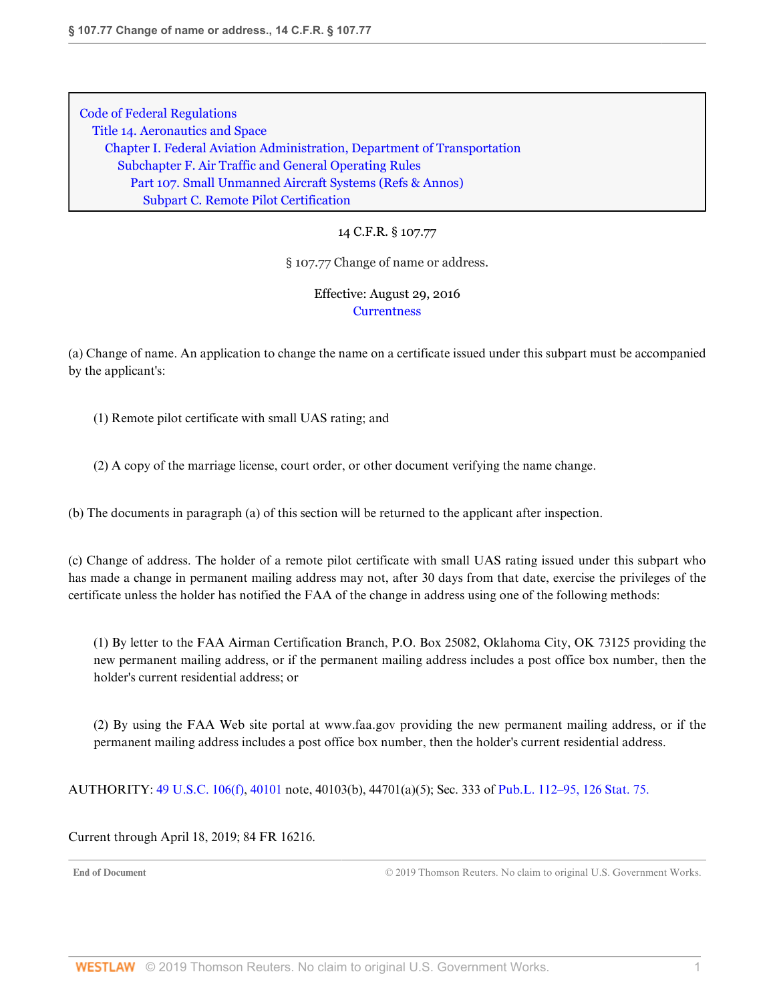14 C.F.R. § 107.77

§ 107.77 Change of name or address.

Effective: August 29, 2016 **[Currentness](#page-47-0)** 

(a) Change of name. An application to change the name on a certificate issued under this subpart must be accompanied by the applicant's:

(1) Remote pilot certificate with small UAS rating; and

(2) A copy of the marriage license, court order, or other document verifying the name change.

(b) The documents in paragraph (a) of this section will be returned to the applicant after inspection.

(c) Change of address. The holder of a remote pilot certificate with small UAS rating issued under this subpart who has made a change in permanent mailing address may not, after 30 days from that date, exercise the privileges of the certificate unless the holder has notified the FAA of the change in address using one of the following methods:

(1) By letter to the FAA Airman Certification Branch, P.O. Box 25082, Oklahoma City, OK 73125 providing the new permanent mailing address, or if the permanent mailing address includes a post office box number, then the holder's current residential address; or

(2) By using the FAA Web site portal at www.faa.gov providing the new permanent mailing address, or if the permanent mailing address includes a post office box number, then the holder's current residential address.

AUTHORITY: [49 U.S.C. 106\(f\),](http://www.westlaw.com/Link/Document/FullText?findType=L&pubNum=1000546&cite=49USCAS106&originatingDoc=ND32166003D9D11E6BDB8F71DBFB0E872&refType=RB&originationContext=document&vr=3.0&rs=cblt1.0&transitionType=DocumentItem&contextData=(sc.DocLink)#co_pp_ae0d0000c5150) [40101](http://www.westlaw.com/Link/Document/FullText?findType=L&pubNum=1000546&cite=49USCAS40101&originatingDoc=ND32166003D9D11E6BDB8F71DBFB0E872&refType=LQ&originationContext=document&vr=3.0&rs=cblt1.0&transitionType=DocumentItem&contextData=(sc.DocLink)) note, 40103(b), 44701(a)(5); Sec. 333 of [Pub.L. 112–95, 126 Stat. 75.](http://www.westlaw.com/Link/Document/FullText?findType=l&pubNum=1077005&cite=UUID(I4283FE0058-5011E18DECB-7DFB573E8AC)&originatingDoc=ND32166003D9D11E6BDB8F71DBFB0E872&refType=SL&originationContext=document&vr=3.0&rs=cblt1.0&transitionType=DocumentItem&contextData=(sc.DocLink))

<span id="page-47-0"></span>Current through April 18, 2019; 84 FR 16216.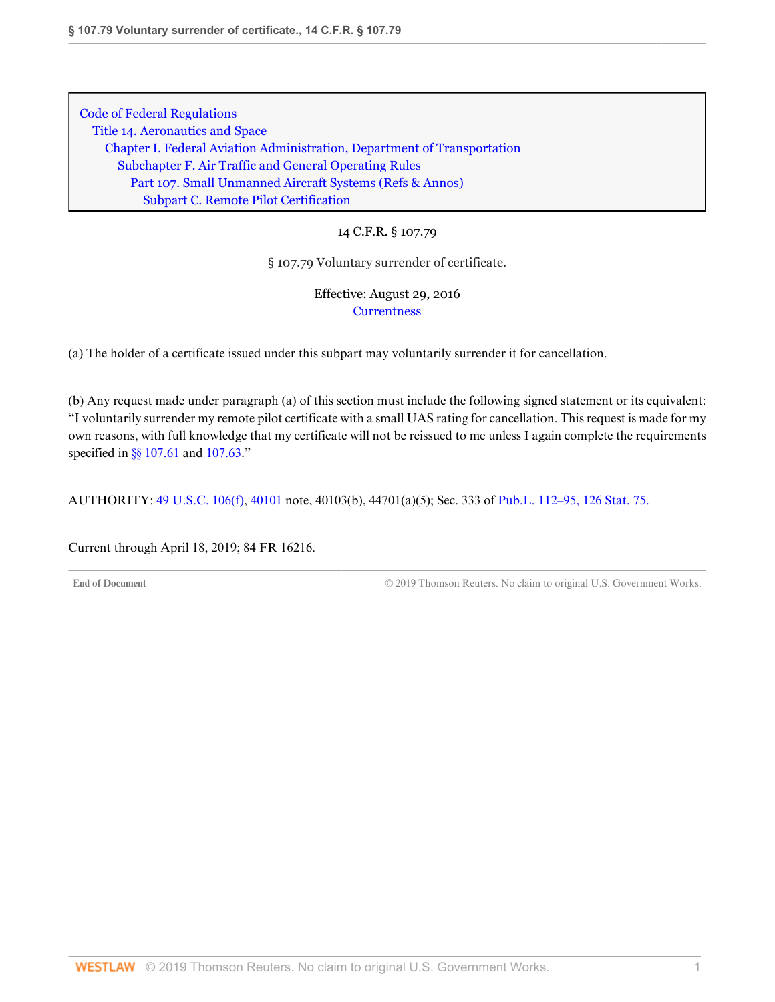14 C.F.R. § 107.79

§ 107.79 Voluntary surrender of certificate.

Effective: August 29, 2016 **[Currentness](#page-48-0)** 

(a) The holder of a certificate issued under this subpart may voluntarily surrender it for cancellation.

(b) Any request made under paragraph (a) of this section must include the following signed statement or its equivalent: "I voluntarily surrender my remote pilot certificate with a small UAS rating for cancellation. This request is made for my own reasons, with full knowledge that my certificate will not be reissued to me unless I again complete the requirements specified in [§§ 107.61](http://www.westlaw.com/Link/Document/FullText?findType=L&pubNum=1000547&cite=14CFRS107.61&originatingDoc=ND6D4F8203D9D11E69A7981745F9F9D8A&refType=VP&originationContext=document&vr=3.0&rs=cblt1.0&transitionType=DocumentItem&contextData=(sc.DocLink)) and [107.63.](http://www.westlaw.com/Link/Document/FullText?findType=L&pubNum=1000547&cite=14CFRS107.63&originatingDoc=ND6D4F8203D9D11E69A7981745F9F9D8A&refType=VP&originationContext=document&vr=3.0&rs=cblt1.0&transitionType=DocumentItem&contextData=(sc.DocLink))"

AUTHORITY: [49 U.S.C. 106\(f\),](http://www.westlaw.com/Link/Document/FullText?findType=L&pubNum=1000546&cite=49USCAS106&originatingDoc=ND6D4F8203D9D11E69A7981745F9F9D8A&refType=RB&originationContext=document&vr=3.0&rs=cblt1.0&transitionType=DocumentItem&contextData=(sc.DocLink)#co_pp_ae0d0000c5150) [40101](http://www.westlaw.com/Link/Document/FullText?findType=L&pubNum=1000546&cite=49USCAS40101&originatingDoc=ND6D4F8203D9D11E69A7981745F9F9D8A&refType=LQ&originationContext=document&vr=3.0&rs=cblt1.0&transitionType=DocumentItem&contextData=(sc.DocLink)) note, 40103(b), 44701(a)(5); Sec. 333 of [Pub.L. 112–95, 126 Stat. 75.](http://www.westlaw.com/Link/Document/FullText?findType=l&pubNum=1077005&cite=UUID(I4283FE0058-5011E18DECB-7DFB573E8AC)&originatingDoc=ND6D4F8203D9D11E69A7981745F9F9D8A&refType=SL&originationContext=document&vr=3.0&rs=cblt1.0&transitionType=DocumentItem&contextData=(sc.DocLink))

<span id="page-48-0"></span>Current through April 18, 2019; 84 FR 16216.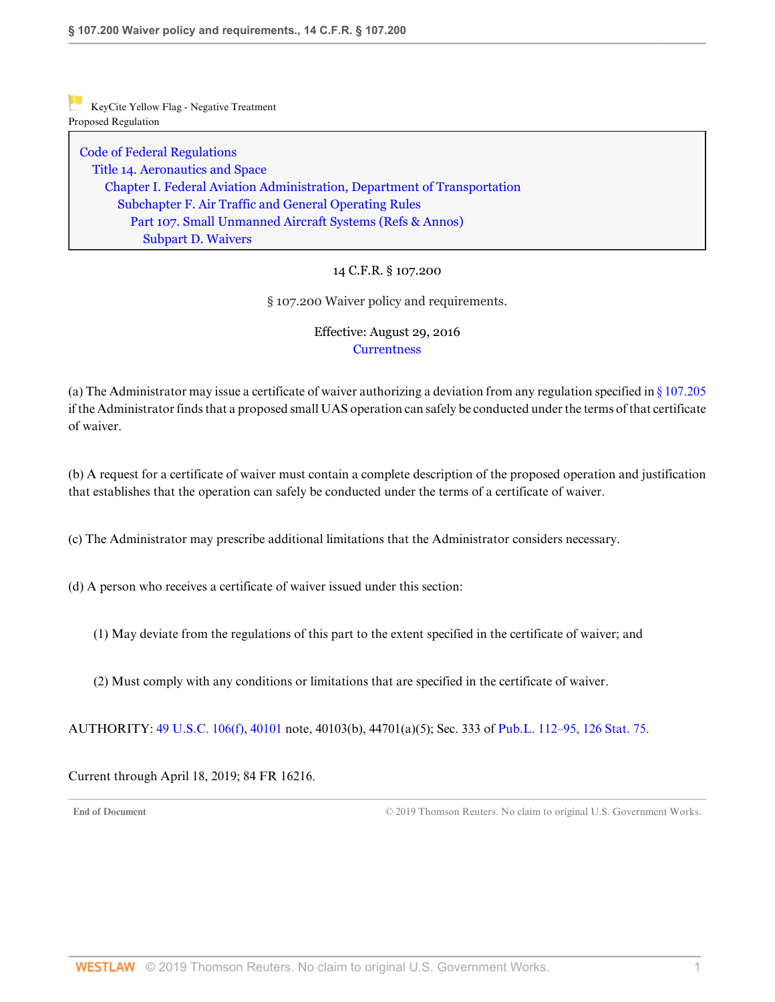[Code of Federal Regulations](http://www.westlaw.com/Browse/Home/Regulations/CodeofFederalRegulationsCFR?transitionType=DocumentItem&contextData=(sc.DocLink)&rs=clbt1.0&vr=3.0) [Title 14. Aeronautics and Space](http://www.westlaw.com/Browse/Home/Regulations/CodeofFederalRegulationsCFR?guid=NB364523085C811D99564CBDD35F58A0E&transitionType=DocumentItem&contextData=(sc.DocLink)&rs=clbt1.0&vr=3.0) [Chapter I. Federal Aviation Administration, Department of Transportation](http://www.westlaw.com/Browse/Home/Regulations/CodeofFederalRegulationsCFR?guid=NB391CAD085C811D99564CBDD35F58A0E&transitionType=DocumentItem&contextData=(sc.DocLink)&rs=clbt1.0&vr=3.0) [Subchapter F. Air Traffic and General Operating Rules](http://www.westlaw.com/Browse/Home/Regulations/CodeofFederalRegulationsCFR?guid=N0D8C9DE0967A11DF8D0C9F00FB5ED07A&transitionType=DocumentItem&contextData=(sc.DocLink)&rs=clbt1.0&vr=3.0) [Part 107. Small Unmanned Aircraft Systems](http://www.westlaw.com/Browse/Home/Regulations/CodeofFederalRegulationsCFR?guid=NCC8A89803D2E11E6A91396A739D63AEE&transitionType=DocumentItem&contextData=(sc.DocLink)&rs=clbt1.0&vr=3.0) [\(Refs & Annos\)](http://www.westlaw.com/Link/Document/FullText?findType=l&cite=lk(CFRT14CISUBCFPT107R)&originatingDoc=NED200FC03D9D11E69A7981745F9F9D8A&refType=CM&sourceCite=14+C.F.R.+%c2%a7+107.200&originationContext=document&vr=3.0&rs=cblt1.0&transitionType=DocumentItem&contextData=(sc.DocLink)) [Subpart D. Waivers](http://www.westlaw.com/Browse/Home/Regulations/CodeofFederalRegulationsCFR?guid=N6C305C403D9C11E68BD3C9863EF273DE&transitionType=DocumentItem&contextData=(sc.DocLink)&rs=clbt1.0&vr=3.0)

## 14 C.F.R. § 107.200

§ 107.200 Waiver policy and requirements.

# Effective: August 29, 2016 **[Currentness](#page-49-0)**

(a) The Administrator may issue a certificate of waiver authorizing a deviation from any regulation specified in [§ 107.205](http://www.westlaw.com/Link/Document/FullText?findType=L&pubNum=1000547&cite=14CFRS107.205&originatingDoc=NED200FC03D9D11E69A7981745F9F9D8A&refType=VP&originationContext=document&vr=3.0&rs=cblt1.0&transitionType=DocumentItem&contextData=(sc.DocLink)) if the Administrator finds that a proposed small UAS operation can safely be conducted under the terms of that certificate of waiver.

(b) A request for a certificate of waiver must contain a complete description of the proposed operation and justification that establishes that the operation can safely be conducted under the terms of a certificate of waiver.

(c) The Administrator may prescribe additional limitations that the Administrator considers necessary.

(d) A person who receives a certificate of waiver issued under this section:

(1) May deviate from the regulations of this part to the extent specified in the certificate of waiver; and

(2) Must comply with any conditions or limitations that are specified in the certificate of waiver.

AUTHORITY: [49 U.S.C. 106\(f\),](http://www.westlaw.com/Link/Document/FullText?findType=L&pubNum=1000546&cite=49USCAS106&originatingDoc=NED200FC03D9D11E69A7981745F9F9D8A&refType=RB&originationContext=document&vr=3.0&rs=cblt1.0&transitionType=DocumentItem&contextData=(sc.DocLink)#co_pp_ae0d0000c5150) [40101](http://www.westlaw.com/Link/Document/FullText?findType=L&pubNum=1000546&cite=49USCAS40101&originatingDoc=NED200FC03D9D11E69A7981745F9F9D8A&refType=LQ&originationContext=document&vr=3.0&rs=cblt1.0&transitionType=DocumentItem&contextData=(sc.DocLink)) note, 40103(b), 44701(a)(5); Sec. 333 of [Pub.L. 112–95, 126 Stat. 75.](http://www.westlaw.com/Link/Document/FullText?findType=l&pubNum=1077005&cite=UUID(I4283FE0058-5011E18DECB-7DFB573E8AC)&originatingDoc=NED200FC03D9D11E69A7981745F9F9D8A&refType=SL&originationContext=document&vr=3.0&rs=cblt1.0&transitionType=DocumentItem&contextData=(sc.DocLink))

<span id="page-49-0"></span>Current through April 18, 2019; 84 FR 16216.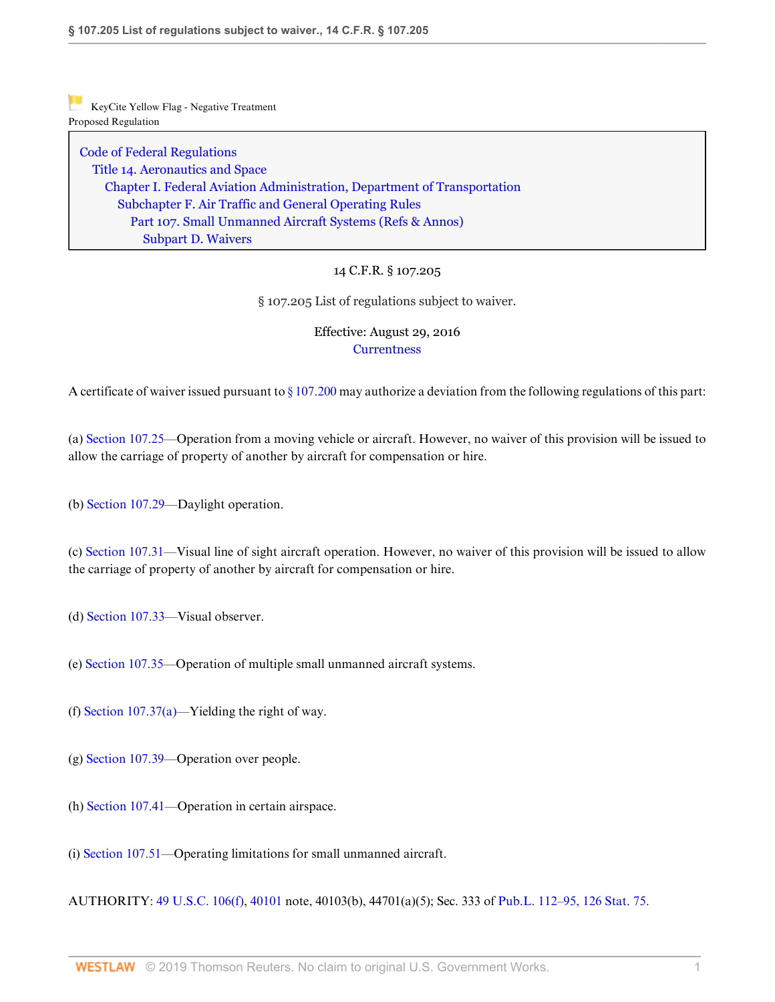[Code of Federal Regulations](http://www.westlaw.com/Browse/Home/Regulations/CodeofFederalRegulationsCFR?transitionType=DocumentItem&contextData=(sc.DocLink)&rs=clbt1.0&vr=3.0) [Title 14. Aeronautics and Space](http://www.westlaw.com/Browse/Home/Regulations/CodeofFederalRegulationsCFR?guid=NB364523085C811D99564CBDD35F58A0E&transitionType=DocumentItem&contextData=(sc.DocLink)&rs=clbt1.0&vr=3.0) [Chapter I. Federal Aviation Administration, Department of Transportation](http://www.westlaw.com/Browse/Home/Regulations/CodeofFederalRegulationsCFR?guid=NB391CAD085C811D99564CBDD35F58A0E&transitionType=DocumentItem&contextData=(sc.DocLink)&rs=clbt1.0&vr=3.0) [Subchapter F. Air Traffic and General Operating Rules](http://www.westlaw.com/Browse/Home/Regulations/CodeofFederalRegulationsCFR?guid=N0D8C9DE0967A11DF8D0C9F00FB5ED07A&transitionType=DocumentItem&contextData=(sc.DocLink)&rs=clbt1.0&vr=3.0) [Part 107. Small Unmanned Aircraft Systems](http://www.westlaw.com/Browse/Home/Regulations/CodeofFederalRegulationsCFR?guid=NCC8A89803D2E11E6A91396A739D63AEE&transitionType=DocumentItem&contextData=(sc.DocLink)&rs=clbt1.0&vr=3.0) [\(Refs & Annos\)](http://www.westlaw.com/Link/Document/FullText?findType=l&cite=lk(CFRT14CISUBCFPT107R)&originatingDoc=NED585DD03D9D11E69147B51246646F09&refType=CM&sourceCite=14+C.F.R.+%c2%a7+107.205&originationContext=document&vr=3.0&rs=cblt1.0&transitionType=DocumentItem&contextData=(sc.DocLink)) [Subpart D. Waivers](http://www.westlaw.com/Browse/Home/Regulations/CodeofFederalRegulationsCFR?guid=N6C305C403D9C11E68BD3C9863EF273DE&transitionType=DocumentItem&contextData=(sc.DocLink)&rs=clbt1.0&vr=3.0)

## 14 C.F.R. § 107.205

§ 107.205 List of regulations subject to waiver.

## Effective: August 29, 2016 **[Currentness](#page-51-0)**

A certificate of waiver issued pursuant to  $\S 107.200$  may authorize a deviation from the following regulations of this part:

(a) [Section 107.25—](http://www.westlaw.com/Link/Document/FullText?findType=L&pubNum=1000547&cite=14CFRS107.25&originatingDoc=NED585DD03D9D11E69147B51246646F09&refType=VP&originationContext=document&vr=3.0&rs=cblt1.0&transitionType=DocumentItem&contextData=(sc.DocLink))Operation from a moving vehicle or aircraft. However, no waiver of this provision will be issued to allow the carriage of property of another by aircraft for compensation or hire.

(b) [Section 107.29](http://www.westlaw.com/Link/Document/FullText?findType=L&pubNum=1000547&cite=14CFRS107.29&originatingDoc=NED585DD03D9D11E69147B51246646F09&refType=VP&originationContext=document&vr=3.0&rs=cblt1.0&transitionType=DocumentItem&contextData=(sc.DocLink))—Daylight operation.

(c) [Section 107.31—](http://www.westlaw.com/Link/Document/FullText?findType=L&pubNum=1000547&cite=14CFRS107.31&originatingDoc=NED585DD03D9D11E69147B51246646F09&refType=VP&originationContext=document&vr=3.0&rs=cblt1.0&transitionType=DocumentItem&contextData=(sc.DocLink))Visual line of sight aircraft operation. However, no waiver of this provision will be issued to allow the carriage of property of another by aircraft for compensation or hire.

- (d) [Section 107.33](http://www.westlaw.com/Link/Document/FullText?findType=L&pubNum=1000547&cite=14CFRS107.33&originatingDoc=NED585DD03D9D11E69147B51246646F09&refType=VP&originationContext=document&vr=3.0&rs=cblt1.0&transitionType=DocumentItem&contextData=(sc.DocLink))—Visual observer.
- (e) [Section 107.35](http://www.westlaw.com/Link/Document/FullText?findType=L&pubNum=1000547&cite=14CFRS107.35&originatingDoc=NED585DD03D9D11E69147B51246646F09&refType=VP&originationContext=document&vr=3.0&rs=cblt1.0&transitionType=DocumentItem&contextData=(sc.DocLink))—Operation of multiple small unmanned aircraft systems.
- (f) Section  $107.37(a)$ —Yielding the right of way.
- (g) [Section 107.39—](http://www.westlaw.com/Link/Document/FullText?findType=L&pubNum=1000547&cite=14CFRS107.39&originatingDoc=NED585DD03D9D11E69147B51246646F09&refType=VP&originationContext=document&vr=3.0&rs=cblt1.0&transitionType=DocumentItem&contextData=(sc.DocLink))Operation over people.
- (h) [Section 107.41](http://www.westlaw.com/Link/Document/FullText?findType=L&pubNum=1000547&cite=14CFRS107.41&originatingDoc=NED585DD03D9D11E69147B51246646F09&refType=VP&originationContext=document&vr=3.0&rs=cblt1.0&transitionType=DocumentItem&contextData=(sc.DocLink))—Operation in certain airspace.
- (i) [Section 107.51](http://www.westlaw.com/Link/Document/FullText?findType=L&pubNum=1000547&cite=14CFRS107.51&originatingDoc=NED585DD03D9D11E69147B51246646F09&refType=VP&originationContext=document&vr=3.0&rs=cblt1.0&transitionType=DocumentItem&contextData=(sc.DocLink))—Operating limitations for small unmanned aircraft.

AUTHORITY: [49 U.S.C. 106\(f\),](http://www.westlaw.com/Link/Document/FullText?findType=L&pubNum=1000546&cite=49USCAS106&originatingDoc=NED585DD03D9D11E69147B51246646F09&refType=RB&originationContext=document&vr=3.0&rs=cblt1.0&transitionType=DocumentItem&contextData=(sc.DocLink)#co_pp_ae0d0000c5150) [40101](http://www.westlaw.com/Link/Document/FullText?findType=L&pubNum=1000546&cite=49USCAS40101&originatingDoc=NED585DD03D9D11E69147B51246646F09&refType=LQ&originationContext=document&vr=3.0&rs=cblt1.0&transitionType=DocumentItem&contextData=(sc.DocLink)) note, 40103(b), 44701(a)(5); Sec. 333 of [Pub.L. 112–95, 126 Stat. 75.](http://www.westlaw.com/Link/Document/FullText?findType=l&pubNum=1077005&cite=UUID(I4283FE0058-5011E18DECB-7DFB573E8AC)&originatingDoc=NED585DD03D9D11E69147B51246646F09&refType=SL&originationContext=document&vr=3.0&rs=cblt1.0&transitionType=DocumentItem&contextData=(sc.DocLink))